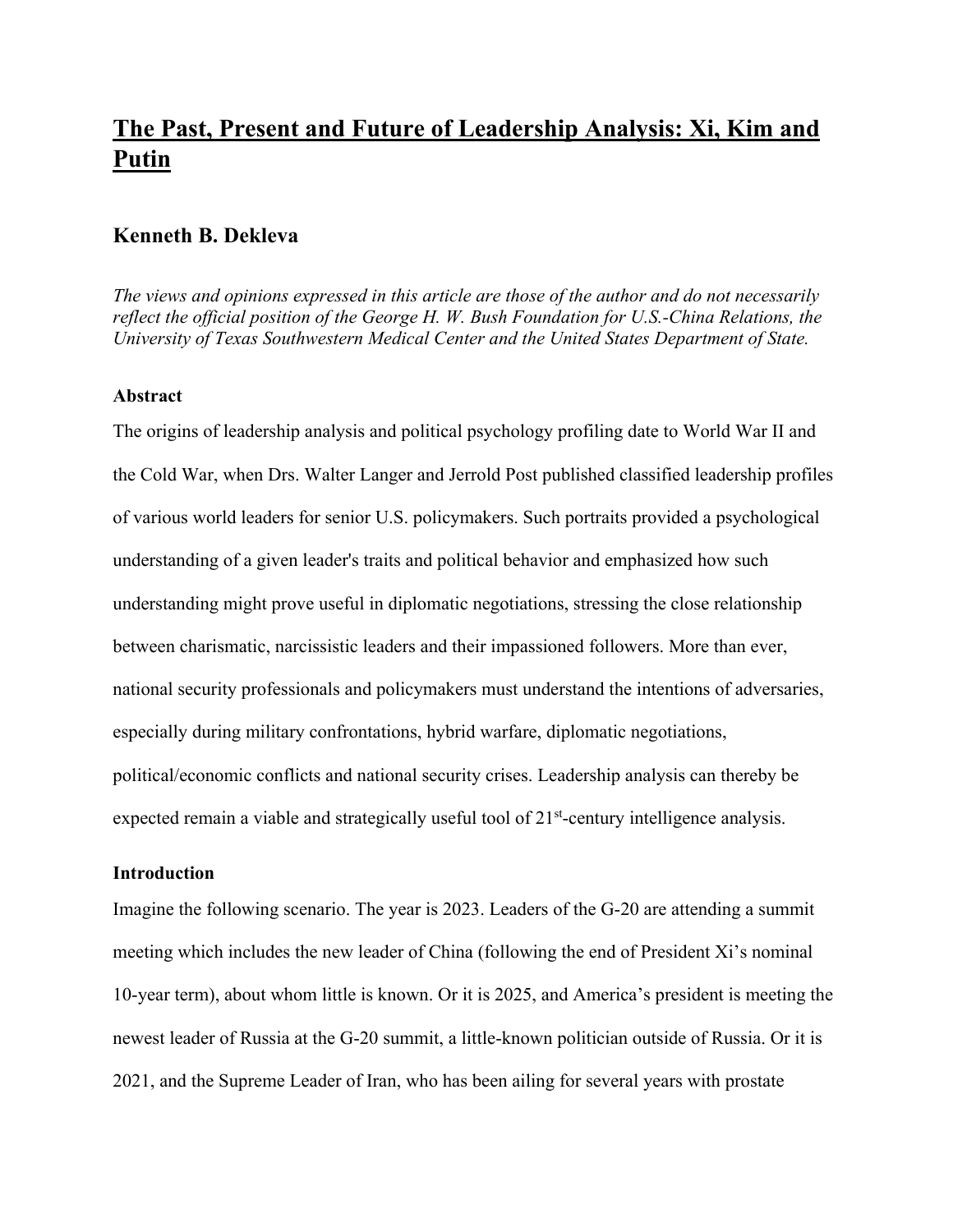# **The Past, Present and Future of Leadership Analysis: Xi, Kim and Putin**

# **Kenneth B. Dekleva**

*The views and opinions expressed in this article are those of the author and do not necessarily reflect the official position of the George H. W. Bush Foundation for U.S.-China Relations, the University of Texas Southwestern Medical Center and the United States Department of State.*

## **Abstract**

The origins of leadership analysis and political psychology profiling date to World War II and the Cold War, when Drs. Walter Langer and Jerrold Post published classified leadership profiles of various world leaders for senior U.S. policymakers. Such portraits provided a psychological understanding of a given leader's traits and political behavior and emphasized how such understanding might prove useful in diplomatic negotiations, stressing the close relationship between charismatic, narcissistic leaders and their impassioned followers. More than ever, national security professionals and policymakers must understand the intentions of adversaries, especially during military confrontations, hybrid warfare, diplomatic negotiations, political/economic conflicts and national security crises. Leadership analysis can thereby be expected remain a viable and strategically useful tool of 21<sup>st</sup>-century intelligence analysis.

# **Introduction**

Imagine the following scenario. The year is 2023. Leaders of the G-20 are attending a summit meeting which includes the new leader of China (following the end of President Xi's nominal 10-year term), about whom little is known. Or it is 2025, and America's president is meeting the newest leader of Russia at the G-20 summit, a little-known politician outside of Russia. Or it is 2021, and the Supreme Leader of Iran, who has been ailing for several years with prostate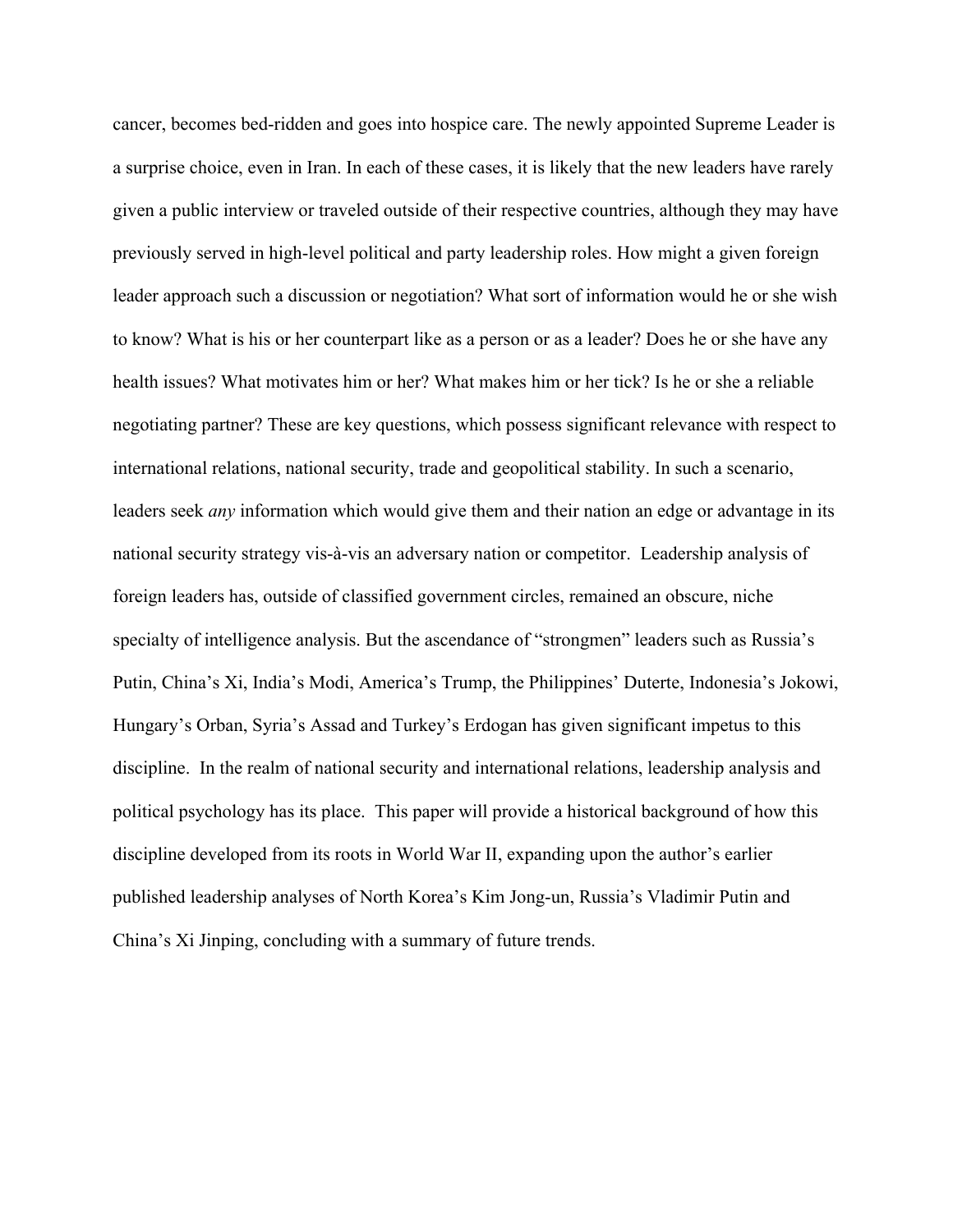cancer, becomes bed-ridden and goes into hospice care. The newly appointed Supreme Leader is a surprise choice, even in Iran. In each of these cases, it is likely that the new leaders have rarely given a public interview or traveled outside of their respective countries, although they may have previously served in high-level political and party leadership roles. How might a given foreign leader approach such a discussion or negotiation? What sort of information would he or she wish to know? What is his or her counterpart like as a person or as a leader? Does he or she have any health issues? What motivates him or her? What makes him or her tick? Is he or she a reliable negotiating partner? These are key questions, which possess significant relevance with respect to international relations, national security, trade and geopolitical stability. In such a scenario, leaders seek *any* information which would give them and their nation an edge or advantage in its national security strategy vis-à-vis an adversary nation or competitor. Leadership analysis of foreign leaders has, outside of classified government circles, remained an obscure, niche specialty of intelligence analysis. But the ascendance of "strongmen" leaders such as Russia's Putin, China's Xi, India's Modi, America's Trump, the Philippines' Duterte, Indonesia's Jokowi, Hungary's Orban, Syria's Assad and Turkey's Erdogan has given significant impetus to this discipline. In the realm of national security and international relations, leadership analysis and political psychology has its place. This paper will provide a historical background of how this discipline developed from its roots in World War II, expanding upon the author's earlier published leadership analyses of North Korea's Kim Jong-un, Russia's Vladimir Putin and China's Xi Jinping, concluding with a summary of future trends.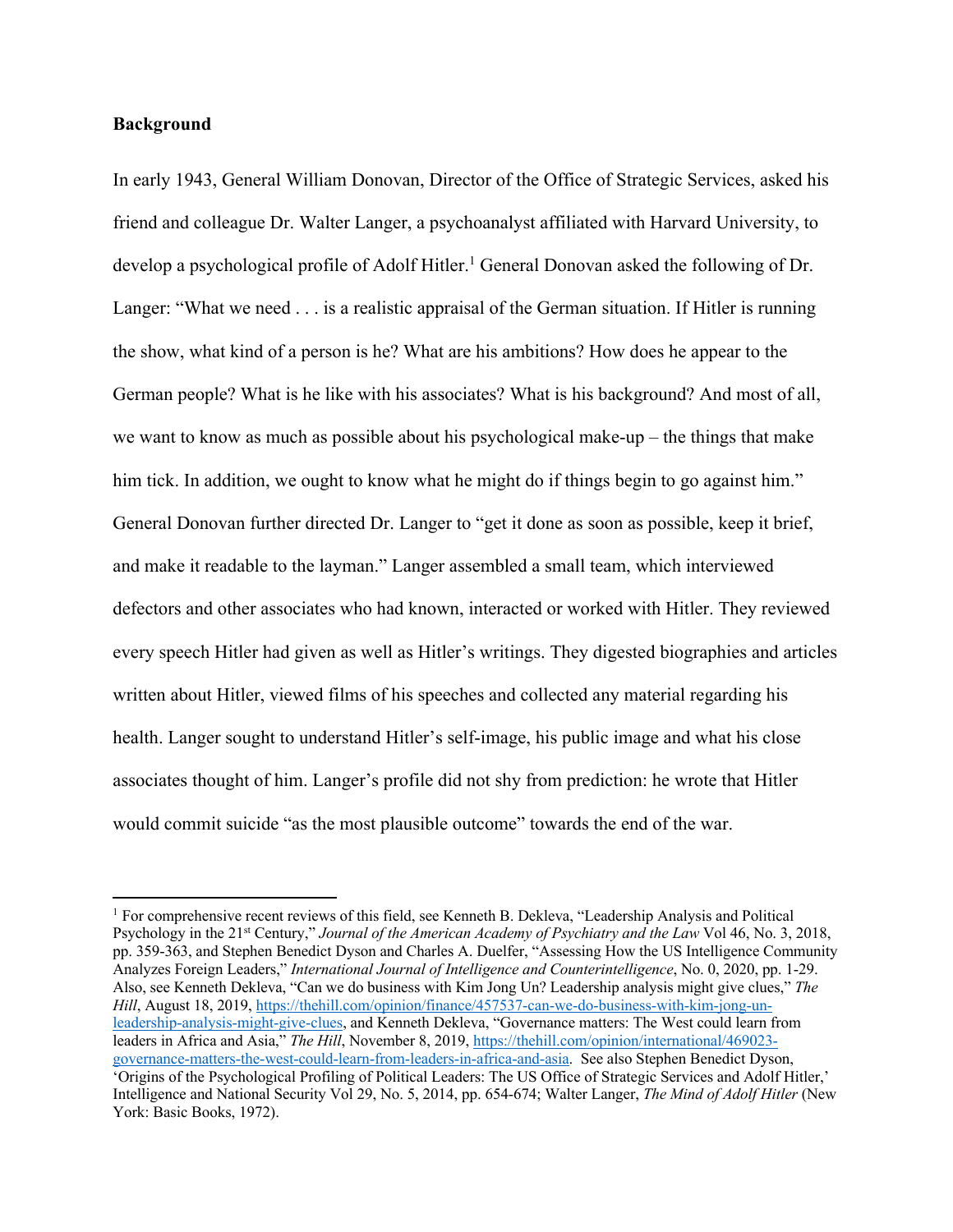## **Background**

In early 1943, General William Donovan, Director of the Office of Strategic Services, asked his friend and colleague Dr. Walter Langer, a psychoanalyst affiliated with Harvard University, to develop a psychological profile of Adolf Hitler.<sup>1</sup> General Donovan asked the following of Dr. Langer: "What we need . . . is a realistic appraisal of the German situation. If Hitler is running the show, what kind of a person is he? What are his ambitions? How does he appear to the German people? What is he like with his associates? What is his background? And most of all, we want to know as much as possible about his psychological make-up – the things that make him tick. In addition, we ought to know what he might do if things begin to go against him." General Donovan further directed Dr. Langer to "get it done as soon as possible, keep it brief, and make it readable to the layman." Langer assembled a small team, which interviewed defectors and other associates who had known, interacted or worked with Hitler. They reviewed every speech Hitler had given as well as Hitler's writings. They digested biographies and articles written about Hitler, viewed films of his speeches and collected any material regarding his health. Langer sought to understand Hitler's self-image, his public image and what his close associates thought of him. Langer's profile did not shy from prediction: he wrote that Hitler would commit suicide "as the most plausible outcome" towards the end of the war.

<sup>&</sup>lt;sup>1</sup> For comprehensive recent reviews of this field, see Kenneth B. Dekleva, "Leadership Analysis and Political Psychology in the 21st Century," *Journal of the American Academy of Psychiatry and the Law* Vol 46, No. 3, 2018, pp. 359-363, and Stephen Benedict Dyson and Charles A. Duelfer, "Assessing How the US Intelligence Community Analyzes Foreign Leaders," *International Journal of Intelligence and Counterintelligence*, No. 0, 2020, pp. 1-29. Also, see Kenneth Dekleva, "Can we do business with Kim Jong Un? Leadership analysis might give clues," *The Hill*, August 18, 2019, https://thehill.com/opinion/finance/457537-can-we-do-business-with-kim-jong-unleadership-analysis-might-give-clues, and Kenneth Dekleva, "Governance matters: The West could learn from leaders in Africa and Asia," *The Hill*, November 8, 2019, https://thehill.com/opinion/international/469023 governance-matters-the-west-could-learn-from-leaders-in-africa-and-asia. See also Stephen Benedict Dyson, 'Origins of the Psychological Profiling of Political Leaders: The US Office of Strategic Services and Adolf Hitler,' Intelligence and National Security Vol 29, No. 5, 2014, pp. 654-674; Walter Langer, *The Mind of Adolf Hitler* (New York: Basic Books, 1972).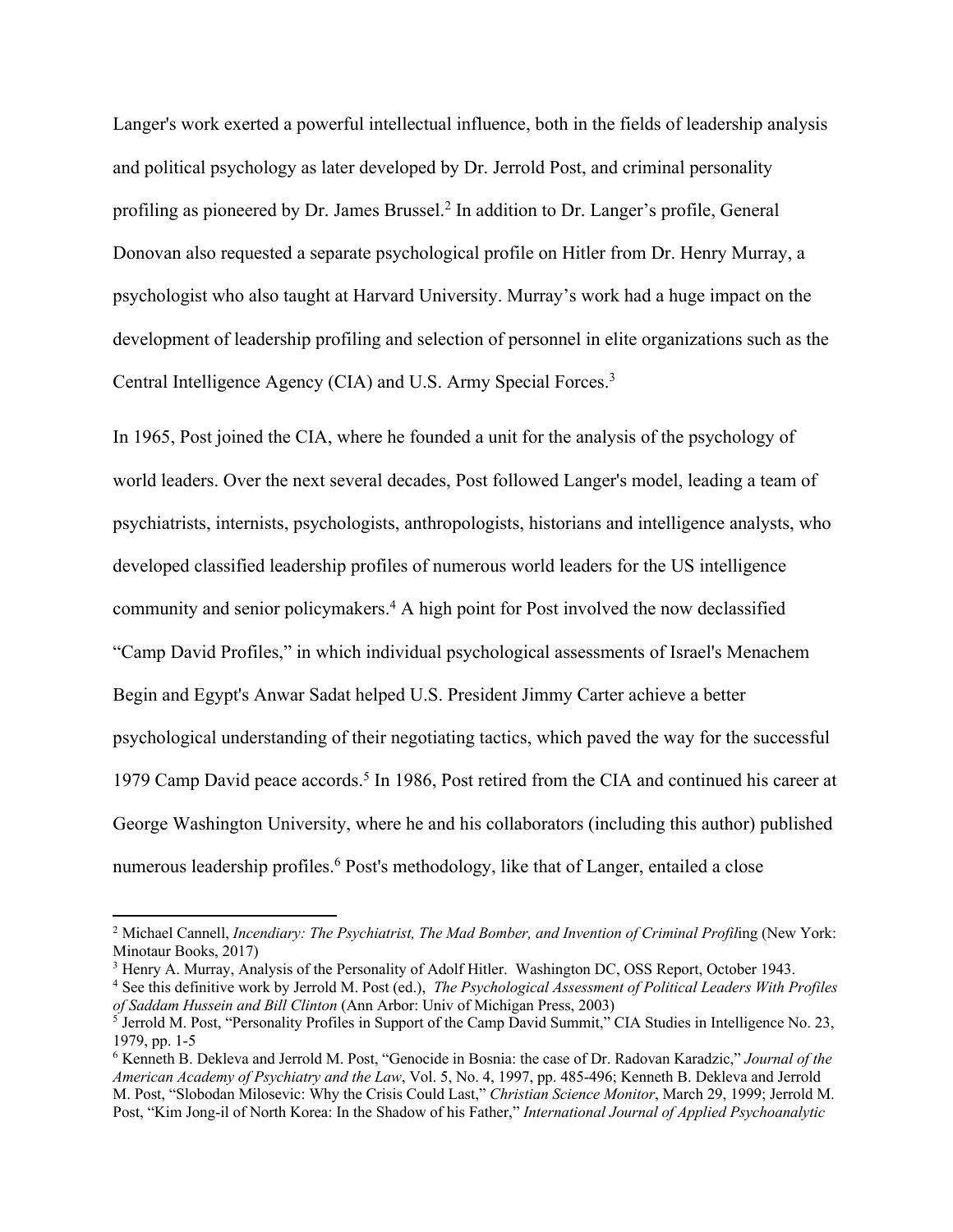Langer's work exerted a powerful intellectual influence, both in the fields of leadership analysis and political psychology as later developed by Dr. Jerrold Post, and criminal personality profiling as pioneered by Dr. James Brussel.2 In addition to Dr. Langer's profile, General Donovan also requested a separate psychological profile on Hitler from Dr. Henry Murray, a psychologist who also taught at Harvard University. Murray's work had a huge impact on the development of leadership profiling and selection of personnel in elite organizations such as the Central Intelligence Agency (CIA) and U.S. Army Special Forces.<sup>3</sup>

In 1965, Post joined the CIA, where he founded a unit for the analysis of the psychology of world leaders. Over the next several decades, Post followed Langer's model, leading a team of psychiatrists, internists, psychologists, anthropologists, historians and intelligence analysts, who developed classified leadership profiles of numerous world leaders for the US intelligence community and senior policymakers.4 A high point for Post involved the now declassified "Camp David Profiles," in which individual psychological assessments of Israel's Menachem Begin and Egypt's Anwar Sadat helped U.S. President Jimmy Carter achieve a better psychological understanding of their negotiating tactics, which paved the way for the successful 1979 Camp David peace accords.<sup>5</sup> In 1986, Post retired from the CIA and continued his career at George Washington University, where he and his collaborators (including this author) published numerous leadership profiles.<sup>6</sup> Post's methodology, like that of Langer, entailed a close

<sup>&</sup>lt;sup>2</sup> Michael Cannell, *Incendiary: The Psychiatrist, The Mad Bomber, and Invention of Criminal Profiling (New York:* Minotaur Books, 2017)

<sup>3</sup> Henry A. Murray, Analysis of the Personality of Adolf Hitler. Washington DC, OSS Report, October 1943.

<sup>4</sup> See this definitive work by Jerrold M. Post (ed.), *The Psychological Assessment of Political Leaders With Profiles of Saddam Hussein and Bill Clinton* (Ann Arbor: Univ of Michigan Press, 2003)

<sup>5</sup> Jerrold M. Post, "Personality Profiles in Support of the Camp David Summit," CIA Studies in Intelligence No. 23, 1979, pp. 1-5

<sup>6</sup> Kenneth B. Dekleva and Jerrold M. Post, "Genocide in Bosnia: the case of Dr. Radovan Karadzic," *Journal of the American Academy of Psychiatry and the Law*, Vol. 5, No. 4, 1997, pp. 485-496; Kenneth B. Dekleva and Jerrold M. Post, "Slobodan Milosevic: Why the Crisis Could Last," *Christian Science Monitor*, March 29, 1999; Jerrold M. Post, "Kim Jong-il of North Korea: In the Shadow of his Father," *International Journal of Applied Psychoanalytic*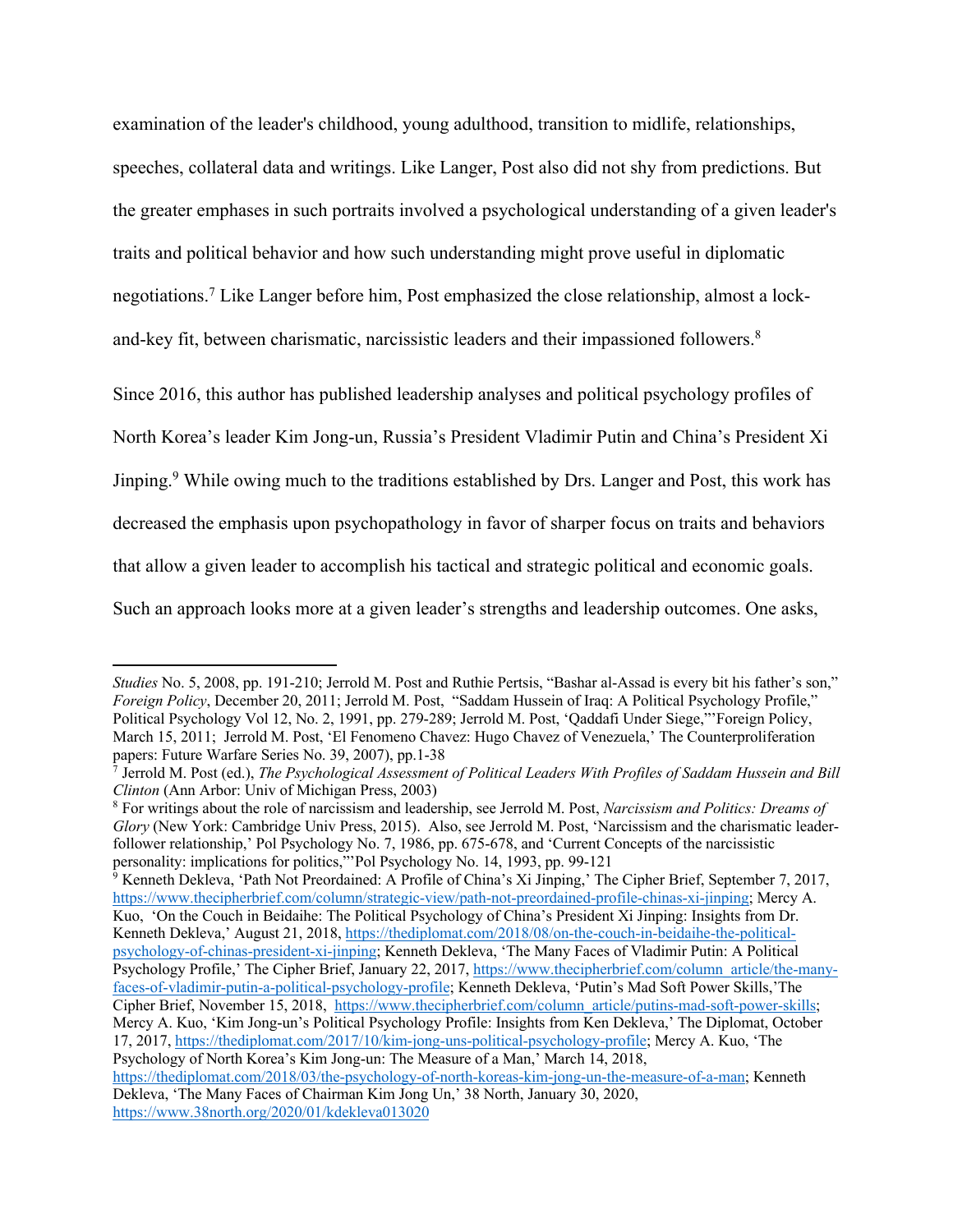examination of the leader's childhood, young adulthood, transition to midlife, relationships, speeches, collateral data and writings. Like Langer, Post also did not shy from predictions. But the greater emphases in such portraits involved a psychological understanding of a given leader's traits and political behavior and how such understanding might prove useful in diplomatic negotiations.7 Like Langer before him, Post emphasized the close relationship, almost a lockand-key fit, between charismatic, narcissistic leaders and their impassioned followers.8

Since 2016, this author has published leadership analyses and political psychology profiles of North Korea's leader Kim Jong-un, Russia's President Vladimir Putin and China's President Xi Jinping.<sup>9</sup> While owing much to the traditions established by Drs. Langer and Post, this work has decreased the emphasis upon psychopathology in favor of sharper focus on traits and behaviors that allow a given leader to accomplish his tactical and strategic political and economic goals. Such an approach looks more at a given leader's strengths and leadership outcomes. One asks,

<sup>9</sup> Kenneth Dekleva, 'Path Not Preordained: A Profile of China's Xi Jinping,' The Cipher Brief, September 7, 2017, https://www.thecipherbrief.com/column/strategic-view/path-not-preordained-profile-chinas-xi-jinping; Mercy A. Kuo, 'On the Couch in Beidaihe: The Political Psychology of China's President Xi Jinping: Insights from Dr. Kenneth Dekleva,' August 21, 2018, https://thediplomat.com/2018/08/on-the-couch-in-beidaihe-the-politicalpsychology-of-chinas-president-xi-jinping; Kenneth Dekleva, 'The Many Faces of Vladimir Putin: A Political Psychology Profile,' The Cipher Brief, January 22, 2017, https://www.thecipherbrief.com/column\_article/the-manyfaces-of-vladimir-putin-a-political-psychology-profile; Kenneth Dekleva, 'Putin's Mad Soft Power Skills,'The Cipher Brief, November 15, 2018, https://www.thecipherbrief.com/column\_article/putins-mad-soft-power-skills; Mercy A. Kuo, 'Kim Jong-un's Political Psychology Profile: Insights from Ken Dekleva,' The Diplomat, October 17, 2017, https://thediplomat.com/2017/10/kim-jong-uns-political-psychology-profile; Mercy A. Kuo, 'The Psychology of North Korea's Kim Jong-un: The Measure of a Man,' March 14, 2018, https://thediplomat.com/2018/03/the-psychology-of-north-koreas-kim-jong-un-the-measure-of-a-man; Kenneth

*Studies* No. 5, 2008, pp. 191-210; Jerrold M. Post and Ruthie Pertsis, "Bashar al-Assad is every bit his father's son," *Foreign Policy*, December 20, 2011; Jerrold M. Post, "Saddam Hussein of Iraq: A Political Psychology Profile," Political Psychology Vol 12, No. 2, 1991, pp. 279-289; Jerrold M. Post, 'Qaddafi Under Siege,"'Foreign Policy, March 15, 2011; Jerrold M. Post, 'El Fenomeno Chavez: Hugo Chavez of Venezuela,' The Counterproliferation papers: Future Warfare Series No. 39, 2007), pp.1-38

<sup>7</sup> Jerrold M. Post (ed.), *The Psychological Assessment of Political Leaders With Profiles of Saddam Hussein and Bill Clinton* (Ann Arbor: Univ of Michigan Press, 2003)

<sup>8</sup> For writings about the role of narcissism and leadership, see Jerrold M. Post, *Narcissism and Politics: Dreams of Glory* (New York: Cambridge Univ Press, 2015). Also, see Jerrold M. Post, 'Narcissism and the charismatic leaderfollower relationship,' Pol Psychology No. 7, 1986, pp. 675-678, and 'Current Concepts of the narcissistic personality: implications for politics,"'Pol Psychology No. 14, 1993, pp. 99-121

Dekleva, 'The Many Faces of Chairman Kim Jong Un,' 38 North, January 30, 2020, https://www.38north.org/2020/01/kdekleva013020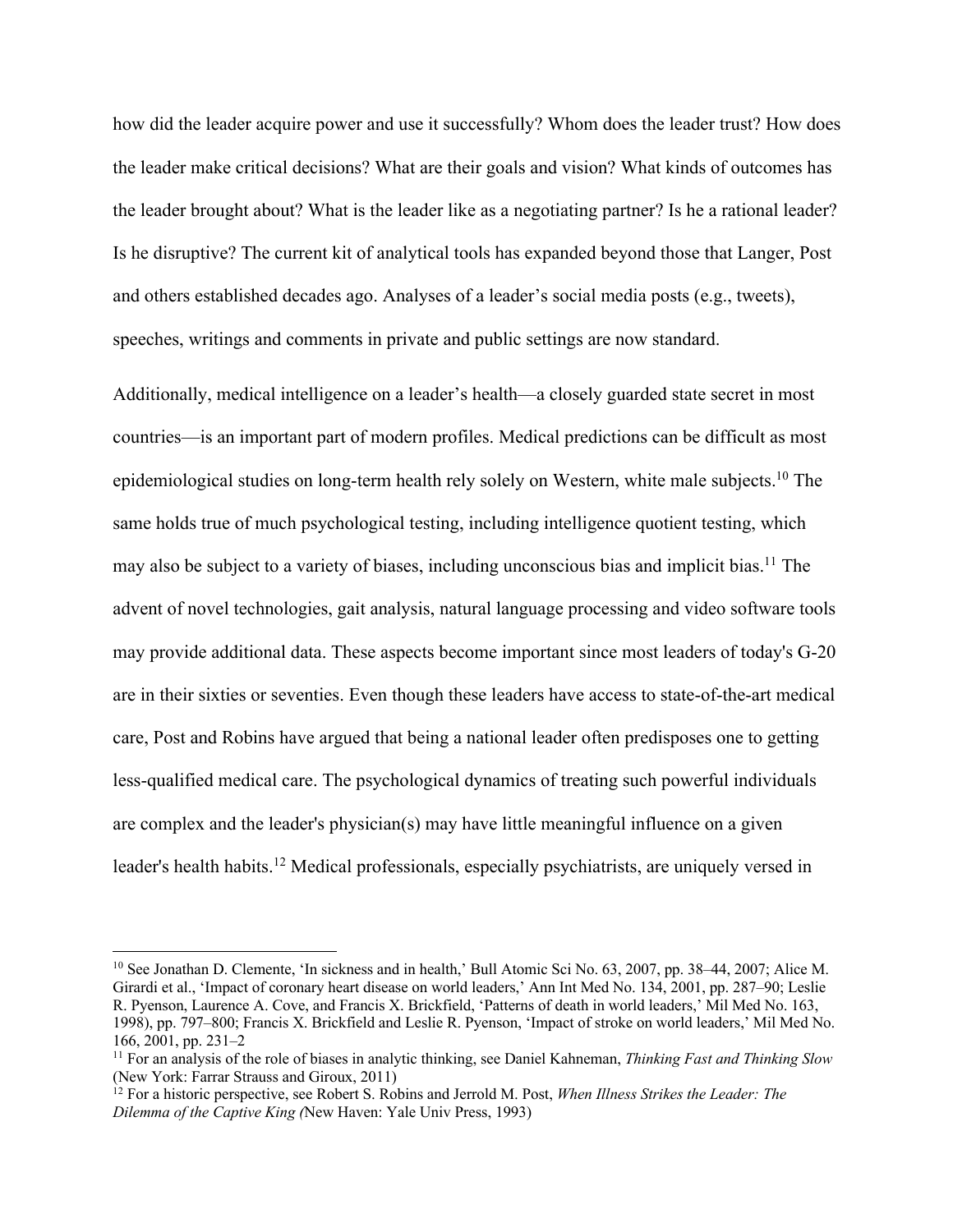how did the leader acquire power and use it successfully? Whom does the leader trust? How does the leader make critical decisions? What are their goals and vision? What kinds of outcomes has the leader brought about? What is the leader like as a negotiating partner? Is he a rational leader? Is he disruptive? The current kit of analytical tools has expanded beyond those that Langer, Post and others established decades ago. Analyses of a leader's social media posts (e.g., tweets), speeches, writings and comments in private and public settings are now standard.

Additionally, medical intelligence on a leader's health—a closely guarded state secret in most countries—is an important part of modern profiles. Medical predictions can be difficult as most epidemiological studies on long-term health rely solely on Western, white male subjects.10 The same holds true of much psychological testing, including intelligence quotient testing, which may also be subject to a variety of biases, including unconscious bias and implicit bias.11 The advent of novel technologies, gait analysis, natural language processing and video software tools may provide additional data. These aspects become important since most leaders of today's G-20 are in their sixties or seventies. Even though these leaders have access to state-of-the-art medical care, Post and Robins have argued that being a national leader often predisposes one to getting less-qualified medical care. The psychological dynamics of treating such powerful individuals are complex and the leader's physician(s) may have little meaningful influence on a given leader's health habits.12 Medical professionals, especially psychiatrists, are uniquely versed in

<sup>&</sup>lt;sup>10</sup> See Jonathan D. Clemente, 'In sickness and in health,' Bull Atomic Sci No. 63, 2007, pp. 38–44, 2007; Alice M. Girardi et al., 'Impact of coronary heart disease on world leaders,' Ann Int Med No. 134, 2001, pp. 287–90; Leslie R. Pyenson, Laurence A. Cove, and Francis X. Brickfield, 'Patterns of death in world leaders,' Mil Med No. 163, 1998), pp. 797–800; Francis X. Brickfield and Leslie R. Pyenson, 'Impact of stroke on world leaders,' Mil Med No. 166, 2001, pp. 231–2

<sup>11</sup> For an analysis of the role of biases in analytic thinking, see Daniel Kahneman, *Thinking Fast and Thinking Slow* (New York: Farrar Strauss and Giroux, 2011)

<sup>&</sup>lt;sup>12</sup> For a historic perspective, see Robert S. Robins and Jerrold M. Post, *When Illness Strikes the Leader: The Dilemma of the Captive King (*New Haven: Yale Univ Press, 1993)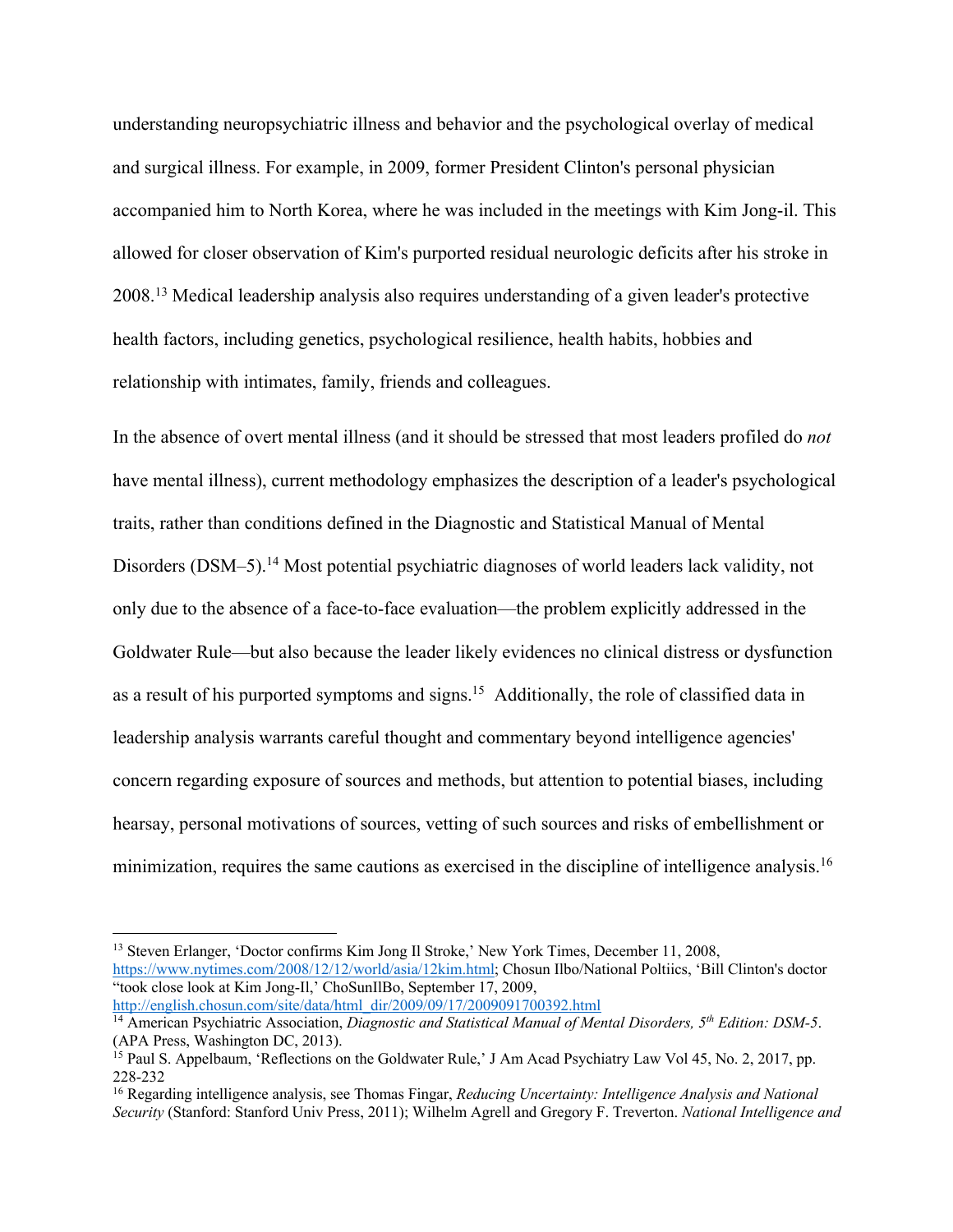understanding neuropsychiatric illness and behavior and the psychological overlay of medical and surgical illness. For example, in 2009, former President Clinton's personal physician accompanied him to North Korea, where he was included in the meetings with Kim Jong-il. This allowed for closer observation of Kim's purported residual neurologic deficits after his stroke in 2008.13 Medical leadership analysis also requires understanding of a given leader's protective health factors, including genetics, psychological resilience, health habits, hobbies and relationship with intimates, family, friends and colleagues.

In the absence of overt mental illness (and it should be stressed that most leaders profiled do *not* have mental illness), current methodology emphasizes the description of a leader's psychological traits, rather than conditions defined in the Diagnostic and Statistical Manual of Mental Disorders (DSM-5).<sup>14</sup> Most potential psychiatric diagnoses of world leaders lack validity, not only due to the absence of a face-to-face evaluation—the problem explicitly addressed in the Goldwater Rule—but also because the leader likely evidences no clinical distress or dysfunction as a result of his purported symptoms and signs.<sup>15</sup> Additionally, the role of classified data in leadership analysis warrants careful thought and commentary beyond intelligence agencies' concern regarding exposure of sources and methods, but attention to potential biases, including hearsay, personal motivations of sources, vetting of such sources and risks of embellishment or minimization, requires the same cautions as exercised in the discipline of intelligence analysis.<sup>16</sup>

<sup>13</sup> Steven Erlanger, 'Doctor confirms Kim Jong Il Stroke,' New York Times, December 11, 2008, https://www.nytimes.com/2008/12/12/world/asia/12kim.html; Chosun Ilbo/National Poltiics, 'Bill Clinton's doctor "took close look at Kim Jong-Il,' ChoSunIlBo, September 17, 2009, http://english.chosun.com/site/data/html\_dir/2009/09/17/2009091700392.html

<sup>14</sup> American Psychiatric Association, *Diagnostic and Statistical Manual of Mental Disorders, 5th Edition: DSM-5*. (APA Press, Washington DC, 2013).

<sup>&</sup>lt;sup>15</sup> Paul S. Appelbaum, 'Reflections on the Goldwater Rule,' J Am Acad Psychiatry Law Vol 45, No. 2, 2017, pp. 228-232

<sup>16</sup> Regarding intelligence analysis, see Thomas Fingar, *Reducing Uncertainty: Intelligence Analysis and National Security* (Stanford: Stanford Univ Press, 2011); Wilhelm Agrell and Gregory F. Treverton. *National Intelligence and*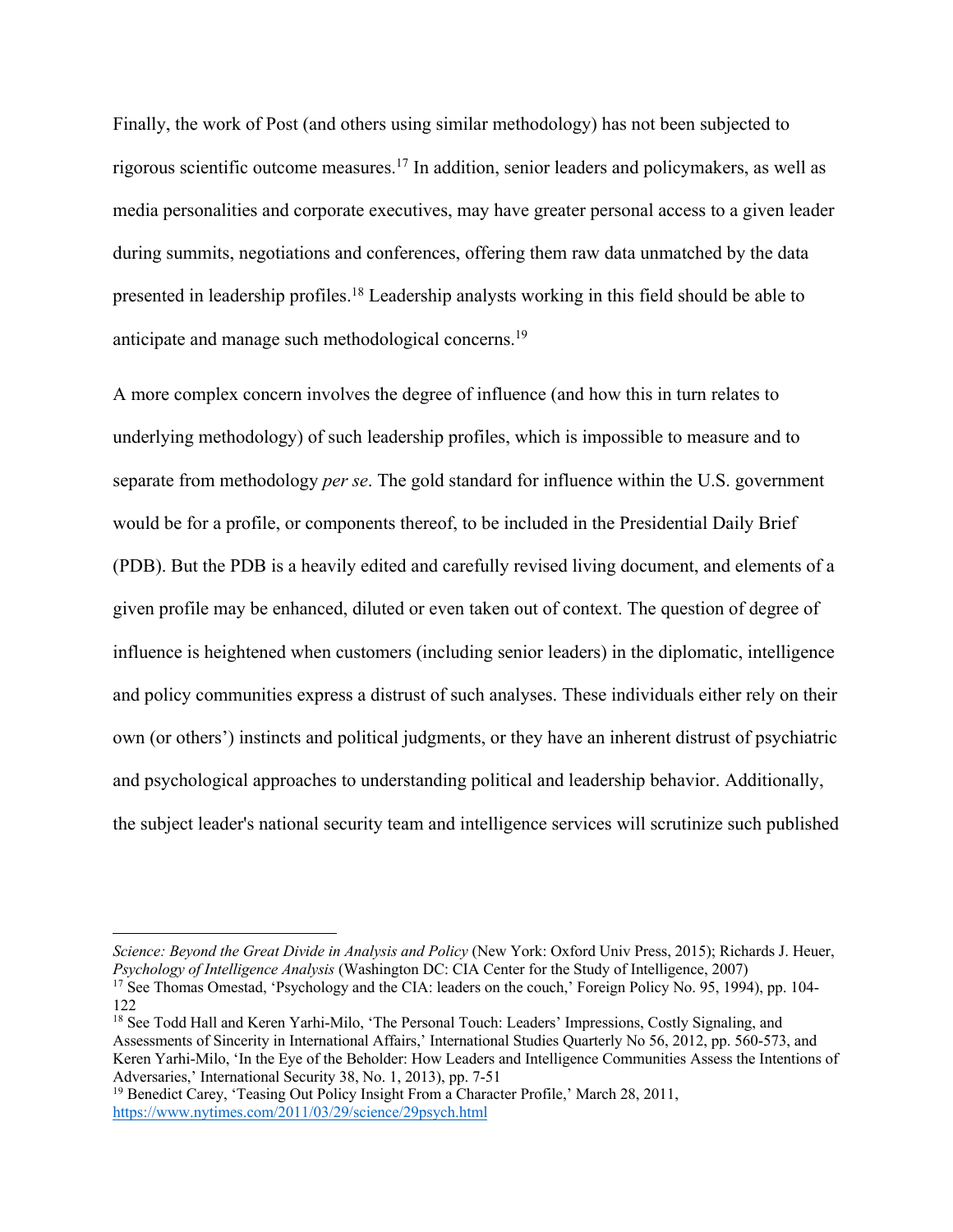Finally, the work of Post (and others using similar methodology) has not been subjected to rigorous scientific outcome measures.17 In addition, senior leaders and policymakers, as well as media personalities and corporate executives, may have greater personal access to a given leader during summits, negotiations and conferences, offering them raw data unmatched by the data presented in leadership profiles.<sup>18</sup> Leadership analysts working in this field should be able to anticipate and manage such methodological concerns.19

A more complex concern involves the degree of influence (and how this in turn relates to underlying methodology) of such leadership profiles, which is impossible to measure and to separate from methodology *per se*. The gold standard for influence within the U.S. government would be for a profile, or components thereof, to be included in the Presidential Daily Brief (PDB). But the PDB is a heavily edited and carefully revised living document, and elements of a given profile may be enhanced, diluted or even taken out of context. The question of degree of influence is heightened when customers (including senior leaders) in the diplomatic, intelligence and policy communities express a distrust of such analyses. These individuals either rely on their own (or others') instincts and political judgments, or they have an inherent distrust of psychiatric and psychological approaches to understanding political and leadership behavior. Additionally, the subject leader's national security team and intelligence services will scrutinize such published

*Science: Beyond the Great Divide in Analysis and Policy* (New York: Oxford Univ Press, 2015); Richards J. Heuer, *Psychology of Intelligence Analysis* (Washington DC: CIA Center for the Study of Intelligence, 2007)

<sup>&</sup>lt;sup>17</sup> See Thomas Omestad, 'Psychology and the CIA: leaders on the couch,' Foreign Policy No. 95, 1994), pp. 104-122

<sup>18</sup> See Todd Hall and Keren Yarhi-Milo, 'The Personal Touch: Leaders' Impressions, Costly Signaling, and Assessments of Sincerity in International Affairs,' International Studies Quarterly No 56, 2012, pp. 560-573, and Keren Yarhi-Milo, 'In the Eye of the Beholder: How Leaders and Intelligence Communities Assess the Intentions of Adversaries,' International Security 38, No. 1, 2013), pp. 7-51

<sup>&</sup>lt;sup>19</sup> Benedict Carey, 'Teasing Out Policy Insight From a Character Profile,' March 28, 2011, https://www.nytimes.com/2011/03/29/science/29psych.html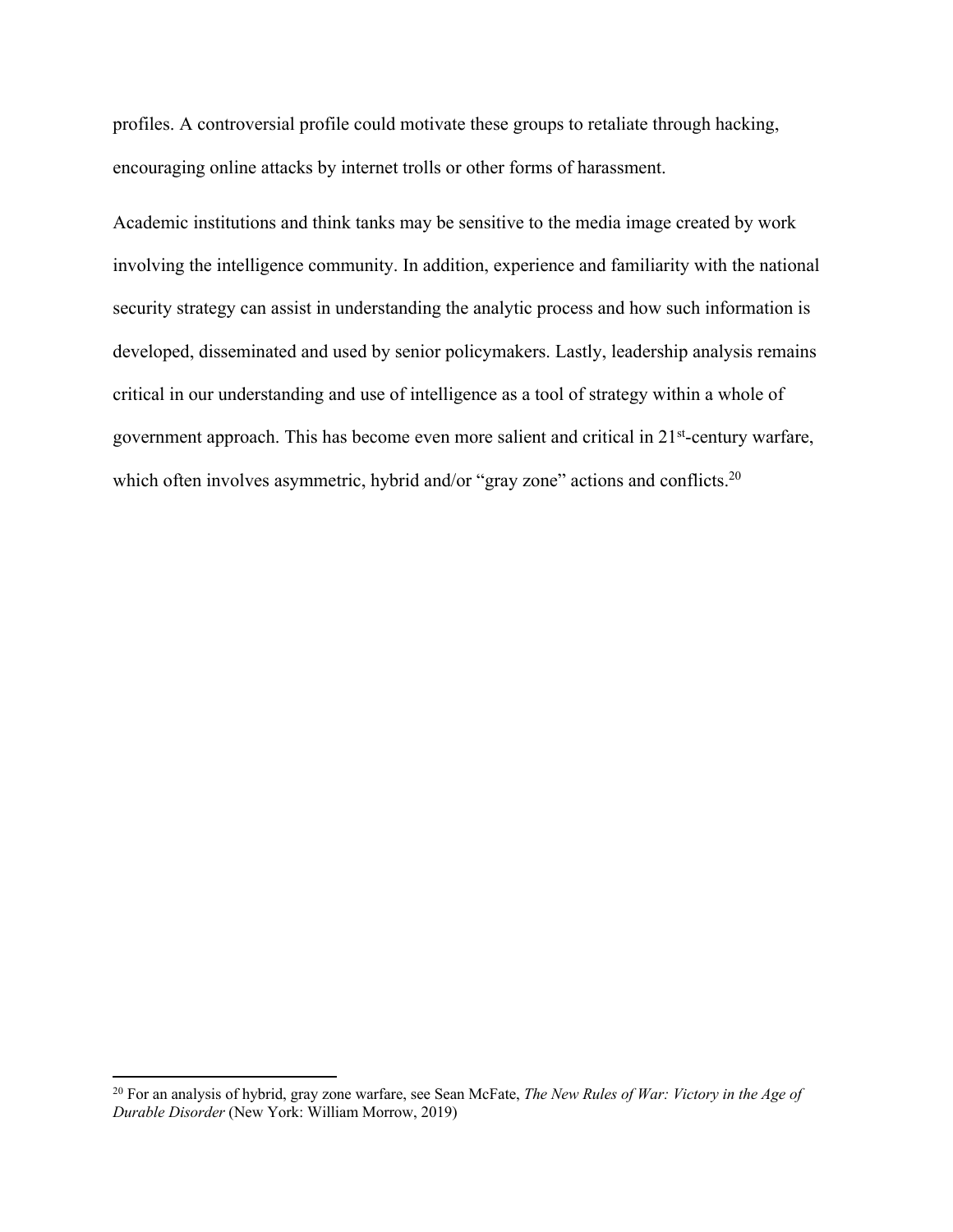profiles. A controversial profile could motivate these groups to retaliate through hacking, encouraging online attacks by internet trolls or other forms of harassment.

Academic institutions and think tanks may be sensitive to the media image created by work involving the intelligence community. In addition, experience and familiarity with the national security strategy can assist in understanding the analytic process and how such information is developed, disseminated and used by senior policymakers. Lastly, leadership analysis remains critical in our understanding and use of intelligence as a tool of strategy within a whole of government approach. This has become even more salient and critical in 21st-century warfare, which often involves asymmetric, hybrid and/or "gray zone" actions and conflicts.<sup>20</sup>

<sup>20</sup> For an analysis of hybrid, gray zone warfare, see Sean McFate, *The New Rules of War: Victory in the Age of Durable Disorder* (New York: William Morrow, 2019)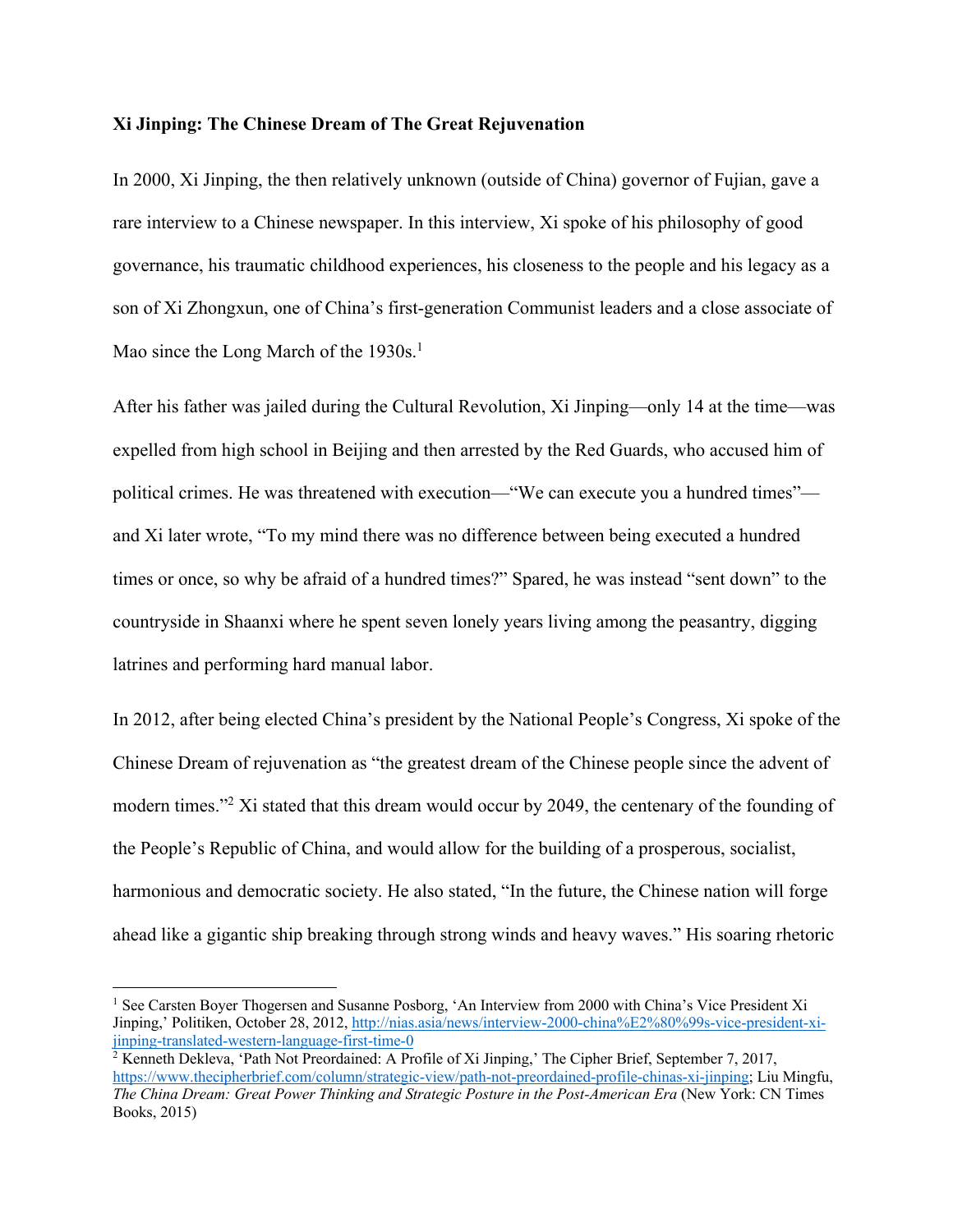#### **Xi Jinping: The Chinese Dream of The Great Rejuvenation**

In 2000, Xi Jinping, the then relatively unknown (outside of China) governor of Fujian, gave a rare interview to a Chinese newspaper. In this interview, Xi spoke of his philosophy of good governance, his traumatic childhood experiences, his closeness to the people and his legacy as a son of Xi Zhongxun, one of China's first-generation Communist leaders and a close associate of Mao since the Long March of the 1930s.<sup>1</sup>

After his father was jailed during the Cultural Revolution, Xi Jinping—only 14 at the time—was expelled from high school in Beijing and then arrested by the Red Guards, who accused him of political crimes. He was threatened with execution—"We can execute you a hundred times" and Xi later wrote, "To my mind there was no difference between being executed a hundred times or once, so why be afraid of a hundred times?" Spared, he was instead "sent down" to the countryside in Shaanxi where he spent seven lonely years living among the peasantry, digging latrines and performing hard manual labor.

In 2012, after being elected China's president by the National People's Congress, Xi spoke of the Chinese Dream of rejuvenation as "the greatest dream of the Chinese people since the advent of modern times."<sup>2</sup> Xi stated that this dream would occur by 2049, the centenary of the founding of the People's Republic of China, and would allow for the building of a prosperous, socialist, harmonious and democratic society. He also stated, "In the future, the Chinese nation will forge ahead like a gigantic ship breaking through strong winds and heavy waves." His soaring rhetoric

<sup>&</sup>lt;sup>1</sup> See Carsten Boyer Thogersen and Susanne Posborg, 'An Interview from 2000 with China's Vice President Xi Jinping,' Politiken, October 28, 2012, http://nias.asia/news/interview-2000-china%E2%80%99s-vice-president-xijinping-translated-western-language-first-time-0

<sup>&</sup>lt;sup>2</sup> Kenneth Dekleva, 'Path Not Preordained: A Profile of Xi Jinping,' The Cipher Brief, September 7, 2017, https://www.thecipherbrief.com/column/strategic-view/path-not-preordained-profile-chinas-xi-jinping; Liu Mingfu, *The China Dream: Great Power Thinking and Strategic Posture in the Post-American Era* (New York: CN Times Books, 2015)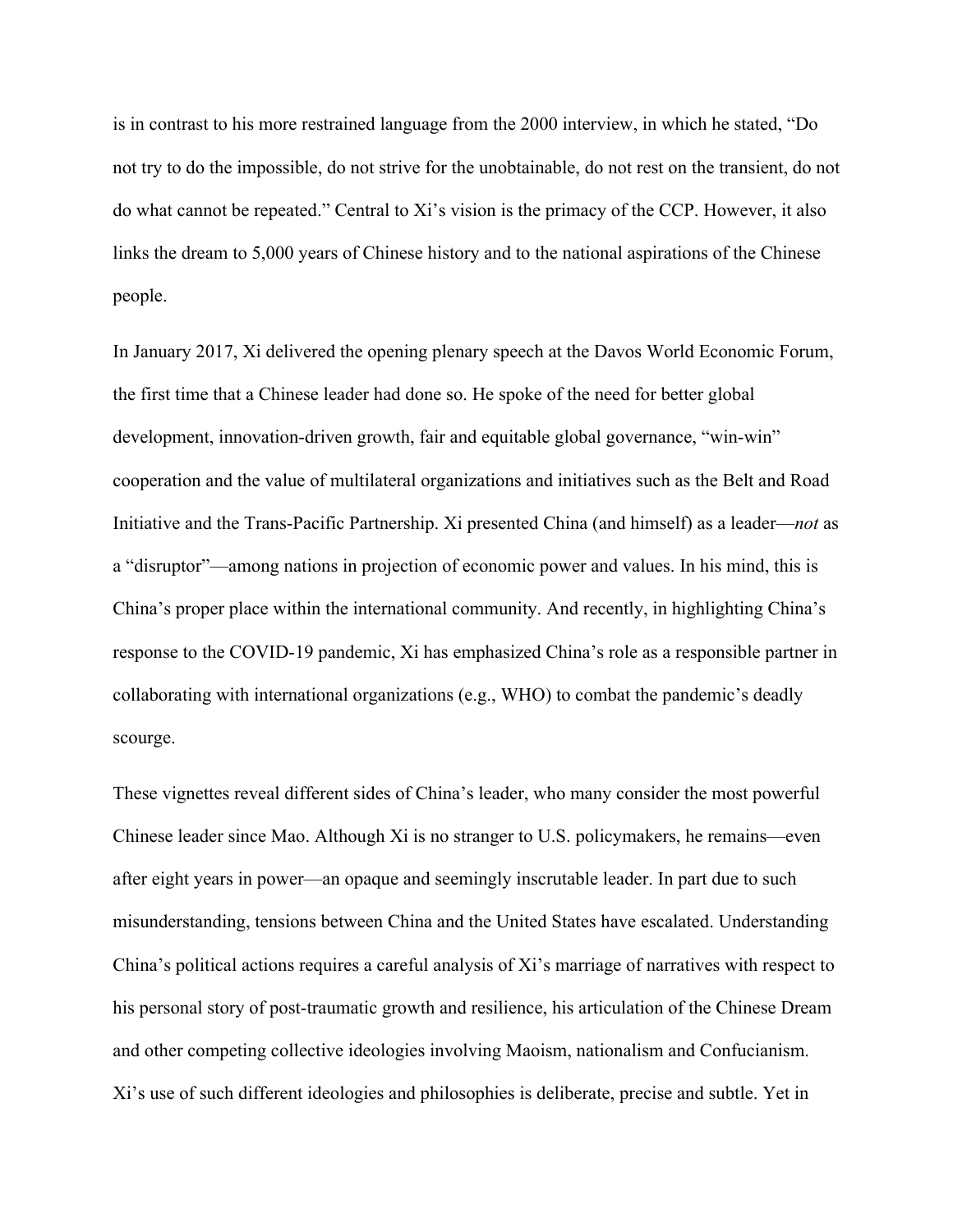is in contrast to his more restrained language from the 2000 interview, in which he stated, "Do not try to do the impossible, do not strive for the unobtainable, do not rest on the transient, do not do what cannot be repeated." Central to Xi's vision is the primacy of the CCP. However, it also links the dream to 5,000 years of Chinese history and to the national aspirations of the Chinese people.

In January 2017, Xi delivered the opening plenary speech at the Davos World Economic Forum, the first time that a Chinese leader had done so. He spoke of the need for better global development, innovation-driven growth, fair and equitable global governance, "win-win" cooperation and the value of multilateral organizations and initiatives such as the Belt and Road Initiative and the Trans-Pacific Partnership. Xi presented China (and himself) as a leader—*not* as a "disruptor"—among nations in projection of economic power and values. In his mind, this is China's proper place within the international community. And recently, in highlighting China's response to the COVID-19 pandemic, Xi has emphasized China's role as a responsible partner in collaborating with international organizations (e.g., WHO) to combat the pandemic's deadly scourge.

These vignettes reveal different sides of China's leader, who many consider the most powerful Chinese leader since Mao. Although Xi is no stranger to U.S. policymakers, he remains—even after eight years in power—an opaque and seemingly inscrutable leader. In part due to such misunderstanding, tensions between China and the United States have escalated. Understanding China's political actions requires a careful analysis of Xi's marriage of narratives with respect to his personal story of post-traumatic growth and resilience, his articulation of the Chinese Dream and other competing collective ideologies involving Maoism, nationalism and Confucianism. Xi's use of such different ideologies and philosophies is deliberate, precise and subtle. Yet in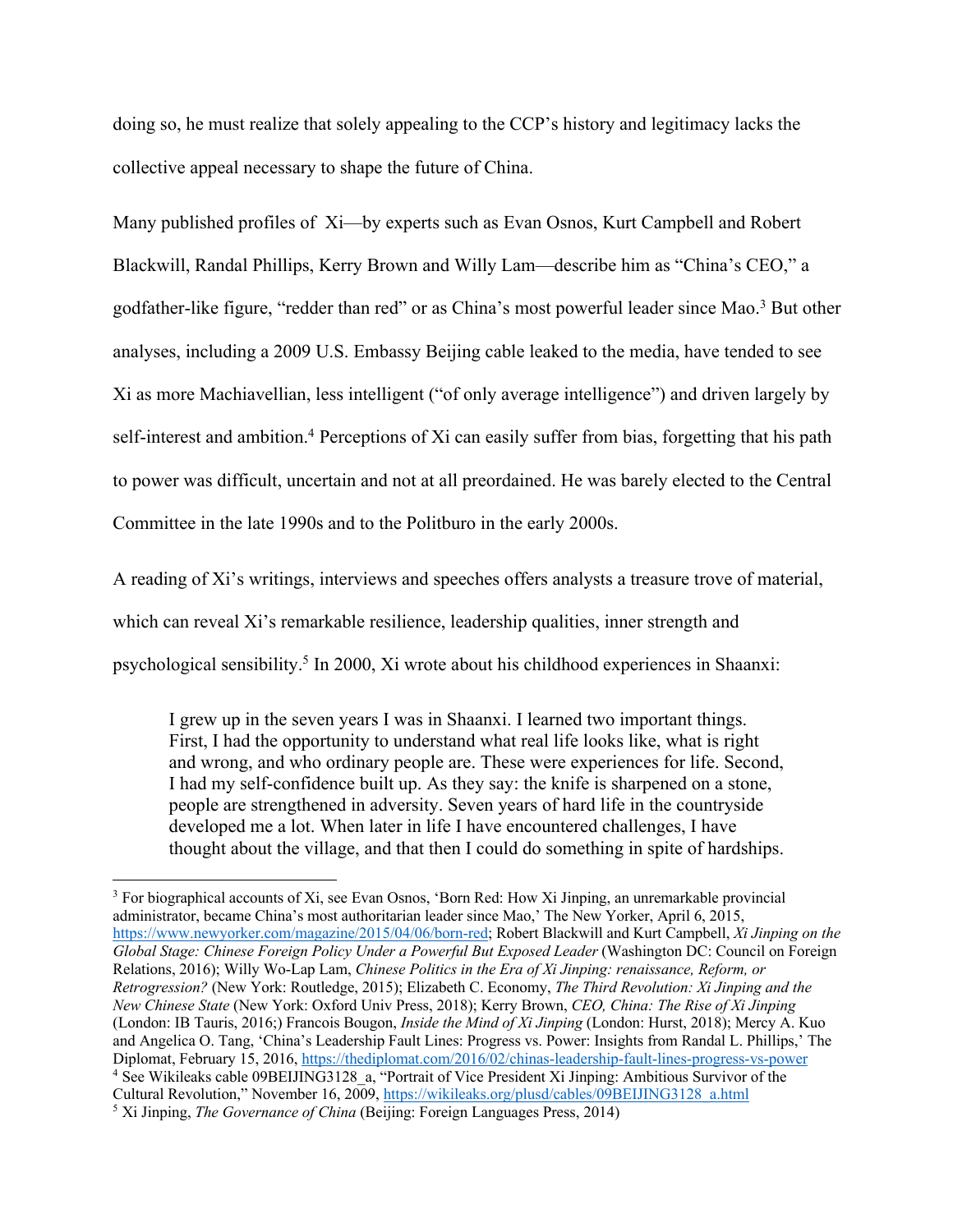doing so, he must realize that solely appealing to the CCP's history and legitimacy lacks the collective appeal necessary to shape the future of China.

Many published profiles of Xi—by experts such as Evan Osnos, Kurt Campbell and Robert Blackwill, Randal Phillips, Kerry Brown and Willy Lam—describe him as "China's CEO," a godfather-like figure, "redder than red" or as China's most powerful leader since Mao.3 But other analyses, including a 2009 U.S. Embassy Beijing cable leaked to the media, have tended to see Xi as more Machiavellian, less intelligent ("of only average intelligence") and driven largely by self-interest and ambition.<sup>4</sup> Perceptions of Xi can easily suffer from bias, forgetting that his path to power was difficult, uncertain and not at all preordained. He was barely elected to the Central Committee in the late 1990s and to the Politburo in the early 2000s.

A reading of Xi's writings, interviews and speeches offers analysts a treasure trove of material, which can reveal Xi's remarkable resilience, leadership qualities, inner strength and psychological sensibility.5 In 2000, Xi wrote about his childhood experiences in Shaanxi:

I grew up in the seven years I was in Shaanxi. I learned two important things. First, I had the opportunity to understand what real life looks like, what is right and wrong, and who ordinary people are. These were experiences for life. Second, I had my self-confidence built up. As they say: the knife is sharpened on a stone, people are strengthened in adversity. Seven years of hard life in the countryside developed me a lot. When later in life I have encountered challenges, I have thought about the village, and that then I could do something in spite of hardships.

<sup>&</sup>lt;sup>3</sup> For biographical accounts of Xi, see Evan Osnos, 'Born Red: How Xi Jinping, an unremarkable provincial administrator, became China's most authoritarian leader since Mao,' The New Yorker, April 6, 2015, https://www.newyorker.com/magazine/2015/04/06/born-red; Robert Blackwill and Kurt Campbell, *Xi Jinping on the Global Stage: Chinese Foreign Policy Under a Powerful But Exposed Leader* (Washington DC: Council on Foreign Relations, 2016); Willy Wo-Lap Lam, *Chinese Politics in the Era of Xi Jinping: renaissance, Reform, or Retrogression?* (New York: Routledge, 2015); Elizabeth C. Economy, *The Third Revolution: Xi Jinping and the New Chinese State* (New York: Oxford Univ Press, 2018); Kerry Brown, *CEO, China: The Rise of Xi Jinping* (London: IB Tauris, 2016;) Francois Bougon, *Inside the Mind of Xi Jinping* (London: Hurst, 2018); Mercy A. Kuo and Angelica O. Tang, 'China's Leadership Fault Lines: Progress vs. Power: Insights from Randal L. Phillips,' The Diplomat, February 15, 2016, https://thediplomat.com/2016/02/chinas-leadership-fault-lines-progress-vs-power <sup>4</sup> See Wikileaks cable 09BEIJING3128 a, "Portrait of Vice President Xi Jinping: Ambitious Survivor of the Cultural Revolution," November 16, 2009, https://wikileaks.org/plusd/cables/09BEIJING3128\_a.html <sup>5</sup> Xi Jinping, *The Governance of China* (Beijing: Foreign Languages Press, 2014)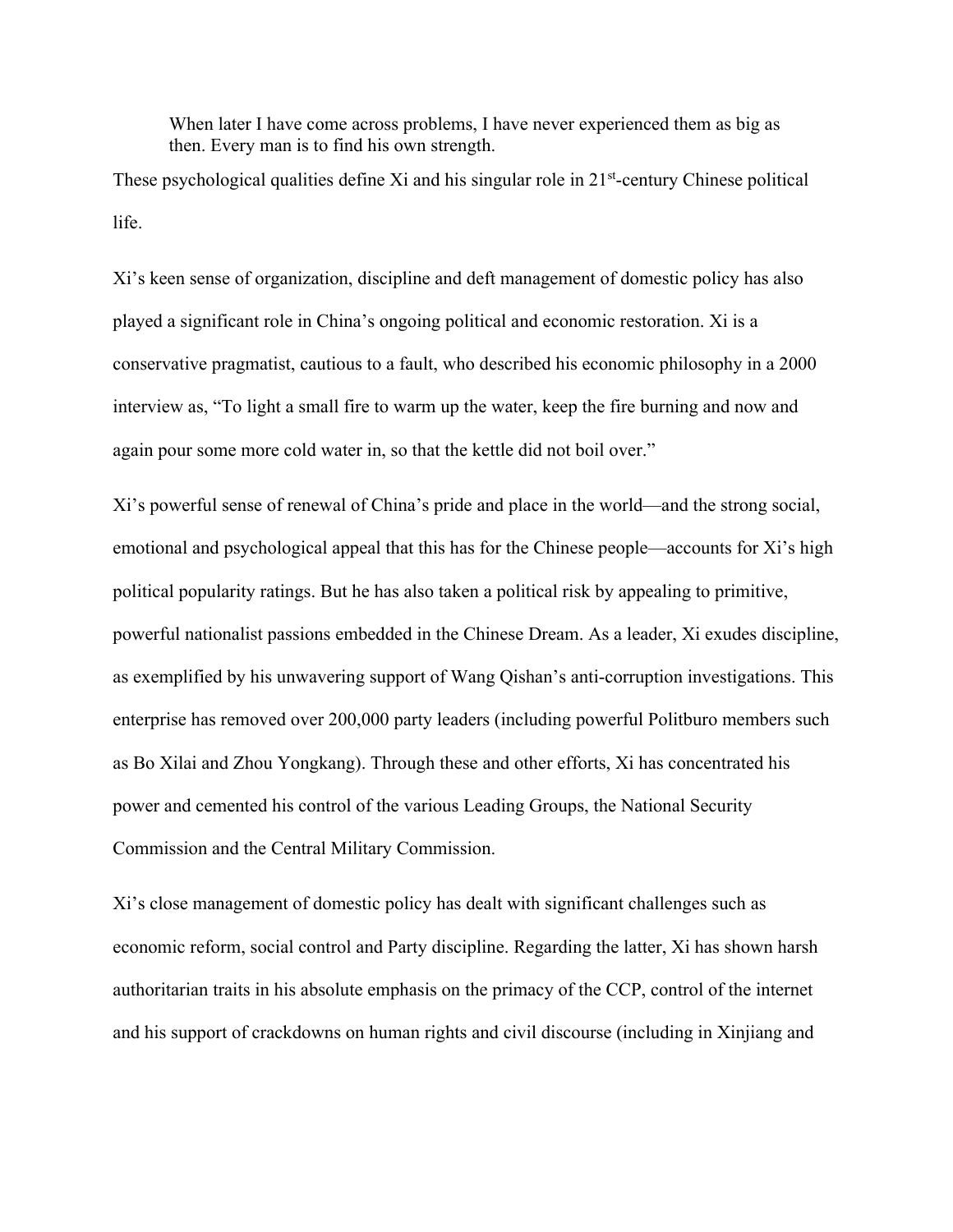When later I have come across problems, I have never experienced them as big as then. Every man is to find his own strength.

These psychological qualities define Xi and his singular role in 21<sup>st</sup>-century Chinese political life.

Xi's keen sense of organization, discipline and deft management of domestic policy has also played a significant role in China's ongoing political and economic restoration. Xi is a conservative pragmatist, cautious to a fault, who described his economic philosophy in a 2000 interview as, "To light a small fire to warm up the water, keep the fire burning and now and again pour some more cold water in, so that the kettle did not boil over."

Xi's powerful sense of renewal of China's pride and place in the world—and the strong social, emotional and psychological appeal that this has for the Chinese people—accounts for Xi's high political popularity ratings. But he has also taken a political risk by appealing to primitive, powerful nationalist passions embedded in the Chinese Dream. As a leader, Xi exudes discipline, as exemplified by his unwavering support of Wang Qishan's anti-corruption investigations. This enterprise has removed over 200,000 party leaders (including powerful Politburo members such as Bo Xilai and Zhou Yongkang). Through these and other efforts, Xi has concentrated his power and cemented his control of the various Leading Groups, the National Security Commission and the Central Military Commission.

Xi's close management of domestic policy has dealt with significant challenges such as economic reform, social control and Party discipline. Regarding the latter, Xi has shown harsh authoritarian traits in his absolute emphasis on the primacy of the CCP, control of the internet and his support of crackdowns on human rights and civil discourse (including in Xinjiang and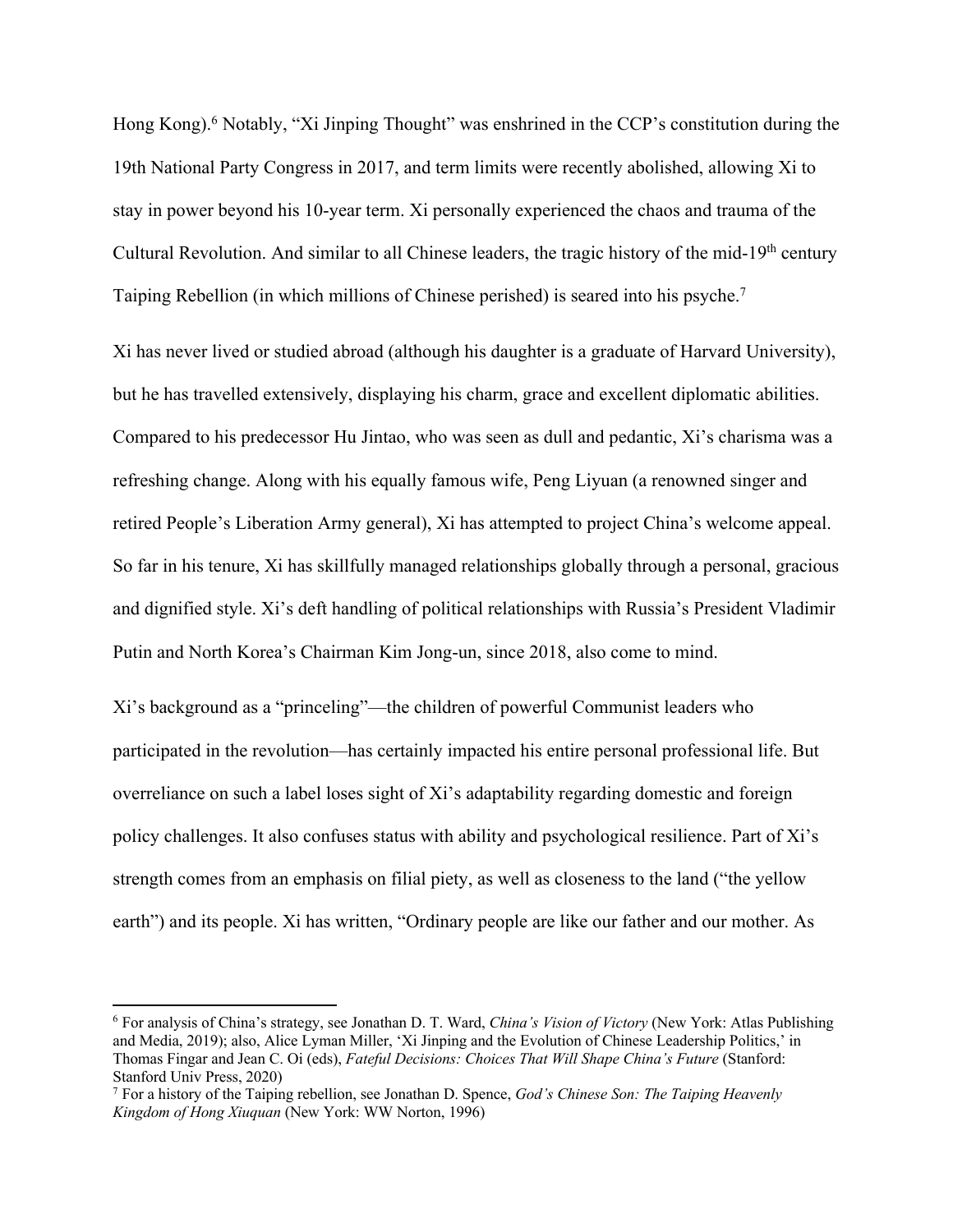Hong Kong).<sup>6</sup> Notably, "Xi Jinping Thought" was enshrined in the CCP's constitution during the 19th National Party Congress in 2017, and term limits were recently abolished, allowing Xi to stay in power beyond his 10-year term. Xi personally experienced the chaos and trauma of the Cultural Revolution. And similar to all Chinese leaders, the tragic history of the mid-19th century Taiping Rebellion (in which millions of Chinese perished) is seared into his psyche.7

Xi has never lived or studied abroad (although his daughter is a graduate of Harvard University), but he has travelled extensively, displaying his charm, grace and excellent diplomatic abilities. Compared to his predecessor Hu Jintao, who was seen as dull and pedantic, Xi's charisma was a refreshing change. Along with his equally famous wife, Peng Liyuan (a renowned singer and retired People's Liberation Army general), Xi has attempted to project China's welcome appeal. So far in his tenure, Xi has skillfully managed relationships globally through a personal, gracious and dignified style. Xi's deft handling of political relationships with Russia's President Vladimir Putin and North Korea's Chairman Kim Jong-un, since 2018, also come to mind.

Xi's background as a "princeling"—the children of powerful Communist leaders who participated in the revolution—has certainly impacted his entire personal professional life. But overreliance on such a label loses sight of Xi's adaptability regarding domestic and foreign policy challenges. It also confuses status with ability and psychological resilience. Part of Xi's strength comes from an emphasis on filial piety, as well as closeness to the land ("the yellow earth") and its people. Xi has written, "Ordinary people are like our father and our mother. As

<sup>6</sup> For analysis of China's strategy, see Jonathan D. T. Ward, *China's Vision of Victory* (New York: Atlas Publishing and Media, 2019); also, Alice Lyman Miller, 'Xi Jinping and the Evolution of Chinese Leadership Politics,' in Thomas Fingar and Jean C. Oi (eds), *Fateful Decisions: Choices That Will Shape China's Future* (Stanford: Stanford Univ Press, 2020)

<sup>7</sup> For a history of the Taiping rebellion, see Jonathan D. Spence, *God's Chinese Son: The Taiping Heavenly Kingdom of Hong Xiuquan* (New York: WW Norton, 1996)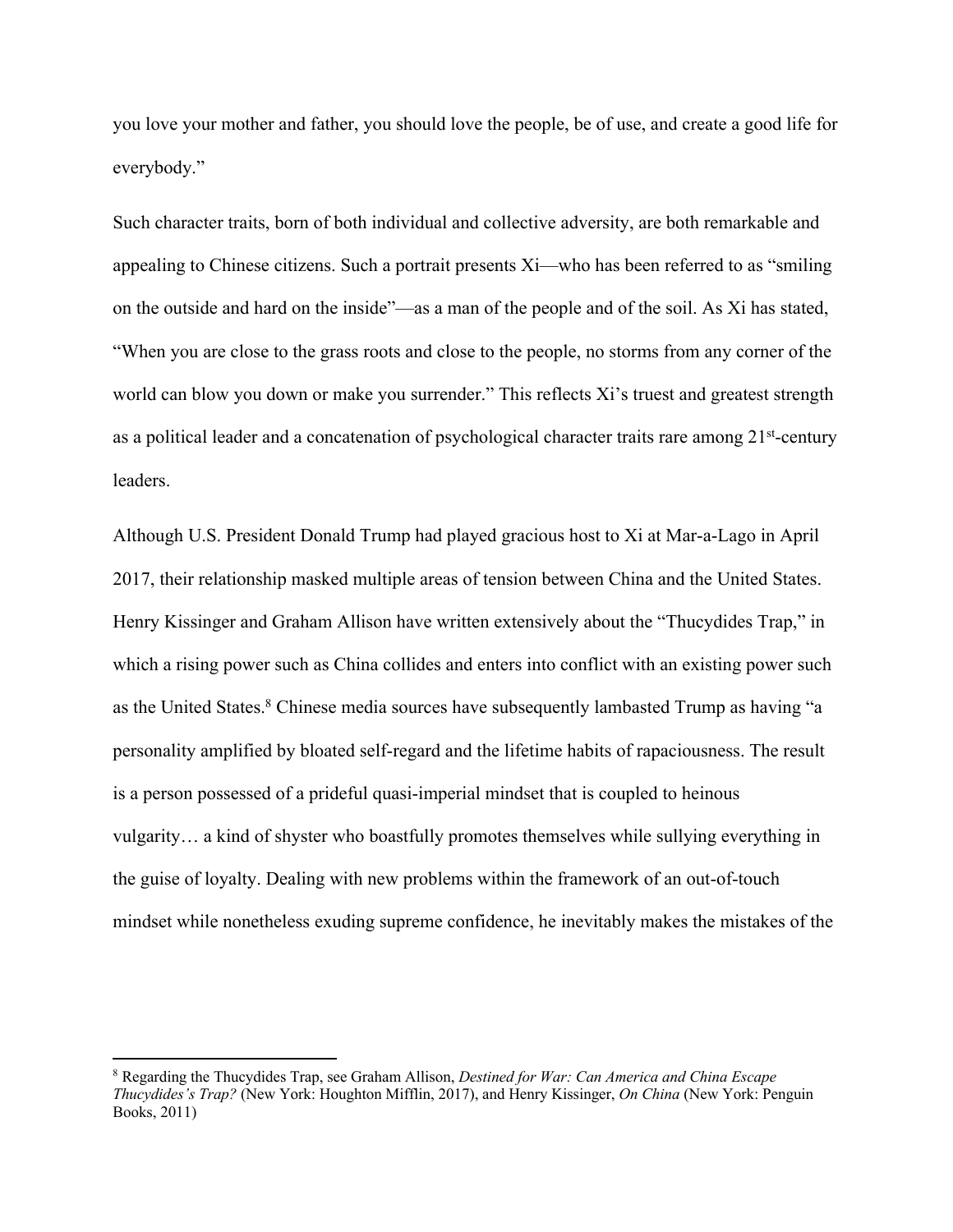you love your mother and father, you should love the people, be of use, and create a good life for everybody."

Such character traits, born of both individual and collective adversity, are both remarkable and appealing to Chinese citizens. Such a portrait presents Xi—who has been referred to as "smiling on the outside and hard on the inside"—as a man of the people and of the soil. As Xi has stated, "When you are close to the grass roots and close to the people, no storms from any corner of the world can blow you down or make you surrender." This reflects Xi's truest and greatest strength as a political leader and a concatenation of psychological character traits rare among 21<sup>st</sup>-century leaders.

Although U.S. President Donald Trump had played gracious host to Xi at Mar-a-Lago in April 2017, their relationship masked multiple areas of tension between China and the United States. Henry Kissinger and Graham Allison have written extensively about the "Thucydides Trap," in which a rising power such as China collides and enters into conflict with an existing power such as the United States.<sup>8</sup> Chinese media sources have subsequently lambasted Trump as having "a personality amplified by bloated self-regard and the lifetime habits of rapaciousness. The result is a person possessed of a prideful quasi-imperial mindset that is coupled to heinous vulgarity… a kind of shyster who boastfully promotes themselves while sullying everything in the guise of loyalty. Dealing with new problems within the framework of an out-of-touch mindset while nonetheless exuding supreme confidence, he inevitably makes the mistakes of the

<sup>8</sup> Regarding the Thucydides Trap, see Graham Allison, *Destined for War: Can America and China Escape Thucydides's Trap?* (New York: Houghton Mifflin, 2017), and Henry Kissinger, *On China* (New York: Penguin Books, 2011)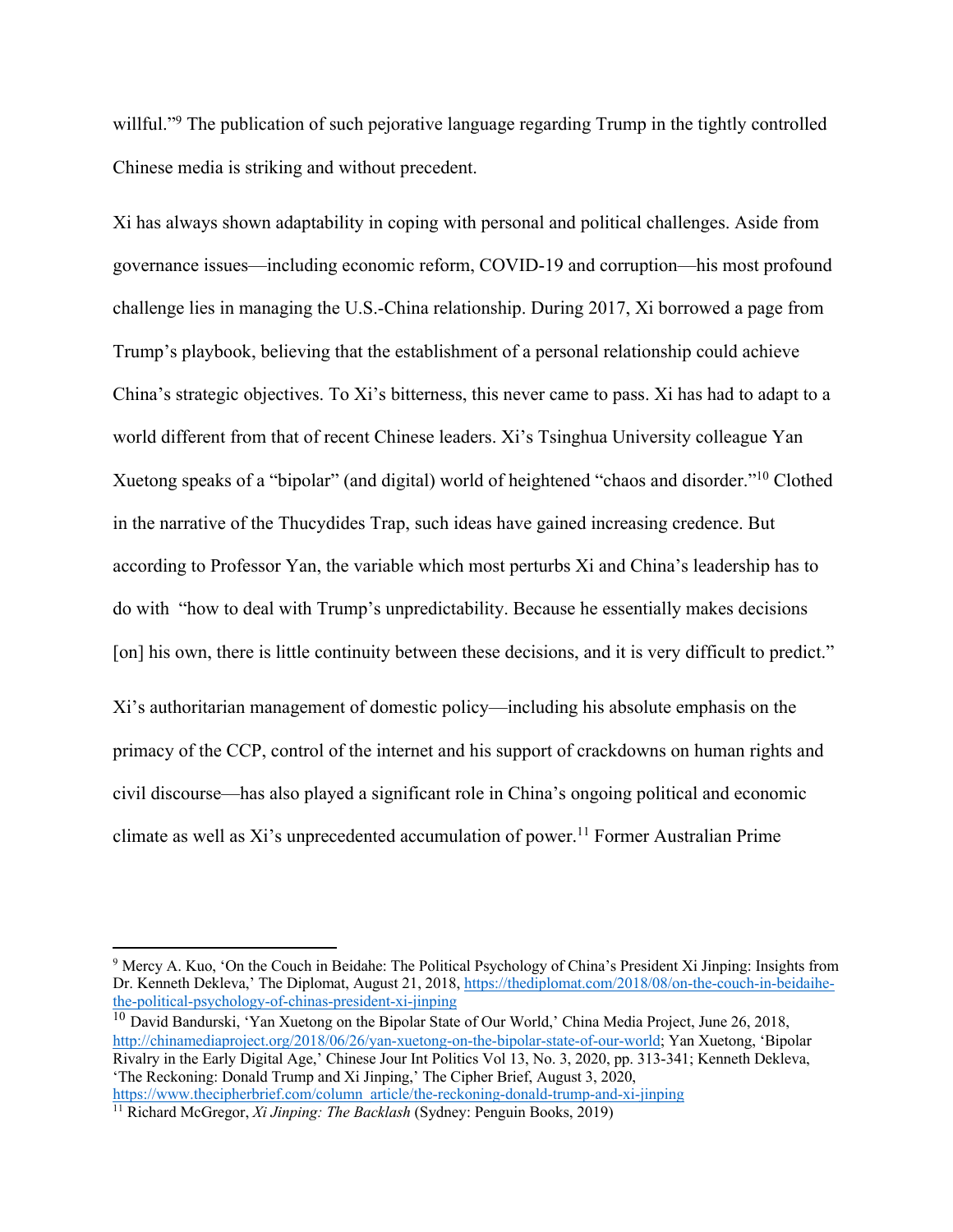willful."<sup>9</sup> The publication of such pejorative language regarding Trump in the tightly controlled Chinese media is striking and without precedent.

Xi has always shown adaptability in coping with personal and political challenges. Aside from governance issues—including economic reform, COVID-19 and corruption—his most profound challenge lies in managing the U.S.-China relationship. During 2017, Xi borrowed a page from Trump's playbook, believing that the establishment of a personal relationship could achieve China's strategic objectives. To Xi's bitterness, this never came to pass. Xi has had to adapt to a world different from that of recent Chinese leaders. Xi's Tsinghua University colleague Yan Xuetong speaks of a "bipolar" (and digital) world of heightened "chaos and disorder."10 Clothed in the narrative of the Thucydides Trap, such ideas have gained increasing credence. But according to Professor Yan, the variable which most perturbs Xi and China's leadership has to do with "how to deal with Trump's unpredictability. Because he essentially makes decisions [on] his own, there is little continuity between these decisions, and it is very difficult to predict."

Xi's authoritarian management of domestic policy—including his absolute emphasis on the primacy of the CCP, control of the internet and his support of crackdowns on human rights and civil discourse—has also played a significant role in China's ongoing political and economic climate as well as  $Xi'$ 's unprecedented accumulation of power.<sup>11</sup> Former Australian Prime

https://www.thecipherbrief.com/column\_article/the-reckoning-donald-trump-and-xi-jinping <sup>11</sup> Richard McGregor, *Xi Jinping: The Backlash* (Sydney: Penguin Books, 2019)

<sup>9</sup> Mercy A. Kuo, 'On the Couch in Beidahe: The Political Psychology of China's President Xi Jinping: Insights from Dr. Kenneth Dekleva,' The Diplomat, August 21, 2018, https://thediplomat.com/2018/08/on-the-couch-in-beidaihethe-political-psychology-of-chinas-president-xi-jinping

<sup>&</sup>lt;sup>10</sup> David Bandurski, 'Yan Xuetong on the Bipolar State of Our World,' China Media Project, June 26, 2018, http://chinamediaproject.org/2018/06/26/yan-xuetong-on-the-bipolar-state-of-our-world; Yan Xuetong, 'Bipolar Rivalry in the Early Digital Age,' Chinese Jour Int Politics Vol 13, No. 3, 2020, pp. 313-341; Kenneth Dekleva, 'The Reckoning: Donald Trump and Xi Jinping,' The Cipher Brief, August 3, 2020,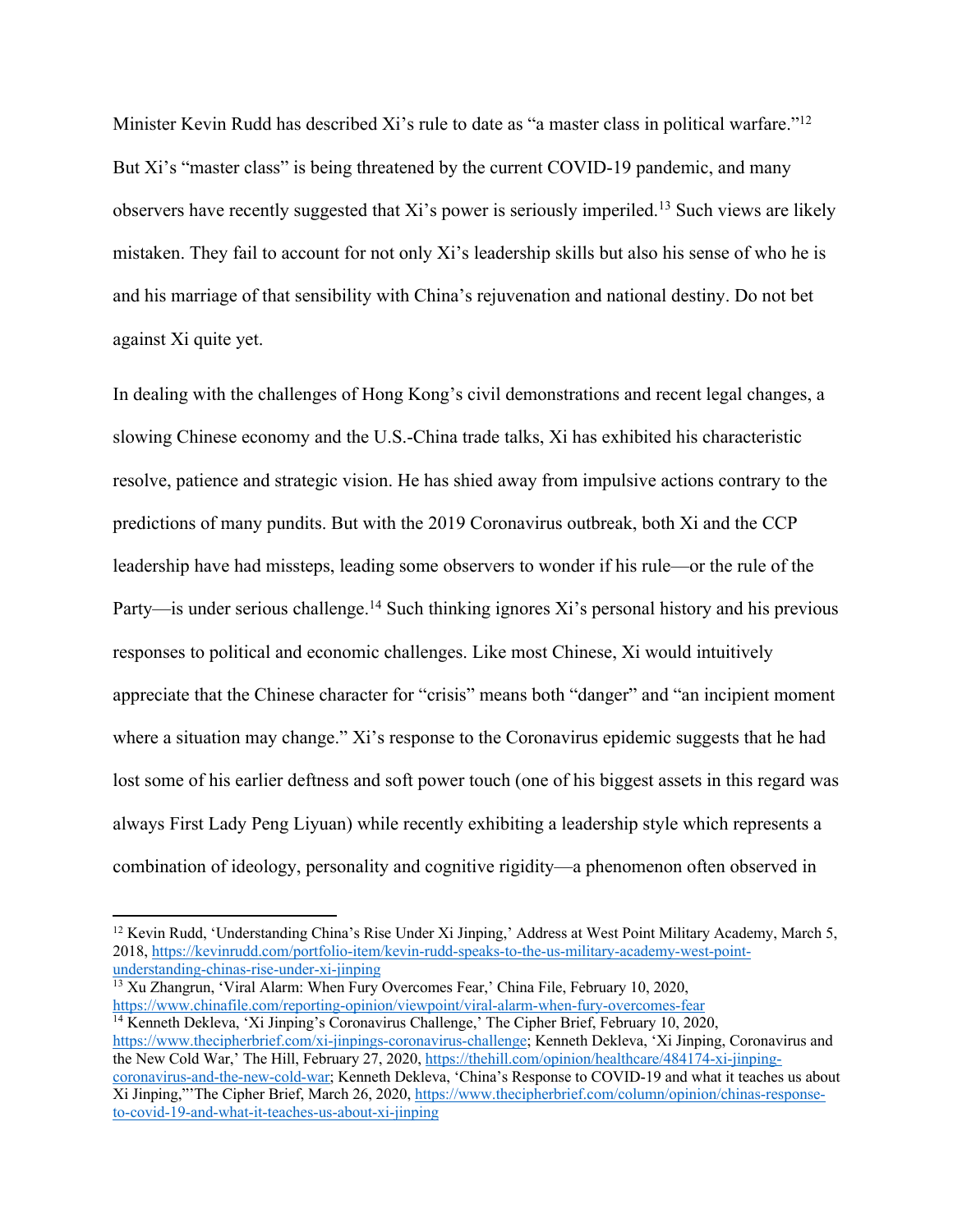Minister Kevin Rudd has described Xi's rule to date as "a master class in political warfare."<sup>12</sup> But Xi's "master class" is being threatened by the current COVID-19 pandemic, and many observers have recently suggested that Xi's power is seriously imperiled.13 Such views are likely mistaken. They fail to account for not only Xi's leadership skills but also his sense of who he is and his marriage of that sensibility with China's rejuvenation and national destiny. Do not bet against Xi quite yet.

In dealing with the challenges of Hong Kong's civil demonstrations and recent legal changes, a slowing Chinese economy and the U.S.-China trade talks, Xi has exhibited his characteristic resolve, patience and strategic vision. He has shied away from impulsive actions contrary to the predictions of many pundits. But with the 2019 Coronavirus outbreak, both Xi and the CCP leadership have had missteps, leading some observers to wonder if his rule—or the rule of the Party—is under serious challenge.<sup>14</sup> Such thinking ignores Xi's personal history and his previous responses to political and economic challenges. Like most Chinese, Xi would intuitively appreciate that the Chinese character for "crisis" means both "danger" and "an incipient moment where a situation may change." Xi's response to the Coronavirus epidemic suggests that he had lost some of his earlier deftness and soft power touch (one of his biggest assets in this regard was always First Lady Peng Liyuan) while recently exhibiting a leadership style which represents a combination of ideology, personality and cognitive rigidity—a phenomenon often observed in

 $\frac{13 \text{ Xu Zhangrun}}{13}$ , 'Viral Alarm: When Fury Overcomes Fear,' China File, February 10, 2020, https://www.chinafile.com/reporting-opinion/viewpoint/viral-alarm-when-fury-overcomes-fear <sup>14</sup> Kenneth Dekleva, 'Xi Jinping's Coronavirus Challenge,' The Cipher Brief, February 10, 2020,

<sup>&</sup>lt;sup>12</sup> Kevin Rudd, 'Understanding China's Rise Under Xi Jinping,' Address at West Point Military Academy, March 5, 2018, https://kevinrudd.com/portfolio-item/kevin-rudd-speaks-to-the-us-military-academy-west-point-

https://www.thecipherbrief.com/xi-jinpings-coronavirus-challenge; Kenneth Dekleva, 'Xi Jinping, Coronavirus and the New Cold War,' The Hill, February 27, 2020, https://thehill.com/opinion/healthcare/484174-xi-jinpingcoronavirus-and-the-new-cold-war; Kenneth Dekleva, 'China's Response to COVID-19 and what it teaches us about Xi Jinping,"'The Cipher Brief, March 26, 2020, https://www.thecipherbrief.com/column/opinion/chinas-responseto-covid-19-and-what-it-teaches-us-about-xi-jinping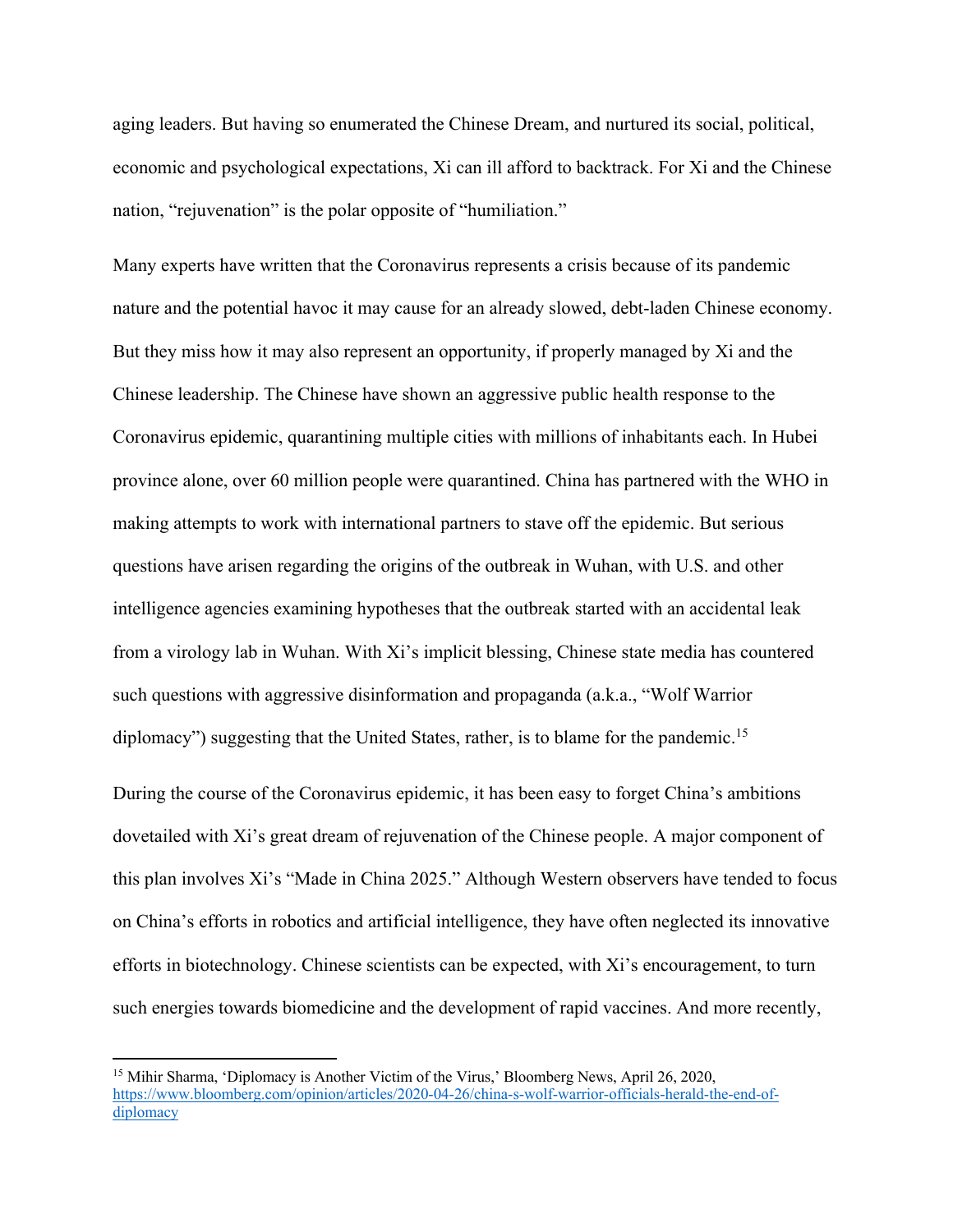aging leaders. But having so enumerated the Chinese Dream, and nurtured its social, political, economic and psychological expectations, Xi can ill afford to backtrack. For Xi and the Chinese nation, "rejuvenation" is the polar opposite of "humiliation."

Many experts have written that the Coronavirus represents a crisis because of its pandemic nature and the potential havoc it may cause for an already slowed, debt-laden Chinese economy. But they miss how it may also represent an opportunity, if properly managed by Xi and the Chinese leadership. The Chinese have shown an aggressive public health response to the Coronavirus epidemic, quarantining multiple cities with millions of inhabitants each. In Hubei province alone, over 60 million people were quarantined. China has partnered with the WHO in making attempts to work with international partners to stave off the epidemic. But serious questions have arisen regarding the origins of the outbreak in Wuhan, with U.S. and other intelligence agencies examining hypotheses that the outbreak started with an accidental leak from a virology lab in Wuhan. With Xi's implicit blessing, Chinese state media has countered such questions with aggressive disinformation and propaganda (a.k.a., "Wolf Warrior diplomacy") suggesting that the United States, rather, is to blame for the pandemic.<sup>15</sup>

During the course of the Coronavirus epidemic, it has been easy to forget China's ambitions dovetailed with Xi's great dream of rejuvenation of the Chinese people. A major component of this plan involves Xi's "Made in China 2025." Although Western observers have tended to focus on China's efforts in robotics and artificial intelligence, they have often neglected its innovative efforts in biotechnology. Chinese scientists can be expected, with Xi's encouragement, to turn such energies towards biomedicine and the development of rapid vaccines. And more recently,

<sup>15</sup> Mihir Sharma, 'Diplomacy is Another Victim of the Virus,' Bloomberg News, April 26, 2020, https://www.bloomberg.com/opinion/articles/2020-04-26/china-s-wolf-warrior-officials-herald-the-end-ofdiplomacy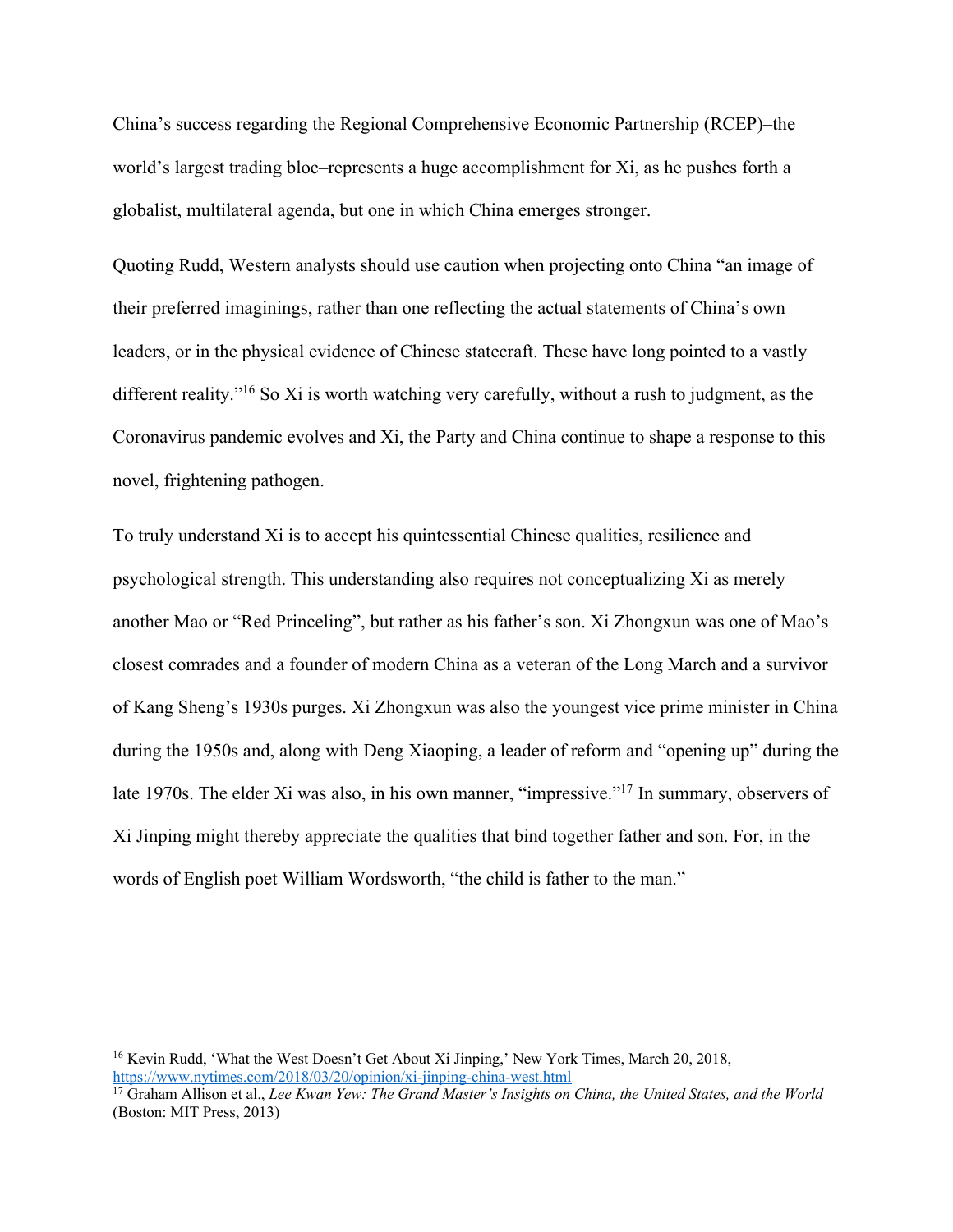China's success regarding the Regional Comprehensive Economic Partnership (RCEP)–the world's largest trading bloc–represents a huge accomplishment for Xi, as he pushes forth a globalist, multilateral agenda, but one in which China emerges stronger.

Quoting Rudd, Western analysts should use caution when projecting onto China "an image of their preferred imaginings, rather than one reflecting the actual statements of China's own leaders, or in the physical evidence of Chinese statecraft. These have long pointed to a vastly different reality."<sup>16</sup> So Xi is worth watching very carefully, without a rush to judgment, as the Coronavirus pandemic evolves and Xi, the Party and China continue to shape a response to this novel, frightening pathogen.

To truly understand Xi is to accept his quintessential Chinese qualities, resilience and psychological strength. This understanding also requires not conceptualizing Xi as merely another Mao or "Red Princeling", but rather as his father's son. Xi Zhongxun was one of Mao's closest comrades and a founder of modern China as a veteran of the Long March and a survivor of Kang Sheng's 1930s purges. Xi Zhongxun was also the youngest vice prime minister in China during the 1950s and, along with Deng Xiaoping, a leader of reform and "opening up" during the late 1970s. The elder Xi was also, in his own manner, "impressive."17 In summary, observers of Xi Jinping might thereby appreciate the qualities that bind together father and son. For, in the words of English poet William Wordsworth, "the child is father to the man."

<sup>&</sup>lt;sup>16</sup> Kevin Rudd, 'What the West Doesn't Get About Xi Jinping,' New York Times, March 20, 2018, https://www.nytimes.com/2018/03/20/opinion/xi-jinping-china-west.html

<sup>&</sup>lt;sup>17</sup> Graham Allison et al., *Lee Kwan Yew: The Grand Master's Insights on China, the United States, and the World* (Boston: MIT Press, 2013)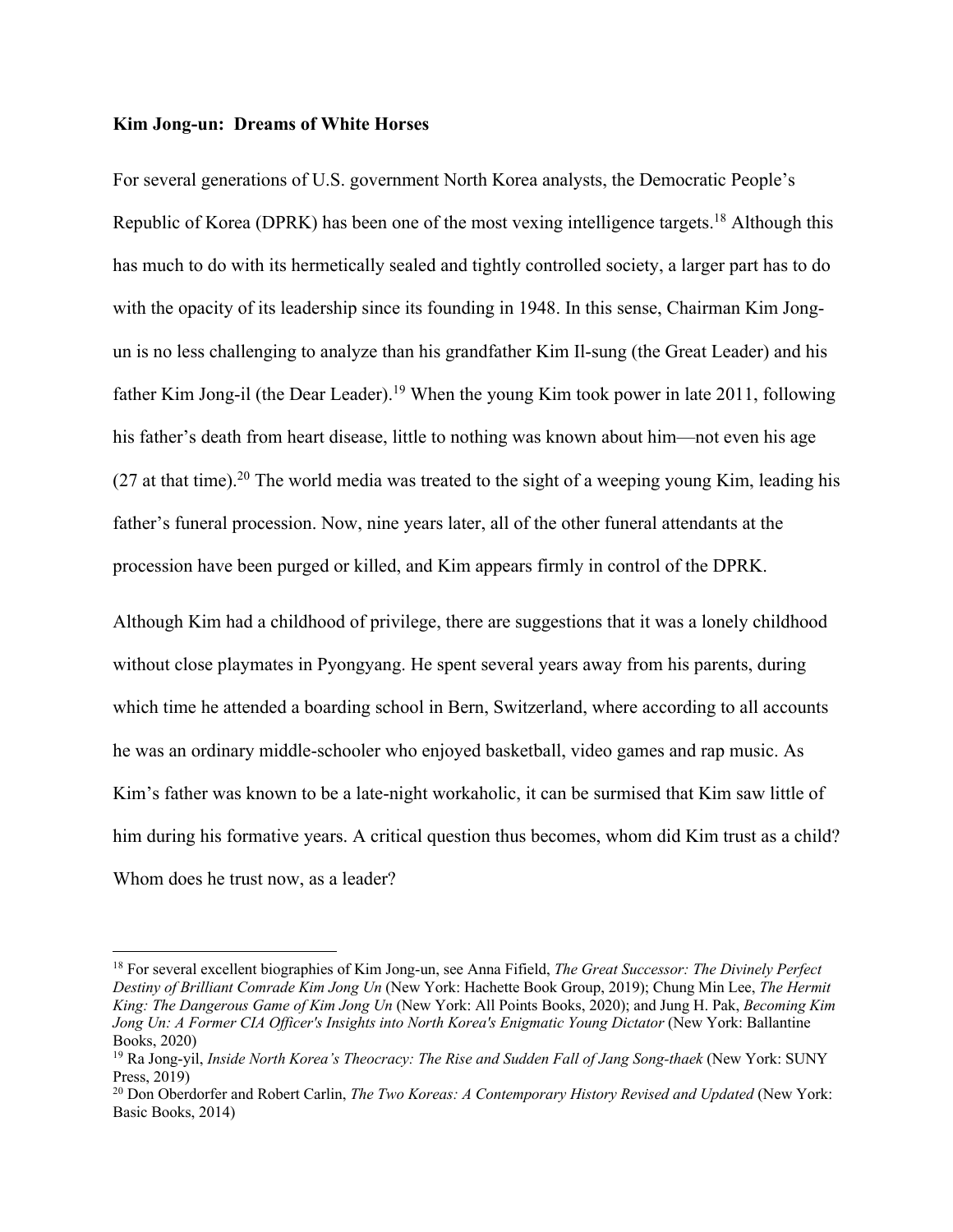#### **Kim Jong-un: Dreams of White Horses**

For several generations of U.S. government North Korea analysts, the Democratic People's Republic of Korea (DPRK) has been one of the most vexing intelligence targets.<sup>18</sup> Although this has much to do with its hermetically sealed and tightly controlled society, a larger part has to do with the opacity of its leadership since its founding in 1948. In this sense, Chairman Kim Jongun is no less challenging to analyze than his grandfather Kim Il-sung (the Great Leader) and his father Kim Jong-il (the Dear Leader).<sup>19</sup> When the young Kim took power in late 2011, following his father's death from heart disease, little to nothing was known about him—not even his age  $(27$  at that time).<sup>20</sup> The world media was treated to the sight of a weeping young Kim, leading his father's funeral procession. Now, nine years later, all of the other funeral attendants at the procession have been purged or killed, and Kim appears firmly in control of the DPRK.

Although Kim had a childhood of privilege, there are suggestions that it was a lonely childhood without close playmates in Pyongyang. He spent several years away from his parents, during which time he attended a boarding school in Bern, Switzerland, where according to all accounts he was an ordinary middle-schooler who enjoyed basketball, video games and rap music. As Kim's father was known to be a late-night workaholic, it can be surmised that Kim saw little of him during his formative years. A critical question thus becomes, whom did Kim trust as a child? Whom does he trust now, as a leader?

<sup>18</sup> For several excellent biographies of Kim Jong-un, see Anna Fifield, *The Great Successor: The Divinely Perfect Destiny of Brilliant Comrade Kim Jong Un* (New York: Hachette Book Group, 2019); Chung Min Lee, *The Hermit King: The Dangerous Game of Kim Jong Un* (New York: All Points Books, 2020); and Jung H. Pak, *Becoming Kim Jong Un: A Former CIA Officer's Insights into North Korea's Enigmatic Young Dictator* (New York: Ballantine Books, 2020)

<sup>19</sup> Ra Jong-yil, *Inside North Korea's Theocracy: The Rise and Sudden Fall of Jang Song-thaek* (New York: SUNY Press,  $2019$ )

<sup>20</sup> Don Oberdorfer and Robert Carlin, *The Two Koreas: A Contemporary History Revised and Updated* (New York: Basic Books, 2014)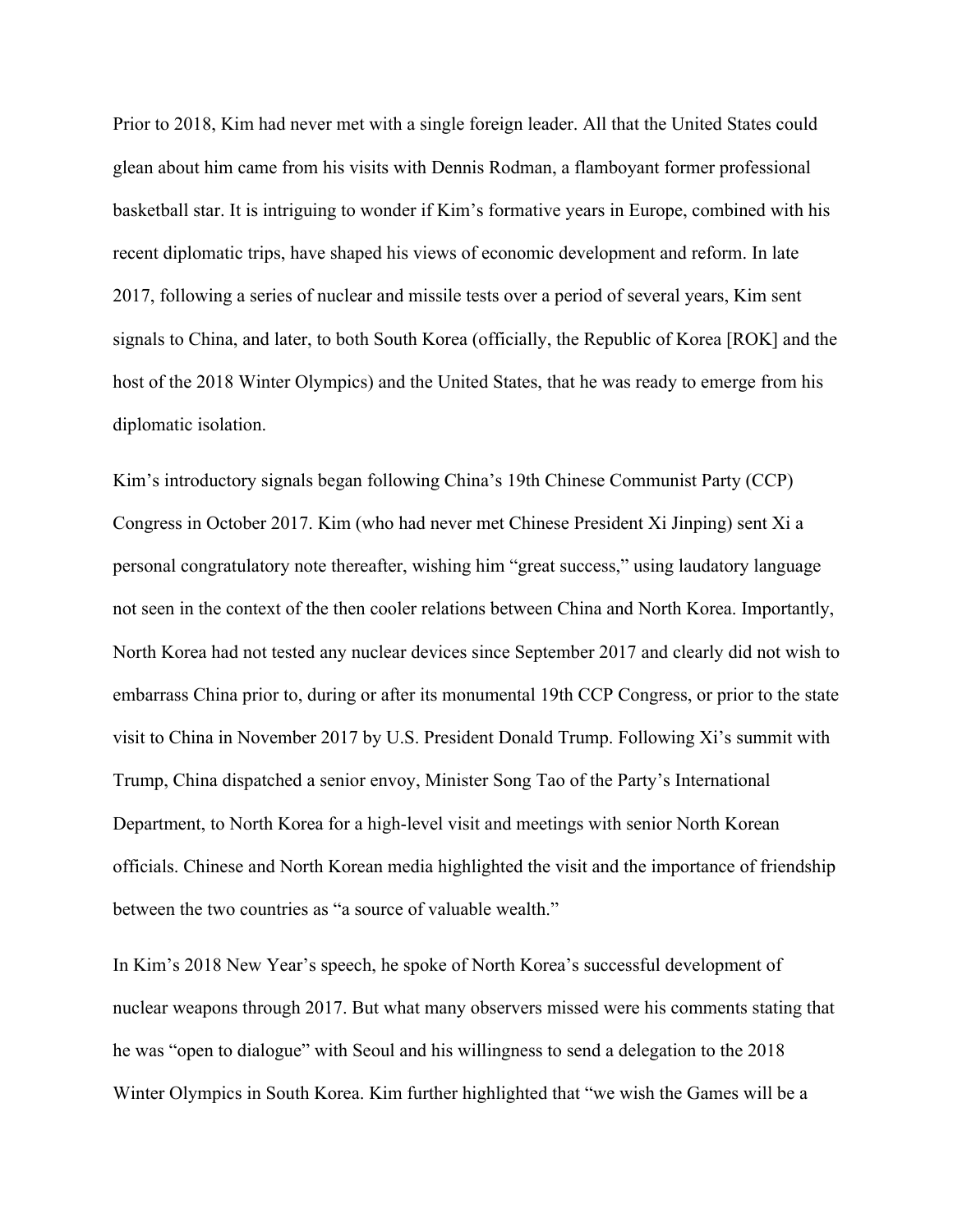Prior to 2018, Kim had never met with a single foreign leader. All that the United States could glean about him came from his visits with Dennis Rodman, a flamboyant former professional basketball star. It is intriguing to wonder if Kim's formative years in Europe, combined with his recent diplomatic trips, have shaped his views of economic development and reform. In late 2017, following a series of nuclear and missile tests over a period of several years, Kim sent signals to China, and later, to both South Korea (officially, the Republic of Korea [ROK] and the host of the 2018 Winter Olympics) and the United States, that he was ready to emerge from his diplomatic isolation.

Kim's introductory signals began following China's 19th Chinese Communist Party (CCP) Congress in October 2017. Kim (who had never met Chinese President Xi Jinping) sent Xi a personal congratulatory note thereafter, wishing him "great success," using laudatory language not seen in the context of the then cooler relations between China and North Korea. Importantly, North Korea had not tested any nuclear devices since September 2017 and clearly did not wish to embarrass China prior to, during or after its monumental 19th CCP Congress, or prior to the state visit to China in November 2017 by U.S. President Donald Trump. Following Xi's summit with Trump, China dispatched a senior envoy, Minister Song Tao of the Party's International Department, to North Korea for a high-level visit and meetings with senior North Korean officials. Chinese and North Korean media highlighted the visit and the importance of friendship between the two countries as "a source of valuable wealth."

In Kim's 2018 New Year's speech, he spoke of North Korea's successful development of nuclear weapons through 2017. But what many observers missed were his comments stating that he was "open to dialogue" with Seoul and his willingness to send a delegation to the 2018 Winter Olympics in South Korea. Kim further highlighted that "we wish the Games will be a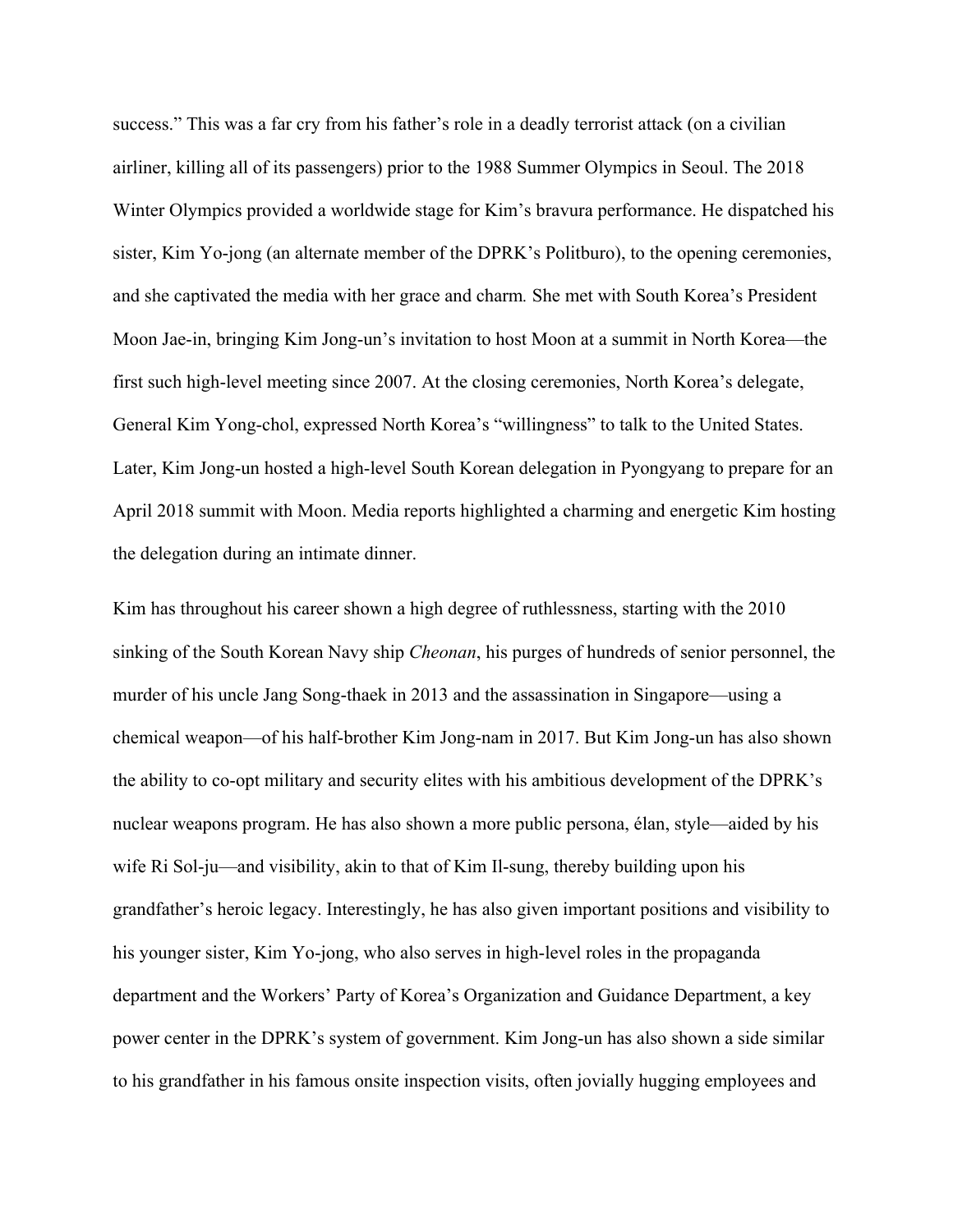success." This was a far cry from his father's role in a deadly terrorist attack (on a civilian airliner, killing all of its passengers) prior to the 1988 Summer Olympics in Seoul. The 2018 Winter Olympics provided a worldwide stage for Kim's bravura performance. He dispatched his sister, Kim Yo-jong (an alternate member of the DPRK's Politburo), to the opening ceremonies, and she captivated the media with her grace and charm*.* She met with South Korea's President Moon Jae-in, bringing Kim Jong-un's invitation to host Moon at a summit in North Korea—the first such high-level meeting since 2007. At the closing ceremonies, North Korea's delegate, General Kim Yong-chol, expressed North Korea's "willingness" to talk to the United States. Later, Kim Jong-un hosted a high-level South Korean delegation in Pyongyang to prepare for an April 2018 summit with Moon. Media reports highlighted a charming and energetic Kim hosting the delegation during an intimate dinner.

Kim has throughout his career shown a high degree of ruthlessness, starting with the 2010 sinking of the South Korean Navy ship *Cheonan*, his purges of hundreds of senior personnel, the murder of his uncle Jang Song-thaek in 2013 and the assassination in Singapore—using a chemical weapon—of his half-brother Kim Jong-nam in 2017. But Kim Jong-un has also shown the ability to co-opt military and security elites with his ambitious development of the DPRK's nuclear weapons program. He has also shown a more public persona, élan, style—aided by his wife Ri Sol-ju—and visibility, akin to that of Kim Il-sung, thereby building upon his grandfather's heroic legacy. Interestingly, he has also given important positions and visibility to his younger sister, Kim Yo-jong, who also serves in high-level roles in the propaganda department and the Workers' Party of Korea's Organization and Guidance Department, a key power center in the DPRK's system of government. Kim Jong-un has also shown a side similar to his grandfather in his famous onsite inspection visits, often jovially hugging employees and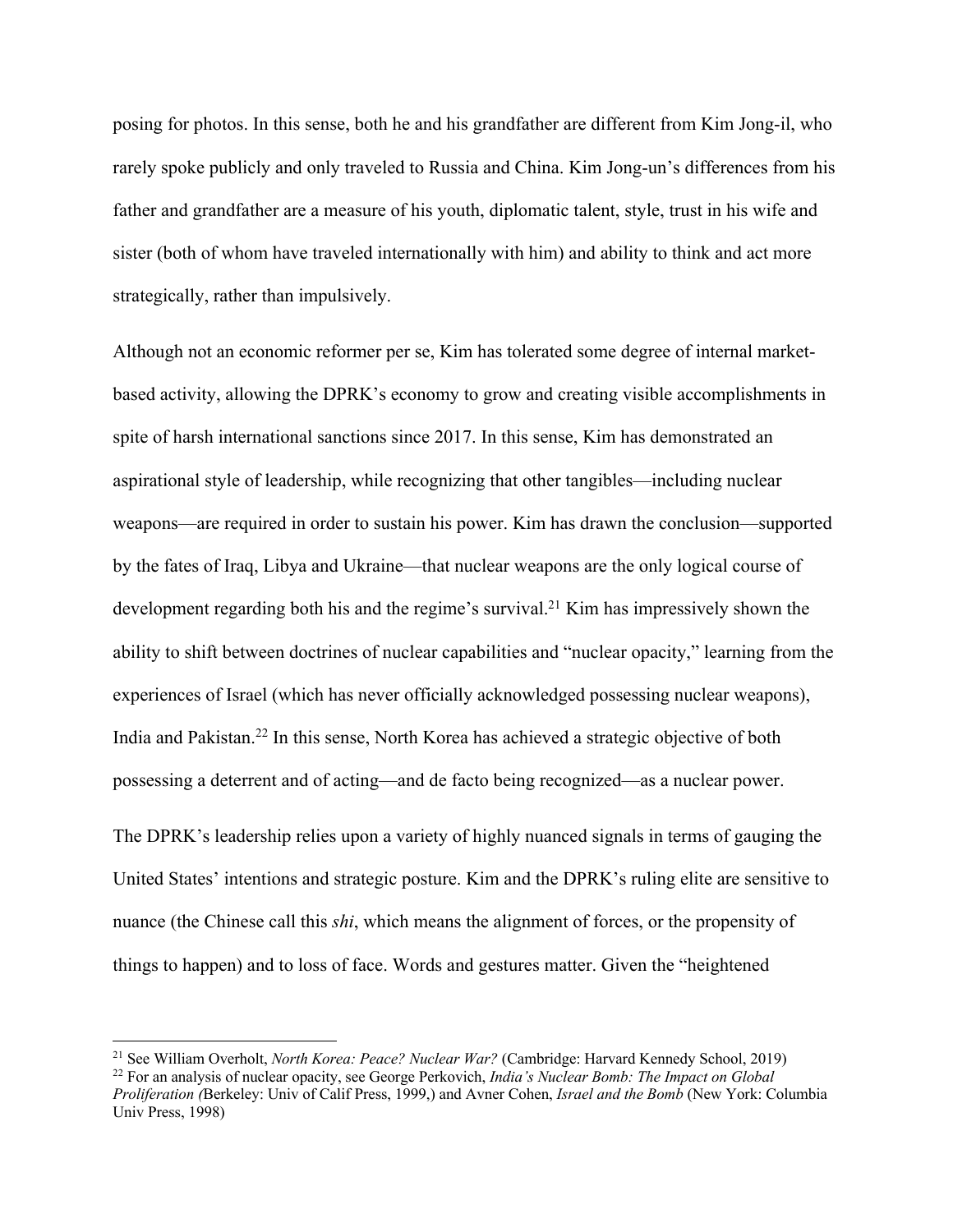posing for photos. In this sense, both he and his grandfather are different from Kim Jong-il, who rarely spoke publicly and only traveled to Russia and China. Kim Jong-un's differences from his father and grandfather are a measure of his youth, diplomatic talent, style, trust in his wife and sister (both of whom have traveled internationally with him) and ability to think and act more strategically, rather than impulsively.

Although not an economic reformer per se, Kim has tolerated some degree of internal marketbased activity, allowing the DPRK's economy to grow and creating visible accomplishments in spite of harsh international sanctions since 2017. In this sense, Kim has demonstrated an aspirational style of leadership, while recognizing that other tangibles—including nuclear weapons—are required in order to sustain his power. Kim has drawn the conclusion—supported by the fates of Iraq, Libya and Ukraine—that nuclear weapons are the only logical course of development regarding both his and the regime's survival.<sup>21</sup> Kim has impressively shown the ability to shift between doctrines of nuclear capabilities and "nuclear opacity," learning from the experiences of Israel (which has never officially acknowledged possessing nuclear weapons), India and Pakistan.22 In this sense, North Korea has achieved a strategic objective of both possessing a deterrent and of acting—and de facto being recognized—as a nuclear power.

The DPRK's leadership relies upon a variety of highly nuanced signals in terms of gauging the United States' intentions and strategic posture. Kim and the DPRK's ruling elite are sensitive to nuance (the Chinese call this *shi*, which means the alignment of forces, or the propensity of things to happen) and to loss of face. Words and gestures matter. Given the "heightened

<sup>21</sup> See William Overholt, *North Korea: Peace? Nuclear War?* (Cambridge: Harvard Kennedy School, 2019)

<sup>22</sup> For an analysis of nuclear opacity, see George Perkovich, *India's Nuclear Bomb: The Impact on Global Proliferation (*Berkeley: Univ of Calif Press, 1999,) and Avner Cohen, *Israel and the Bomb* (New York: Columbia Univ Press, 1998)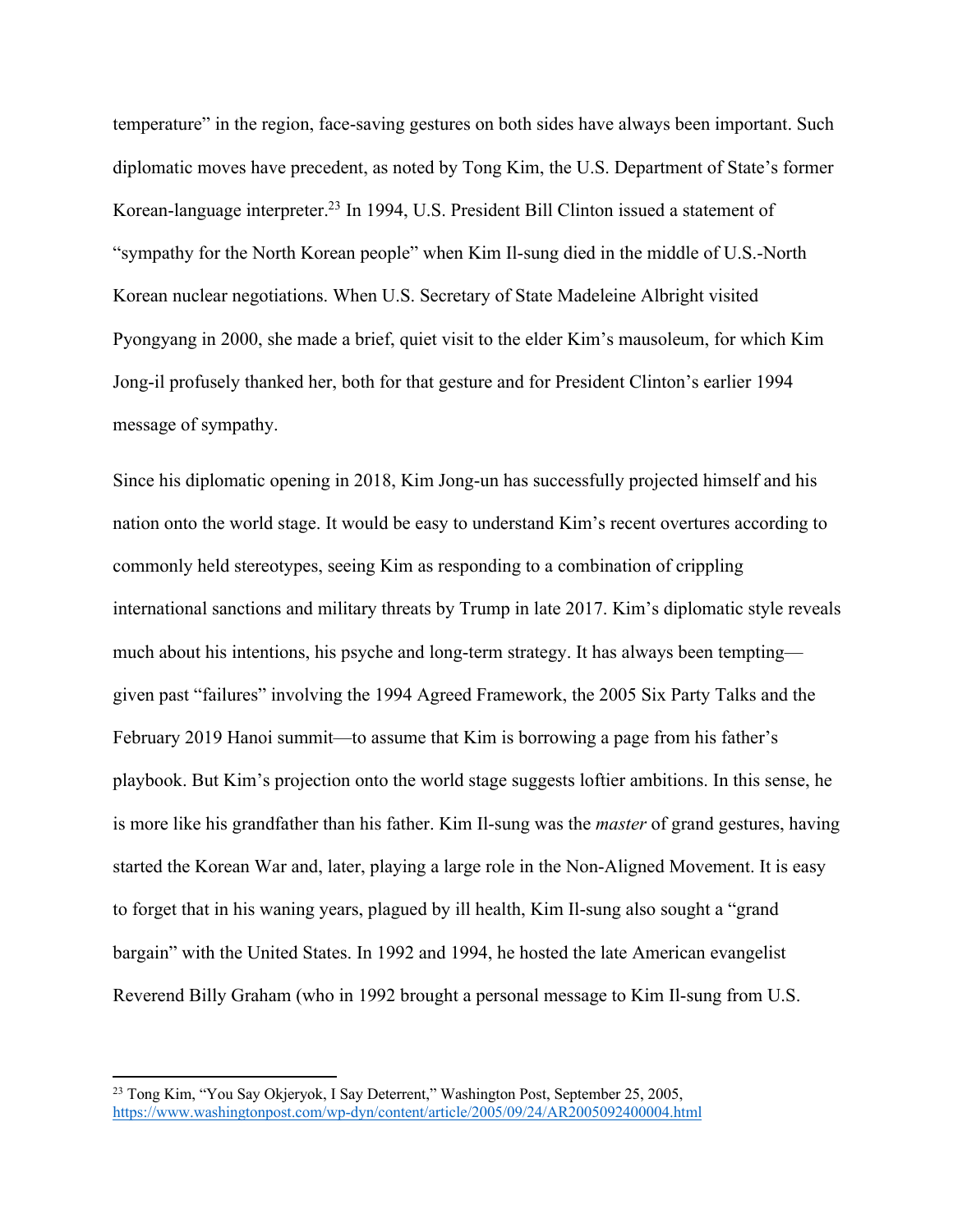temperature" in the region, face-saving gestures on both sides have always been important. Such diplomatic moves have precedent, as noted by Tong Kim, the U.S. Department of State's former Korean-language interpreter.<sup>23</sup> In 1994, U.S. President Bill Clinton issued a statement of "sympathy for the North Korean people" when Kim Il-sung died in the middle of U.S.-North Korean nuclear negotiations. When U.S. Secretary of State Madeleine Albright visited Pyongyang in 2000, she made a brief, quiet visit to the elder Kim's mausoleum, for which Kim Jong-il profusely thanked her, both for that gesture and for President Clinton's earlier 1994 message of sympathy.

Since his diplomatic opening in 2018, Kim Jong-un has successfully projected himself and his nation onto the world stage. It would be easy to understand Kim's recent overtures according to commonly held stereotypes, seeing Kim as responding to a combination of crippling international sanctions and military threats by Trump in late 2017. Kim's diplomatic style reveals much about his intentions, his psyche and long-term strategy. It has always been tempting given past "failures" involving the 1994 Agreed Framework, the 2005 Six Party Talks and the February 2019 Hanoi summit—to assume that Kim is borrowing a page from his father's playbook. But Kim's projection onto the world stage suggests loftier ambitions. In this sense, he is more like his grandfather than his father. Kim Il-sung was the *master* of grand gestures, having started the Korean War and, later, playing a large role in the Non-Aligned Movement. It is easy to forget that in his waning years, plagued by ill health, Kim Il-sung also sought a "grand bargain" with the United States. In 1992 and 1994, he hosted the late American evangelist Reverend Billy Graham (who in 1992 brought a personal message to Kim Il-sung from U.S.

<sup>&</sup>lt;sup>23</sup> Tong Kim, "You Say Okjeryok, I Say Deterrent," Washington Post, September 25, 2005, https://www.washingtonpost.com/wp-dyn/content/article/2005/09/24/AR2005092400004.html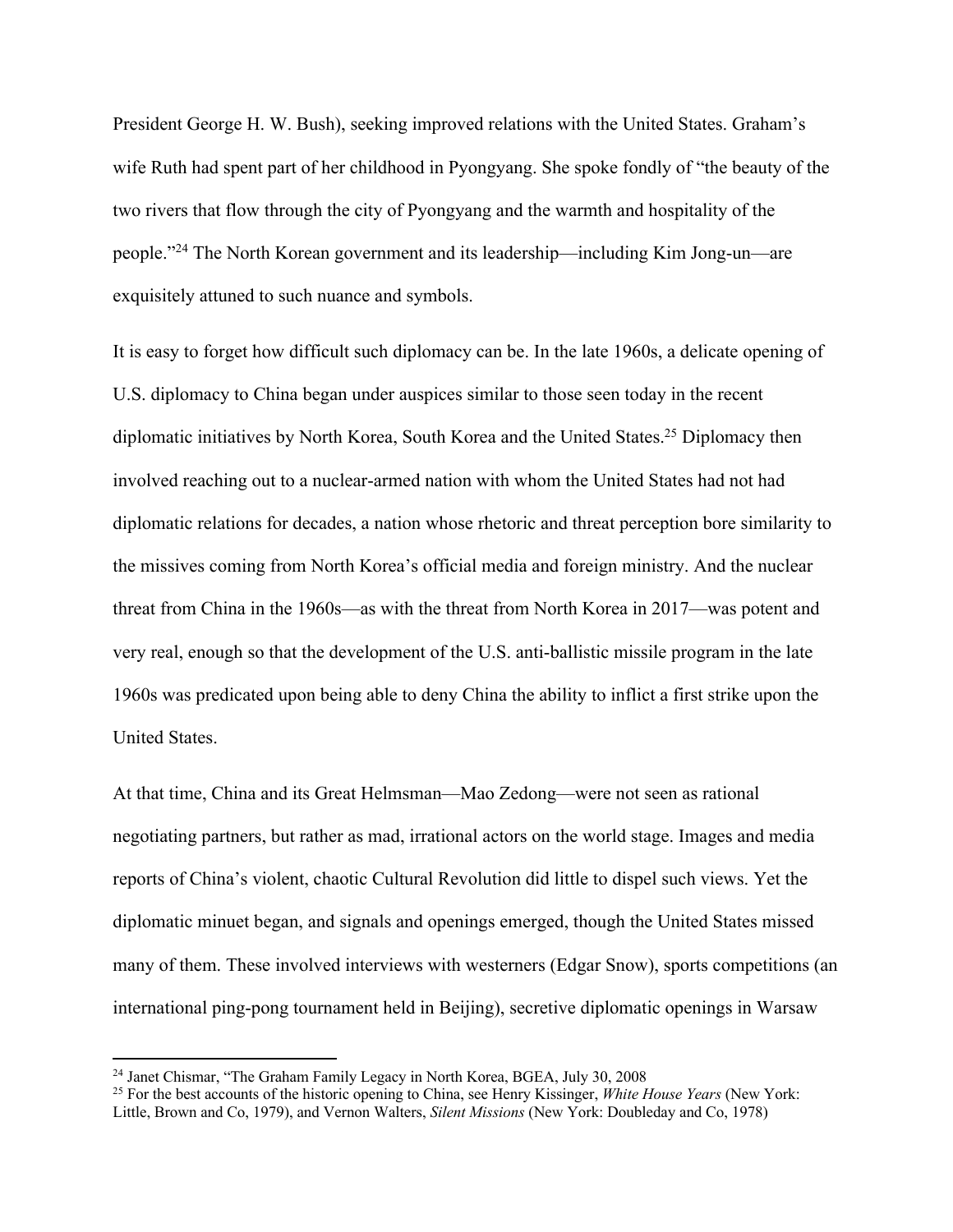President George H. W. Bush), seeking improved relations with the United States. Graham's wife Ruth had spent part of her childhood in Pyongyang. She spoke fondly of "the beauty of the two rivers that flow through the city of Pyongyang and the warmth and hospitality of the people."24 The North Korean government and its leadership—including Kim Jong-un—are exquisitely attuned to such nuance and symbols.

It is easy to forget how difficult such diplomacy can be. In the late 1960s, a delicate opening of U.S. diplomacy to China began under auspices similar to those seen today in the recent diplomatic initiatives by North Korea, South Korea and the United States.<sup>25</sup> Diplomacy then involved reaching out to a nuclear-armed nation with whom the United States had not had diplomatic relations for decades, a nation whose rhetoric and threat perception bore similarity to the missives coming from North Korea's official media and foreign ministry. And the nuclear threat from China in the 1960s—as with the threat from North Korea in 2017—was potent and very real, enough so that the development of the U.S. anti-ballistic missile program in the late 1960s was predicated upon being able to deny China the ability to inflict a first strike upon the United States.

At that time, China and its Great Helmsman—Mao Zedong—were not seen as rational negotiating partners, but rather as mad, irrational actors on the world stage. Images and media reports of China's violent, chaotic Cultural Revolution did little to dispel such views. Yet the diplomatic minuet began, and signals and openings emerged, though the United States missed many of them. These involved interviews with westerners (Edgar Snow), sports competitions (an international ping-pong tournament held in Beijing), secretive diplomatic openings in Warsaw

<sup>&</sup>lt;sup>24</sup> Janet Chismar, "The Graham Family Legacy in North Korea, BGEA, July 30, 2008

<sup>25</sup> For the best accounts of the historic opening to China, see Henry Kissinger, *White House Years* (New York: Little, Brown and Co, 1979), and Vernon Walters, *Silent Missions* (New York: Doubleday and Co, 1978)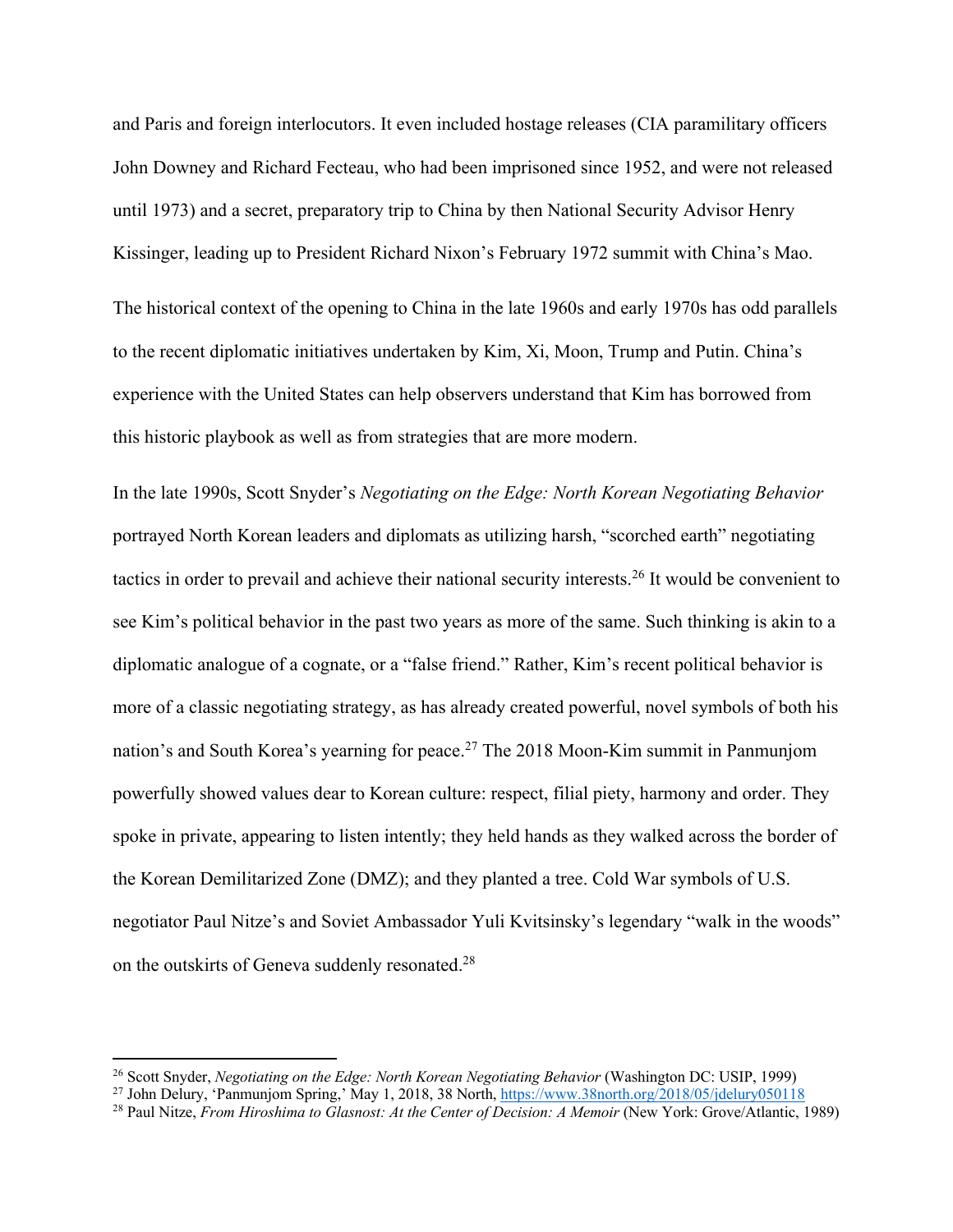and Paris and foreign interlocutors. It even included hostage releases (CIA paramilitary officers John Downey and Richard Fecteau, who had been imprisoned since 1952, and were not released until 1973) and a secret, preparatory trip to China by then National Security Advisor Henry Kissinger, leading up to President Richard Nixon's February 1972 summit with China's Mao.

The historical context of the opening to China in the late 1960s and early 1970s has odd parallels to the recent diplomatic initiatives undertaken by Kim, Xi, Moon, Trump and Putin. China's experience with the United States can help observers understand that Kim has borrowed from this historic playbook as well as from strategies that are more modern.

In the late 1990s, Scott Snyder's *Negotiating on the Edge: North Korean Negotiating Behavior* portrayed North Korean leaders and diplomats as utilizing harsh, "scorched earth" negotiating tactics in order to prevail and achieve their national security interests.26 It would be convenient to see Kim's political behavior in the past two years as more of the same. Such thinking is akin to a diplomatic analogue of a cognate, or a "false friend." Rather, Kim's recent political behavior is more of a classic negotiating strategy, as has already created powerful, novel symbols of both his nation's and South Korea's yearning for peace.27 The 2018 Moon-Kim summit in Panmunjom powerfully showed values dear to Korean culture: respect, filial piety, harmony and order. They spoke in private, appearing to listen intently; they held hands as they walked across the border of the Korean Demilitarized Zone (DMZ); and they planted a tree. Cold War symbols of U.S. negotiator Paul Nitze's and Soviet Ambassador Yuli Kvitsinsky's legendary "walk in the woods" on the outskirts of Geneva suddenly resonated.28

<sup>26</sup> Scott Snyder, *Negotiating on the Edge: North Korean Negotiating Behavior* (Washington DC: USIP, 1999)

<sup>&</sup>lt;sup>27</sup> John Delury, 'Panmunjom Spring,' May 1, 2018, 38 North, https://www.38north.org/2018/05/jdelury050118

<sup>&</sup>lt;sup>28</sup> Paul Nitze, *From Hiroshima to Glasnost: At the Center of Decision: A Memoir* (New York: Grove/Atlantic, 1989)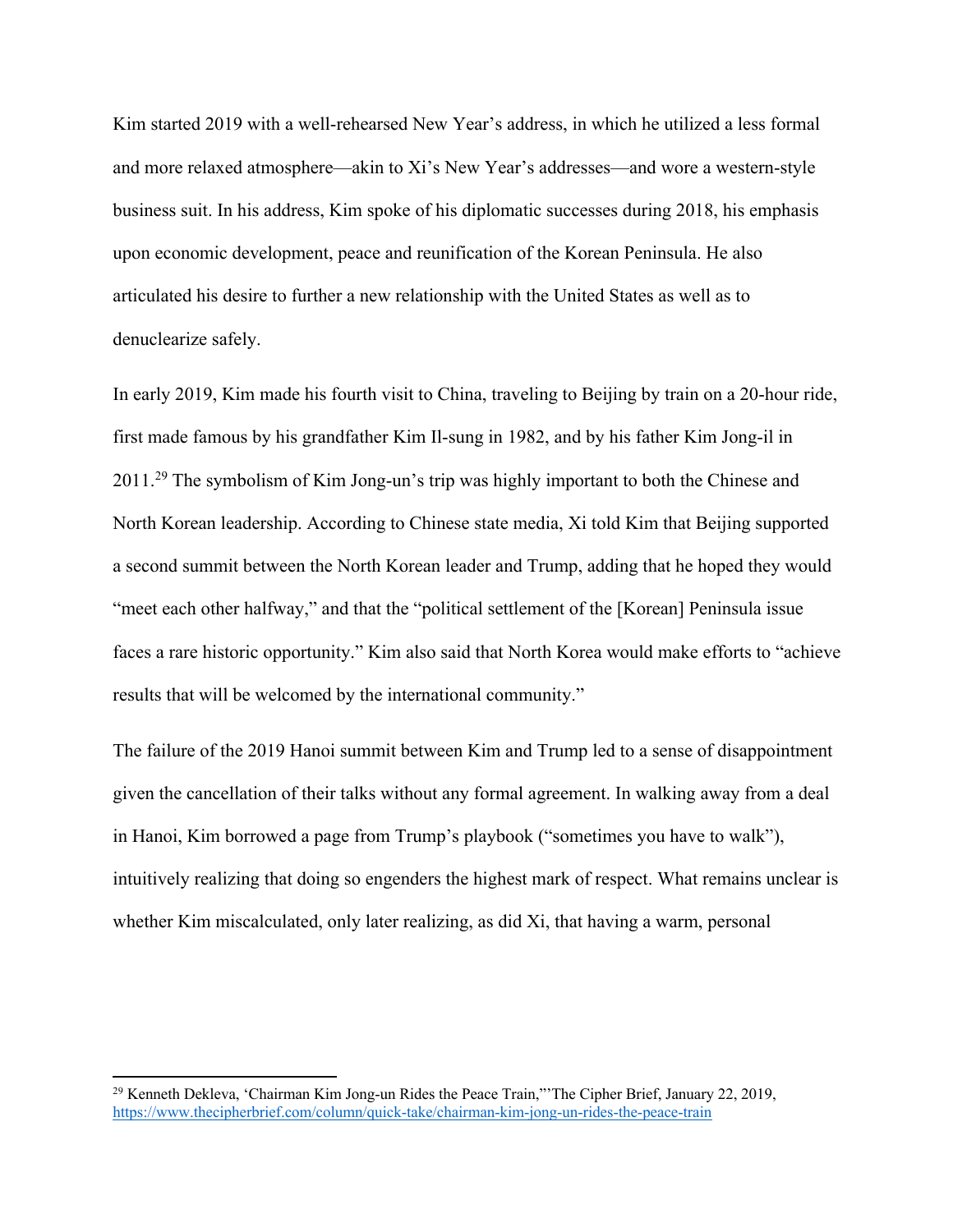Kim started 2019 with a well-rehearsed New Year's address, in which he utilized a less formal and more relaxed atmosphere—akin to Xi's New Year's addresses—and wore a western-style business suit. In his address, Kim spoke of his diplomatic successes during 2018, his emphasis upon economic development, peace and reunification of the Korean Peninsula. He also articulated his desire to further a new relationship with the United States as well as to denuclearize safely.

In early 2019, Kim made his fourth visit to China, traveling to Beijing by train on a 20-hour ride, first made famous by his grandfather Kim Il-sung in 1982, and by his father Kim Jong-il in 2011.29 The symbolism of Kim Jong-un's trip was highly important to both the Chinese and North Korean leadership. According to Chinese state media, Xi told Kim that Beijing supported a second summit between the North Korean leader and Trump, adding that he hoped they would "meet each other halfway," and that the "political settlement of the [Korean] Peninsula issue faces a rare historic opportunity." Kim also said that North Korea would make efforts to "achieve results that will be welcomed by the international community."

The failure of the 2019 Hanoi summit between Kim and Trump led to a sense of disappointment given the cancellation of their talks without any formal agreement. In walking away from a deal in Hanoi, Kim borrowed a page from Trump's playbook ("sometimes you have to walk"), intuitively realizing that doing so engenders the highest mark of respect. What remains unclear is whether Kim miscalculated, only later realizing, as did Xi, that having a warm, personal

<sup>&</sup>lt;sup>29</sup> Kenneth Dekleva, 'Chairman Kim Jong-un Rides the Peace Train,"'The Cipher Brief, January 22, 2019, https://www.thecipherbrief.com/column/quick-take/chairman-kim-jong-un-rides-the-peace-train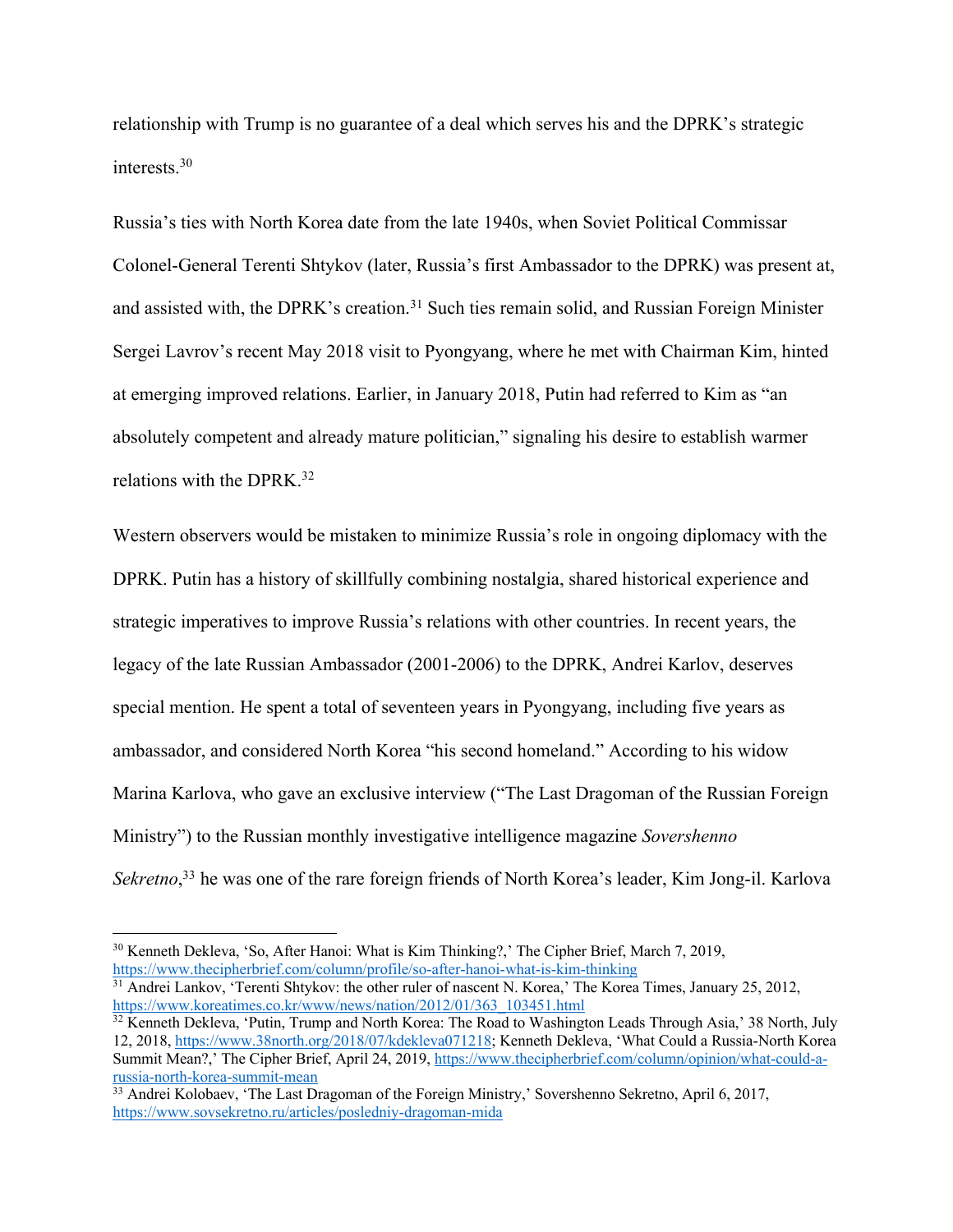relationship with Trump is no guarantee of a deal which serves his and the DPRK's strategic interests.30

Russia's ties with North Korea date from the late 1940s, when Soviet Political Commissar Colonel-General Terenti Shtykov (later, Russia's first Ambassador to the DPRK) was present at, and assisted with, the DPRK's creation.<sup>31</sup> Such ties remain solid, and Russian Foreign Minister Sergei Lavrov's recent May 2018 visit to Pyongyang, where he met with Chairman Kim, hinted at emerging improved relations. Earlier, in January 2018, Putin had referred to Kim as "an absolutely competent and already mature politician," signaling his desire to establish warmer relations with the DPRK.<sup>32</sup>

Western observers would be mistaken to minimize Russia's role in ongoing diplomacy with the DPRK. Putin has a history of skillfully combining nostalgia, shared historical experience and strategic imperatives to improve Russia's relations with other countries. In recent years, the legacy of the late Russian Ambassador (2001-2006) to the DPRK, Andrei Karlov, deserves special mention. He spent a total of seventeen years in Pyongyang, including five years as ambassador, and considered North Korea "his second homeland." According to his widow Marina Karlova, who gave an exclusive interview ("The Last Dragoman of the Russian Foreign Ministry") to the Russian monthly investigative intelligence magazine *Sovershenno*  Sekretno,<sup>33</sup> he was one of the rare foreign friends of North Korea's leader, Kim Jong-il. Karlova

<sup>&</sup>lt;sup>30</sup> Kenneth Dekleva, 'So, After Hanoi: What is Kim Thinking?,' The Cipher Brief, March 7, 2019, https://www.thecipherbrief.com/column/profile/so-after-hanoi-what-is-kim-thinking

<sup>&</sup>lt;sup>31</sup> Andrei Lankov, 'Terenti Shtykov: the other ruler of nascent N. Korea,' The Korea Times, January 25, 2012, https://www.koreatimes.co.kr/www/news/nation/2012/01/363\_103451.html

 $32$  Kenneth Dekleva, 'Putin, Trump and North Korea: The Road to Washington Leads Through Asia,' 38 North, July 12, 2018, https://www.38north.org/2018/07/kdekleva071218; Kenneth Dekleva, 'What Could a Russia-North Korea Summit Mean?,' The Cipher Brief, April 24, 2019, https://www.thecipherbrief.com/column/opinion/what-could-arussia-north-korea-summit-mean

<sup>&</sup>lt;sup>33</sup> Andrei Kolobaev, 'The Last Dragoman of the Foreign Ministry,' Sovershenno Sekretno, April 6, 2017, https://www.sovsekretno.ru/articles/posledniy-dragoman-mida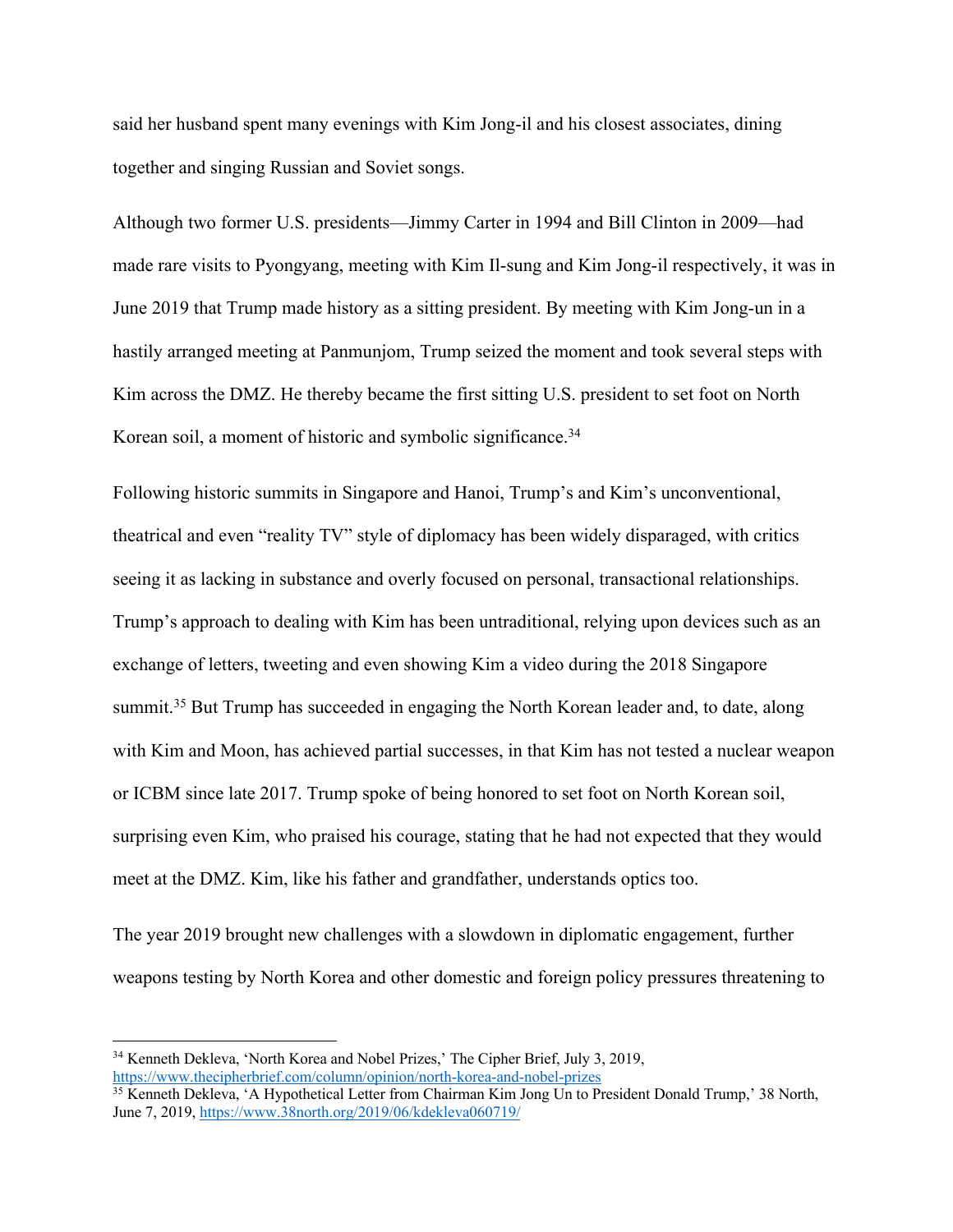said her husband spent many evenings with Kim Jong-il and his closest associates, dining together and singing Russian and Soviet songs.

Although two former U.S. presidents—Jimmy Carter in 1994 and Bill Clinton in 2009—had made rare visits to Pyongyang, meeting with Kim Il-sung and Kim Jong-il respectively, it was in June 2019 that Trump made history as a sitting president. By meeting with Kim Jong-un in a hastily arranged meeting at Panmunjom, Trump seized the moment and took several steps with Kim across the DMZ. He thereby became the first sitting U.S. president to set foot on North Korean soil, a moment of historic and symbolic significance.<sup>34</sup>

Following historic summits in Singapore and Hanoi, Trump's and Kim's unconventional, theatrical and even "reality TV" style of diplomacy has been widely disparaged, with critics seeing it as lacking in substance and overly focused on personal, transactional relationships. Trump's approach to dealing with Kim has been untraditional, relying upon devices such as an exchange of letters, tweeting and even showing Kim a video during the 2018 Singapore summit.<sup>35</sup> But Trump has succeeded in engaging the North Korean leader and, to date, along with Kim and Moon, has achieved partial successes, in that Kim has not tested a nuclear weapon or ICBM since late 2017. Trump spoke of being honored to set foot on North Korean soil, surprising even Kim, who praised his courage, stating that he had not expected that they would meet at the DMZ. Kim, like his father and grandfather, understands optics too.

The year 2019 brought new challenges with a slowdown in diplomatic engagement, further weapons testing by North Korea and other domestic and foreign policy pressures threatening to

<sup>34</sup> Kenneth Dekleva, 'North Korea and Nobel Prizes,' The Cipher Brief, July 3, 2019, https://www.thecipherbrief.com/column/opinion/north-korea-and-nobel-prizes

<sup>&</sup>lt;sup>35</sup> Kenneth Dekleva, 'A Hypothetical Letter from Chairman Kim Jong Un to President Donald Trump,' 38 North, June 7, 2019, https://www.38north.org/2019/06/kdekleva060719/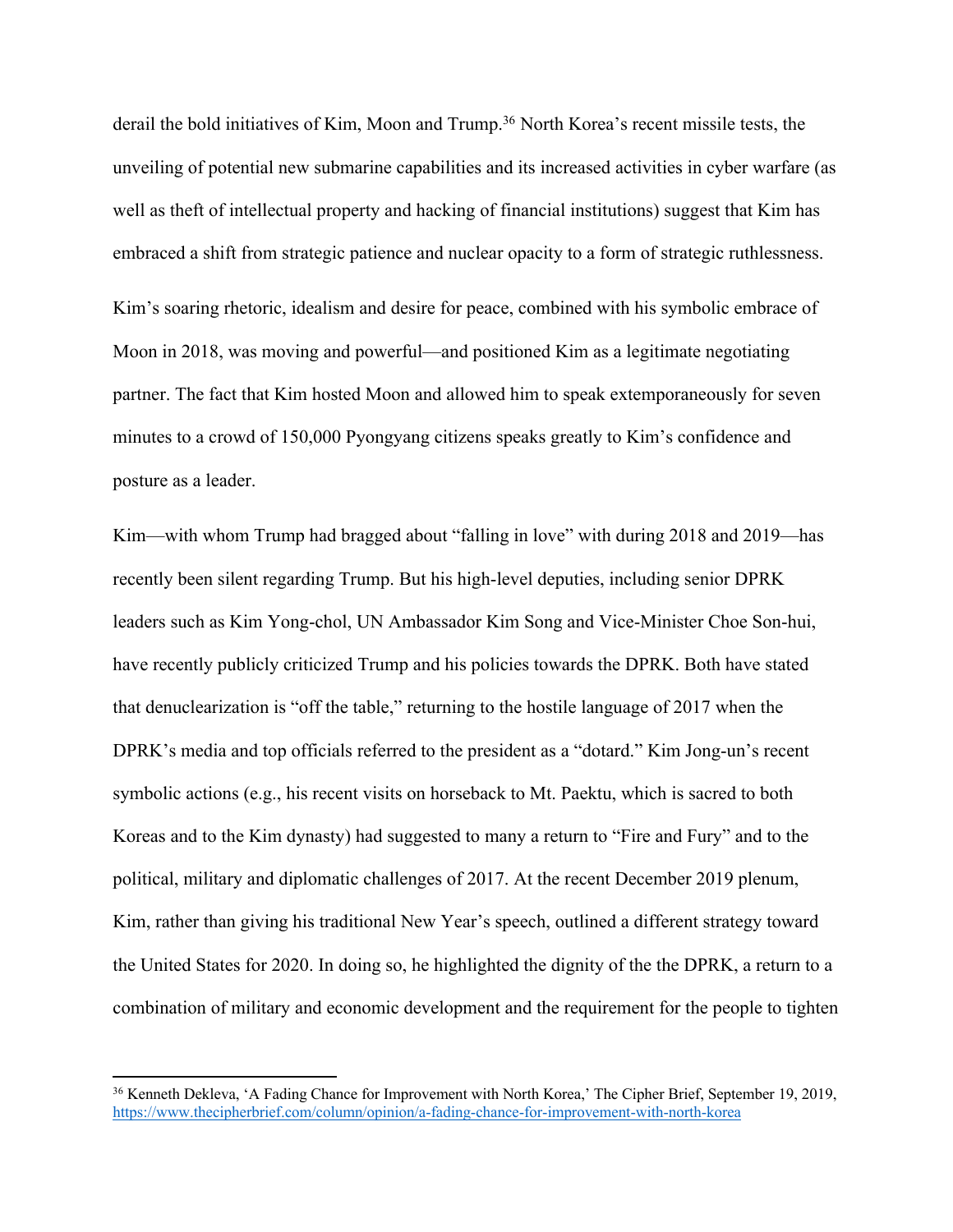derail the bold initiatives of Kim, Moon and Trump.<sup>36</sup> North Korea's recent missile tests, the unveiling of potential new submarine capabilities and its increased activities in cyber warfare (as well as theft of intellectual property and hacking of financial institutions) suggest that Kim has embraced a shift from strategic patience and nuclear opacity to a form of strategic ruthlessness. Kim's soaring rhetoric, idealism and desire for peace, combined with his symbolic embrace of Moon in 2018, was moving and powerful—and positioned Kim as a legitimate negotiating partner. The fact that Kim hosted Moon and allowed him to speak extemporaneously for seven minutes to a crowd of 150,000 Pyongyang citizens speaks greatly to Kim's confidence and posture as a leader.

Kim—with whom Trump had bragged about "falling in love" with during 2018 and 2019—has recently been silent regarding Trump. But his high-level deputies, including senior DPRK leaders such as Kim Yong-chol, UN Ambassador Kim Song and Vice-Minister Choe Son-hui, have recently publicly criticized Trump and his policies towards the DPRK. Both have stated that denuclearization is "off the table," returning to the hostile language of 2017 when the DPRK's media and top officials referred to the president as a "dotard." Kim Jong-un's recent symbolic actions (e.g., his recent visits on horseback to Mt. Paektu, which is sacred to both Koreas and to the Kim dynasty) had suggested to many a return to "Fire and Fury" and to the political, military and diplomatic challenges of 2017. At the recent December 2019 plenum, Kim, rather than giving his traditional New Year's speech, outlined a different strategy toward the United States for 2020. In doing so, he highlighted the dignity of the the DPRK, a return to a combination of military and economic development and the requirement for the people to tighten

<sup>&</sup>lt;sup>36</sup> Kenneth Dekleva, 'A Fading Chance for Improvement with North Korea,' The Cipher Brief, September 19, 2019, https://www.thecipherbrief.com/column/opinion/a-fading-chance-for-improvement-with-north-korea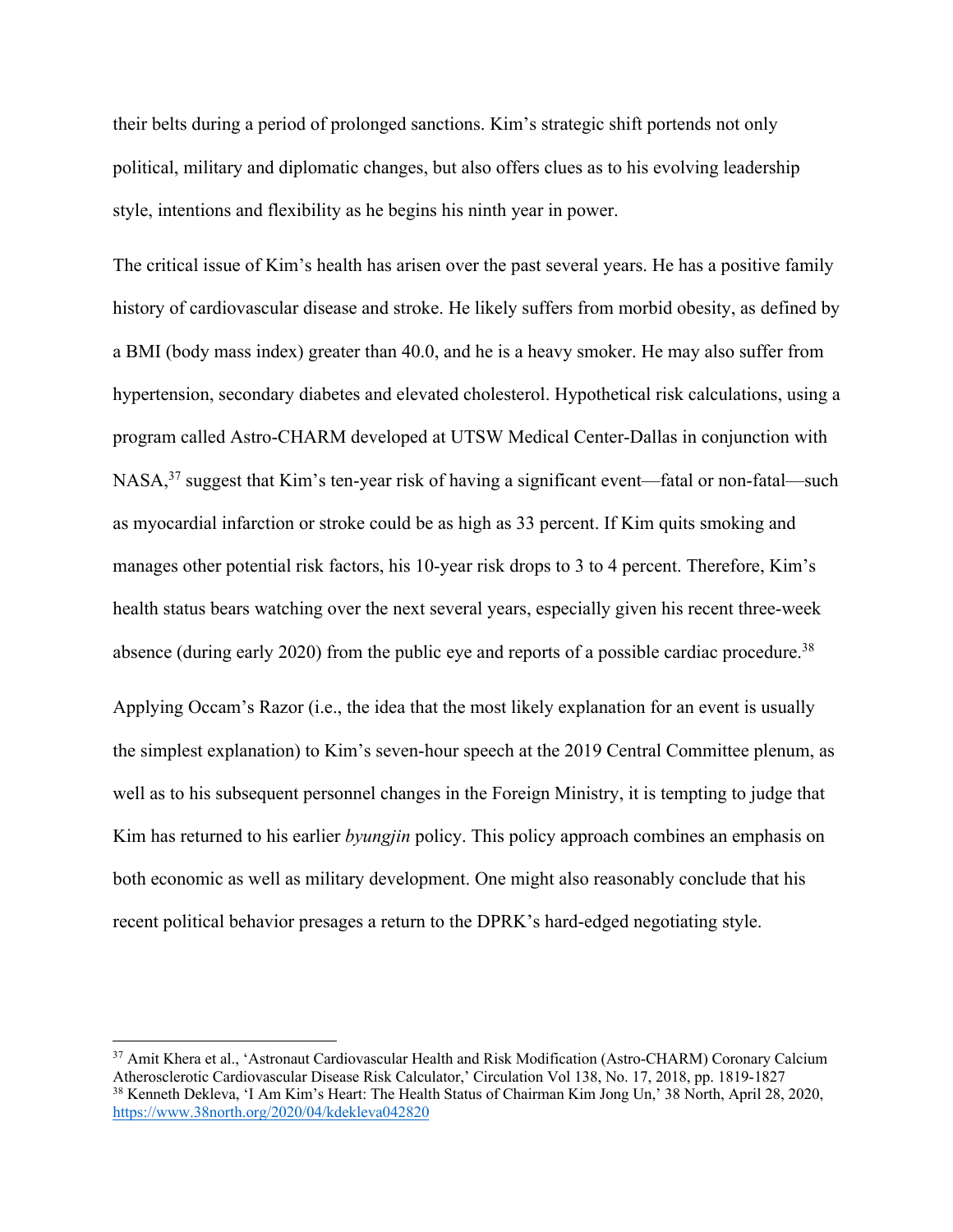their belts during a period of prolonged sanctions. Kim's strategic shift portends not only political, military and diplomatic changes, but also offers clues as to his evolving leadership style, intentions and flexibility as he begins his ninth year in power.

The critical issue of Kim's health has arisen over the past several years. He has a positive family history of cardiovascular disease and stroke. He likely suffers from morbid obesity, as defined by a BMI (body mass index) greater than 40.0, and he is a heavy smoker. He may also suffer from hypertension, secondary diabetes and elevated cholesterol. Hypothetical risk calculations, using a program called Astro-CHARM developed at UTSW Medical Center-Dallas in conjunction with NASA,<sup>37</sup> suggest that Kim's ten-year risk of having a significant event—fatal or non-fatal—such as myocardial infarction or stroke could be as high as 33 percent. If Kim quits smoking and manages other potential risk factors, his 10-year risk drops to 3 to 4 percent. Therefore, Kim's health status bears watching over the next several years, especially given his recent three-week absence (during early 2020) from the public eye and reports of a possible cardiac procedure.<sup>38</sup>

Applying Occam's Razor (i.e., the idea that the most likely explanation for an event is usually the simplest explanation) to Kim's seven-hour speech at the 2019 Central Committee plenum, as well as to his subsequent personnel changes in the Foreign Ministry, it is tempting to judge that Kim has returned to his earlier *byungjin* policy. This policy approach combines an emphasis on both economic as well as military development. One might also reasonably conclude that his recent political behavior presages a return to the DPRK's hard-edged negotiating style.

<sup>&</sup>lt;sup>37</sup> Amit Khera et al., 'Astronaut Cardiovascular Health and Risk Modification (Astro-CHARM) Coronary Calcium Atherosclerotic Cardiovascular Disease Risk Calculator,' Circulation Vol 138, No. 17, 2018, pp. 1819-1827 <sup>38</sup> Kenneth Dekleva, 'I Am Kim's Heart: The Health Status of Chairman Kim Jong Un,' 38 North, April 28, 2020, https://www.38north.org/2020/04/kdekleva042820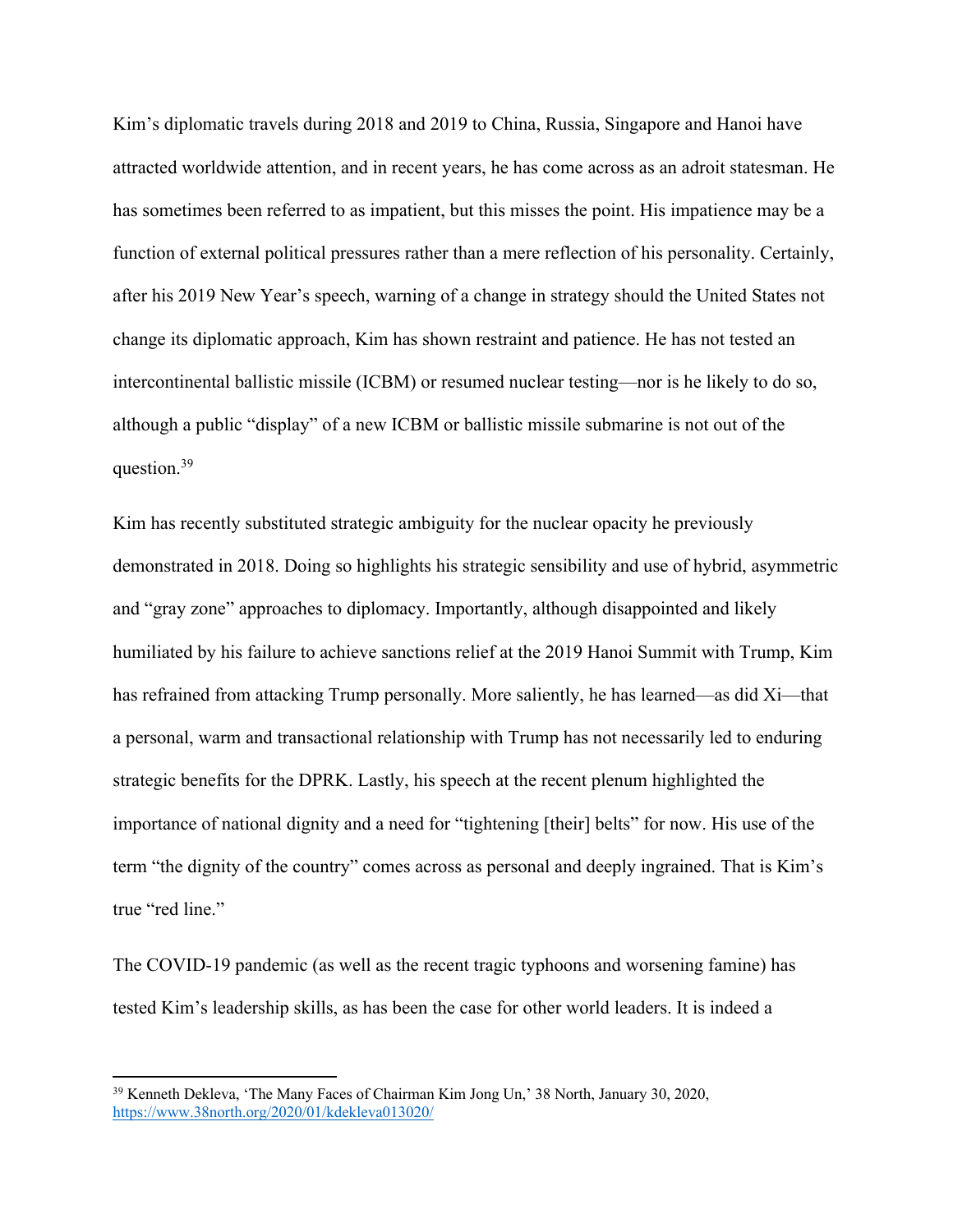Kim's diplomatic travels during 2018 and 2019 to China, Russia, Singapore and Hanoi have attracted worldwide attention, and in recent years, he has come across as an adroit statesman. He has sometimes been referred to as impatient, but this misses the point. His impatience may be a function of external political pressures rather than a mere reflection of his personality. Certainly, after his 2019 New Year's speech, warning of a change in strategy should the United States not change its diplomatic approach, Kim has shown restraint and patience. He has not tested an intercontinental ballistic missile (ICBM) or resumed nuclear testing—nor is he likely to do so, although a public "display" of a new ICBM or ballistic missile submarine is not out of the question.39

Kim has recently substituted strategic ambiguity for the nuclear opacity he previously demonstrated in 2018. Doing so highlights his strategic sensibility and use of hybrid, asymmetric and "gray zone" approaches to diplomacy. Importantly, although disappointed and likely humiliated by his failure to achieve sanctions relief at the 2019 Hanoi Summit with Trump, Kim has refrained from attacking Trump personally. More saliently, he has learned—as did Xi—that a personal, warm and transactional relationship with Trump has not necessarily led to enduring strategic benefits for the DPRK. Lastly, his speech at the recent plenum highlighted the importance of national dignity and a need for "tightening [their] belts" for now. His use of the term "the dignity of the country" comes across as personal and deeply ingrained. That is Kim's true "red line."

The COVID-19 pandemic (as well as the recent tragic typhoons and worsening famine) has tested Kim's leadership skills, as has been the case for other world leaders. It is indeed a

<sup>39</sup> Kenneth Dekleva, 'The Many Faces of Chairman Kim Jong Un,' 38 North, January 30, 2020, https://www.38north.org/2020/01/kdekleva013020/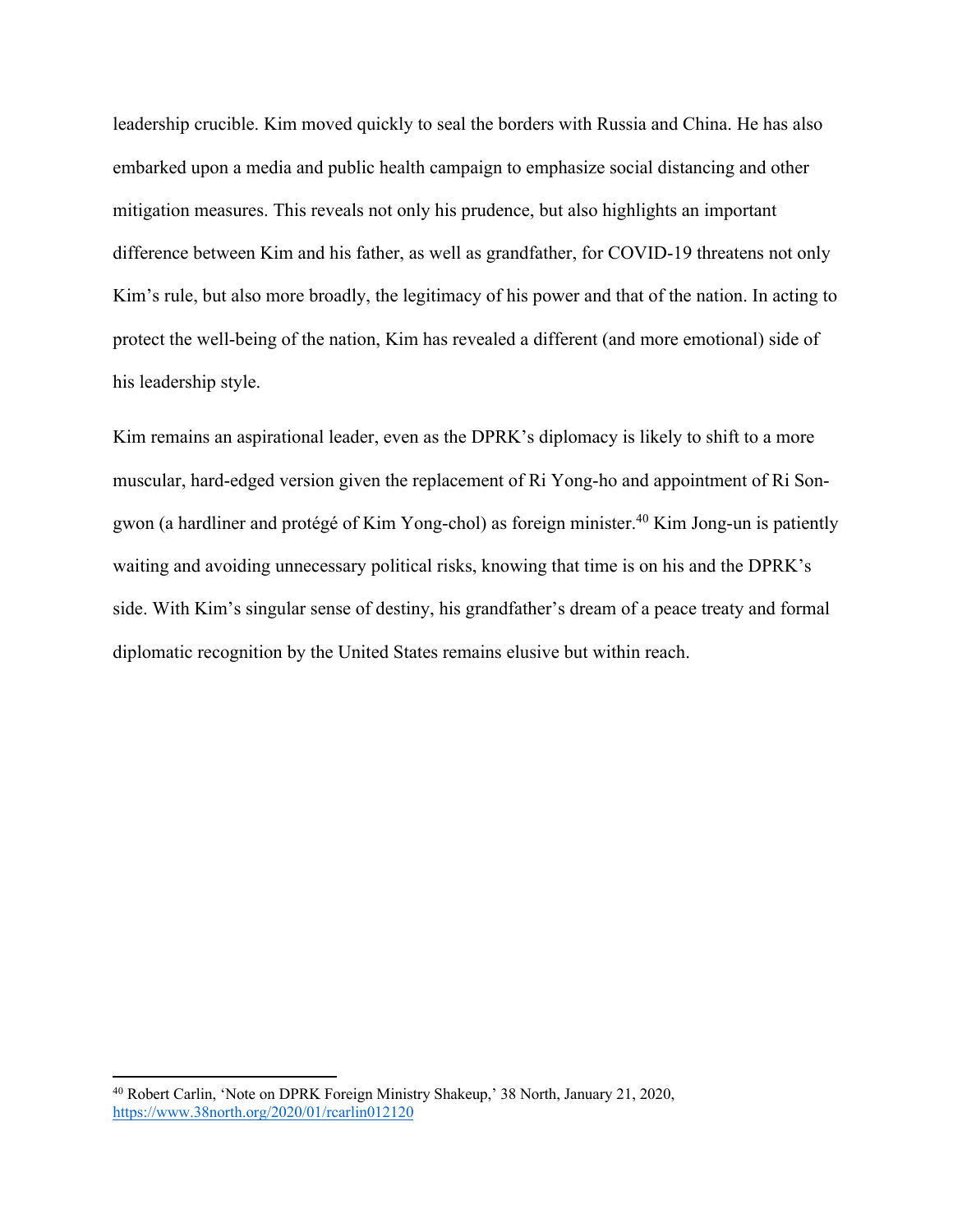leadership crucible. Kim moved quickly to seal the borders with Russia and China. He has also embarked upon a media and public health campaign to emphasize social distancing and other mitigation measures. This reveals not only his prudence, but also highlights an important difference between Kim and his father, as well as grandfather, for COVID-19 threatens not only Kim's rule, but also more broadly, the legitimacy of his power and that of the nation. In acting to protect the well-being of the nation, Kim has revealed a different (and more emotional) side of his leadership style.

Kim remains an aspirational leader, even as the DPRK's diplomacy is likely to shift to a more muscular, hard-edged version given the replacement of Ri Yong-ho and appointment of Ri Songwon (a hardliner and protégé of Kim Yong-chol) as foreign minister.<sup>40</sup> Kim Jong-un is patiently waiting and avoiding unnecessary political risks, knowing that time is on his and the DPRK's side. With Kim's singular sense of destiny, his grandfather's dream of a peace treaty and formal diplomatic recognition by the United States remains elusive but within reach.

<sup>40</sup> Robert Carlin, 'Note on DPRK Foreign Ministry Shakeup,' 38 North, January 21, 2020, https://www.38north.org/2020/01/rcarlin012120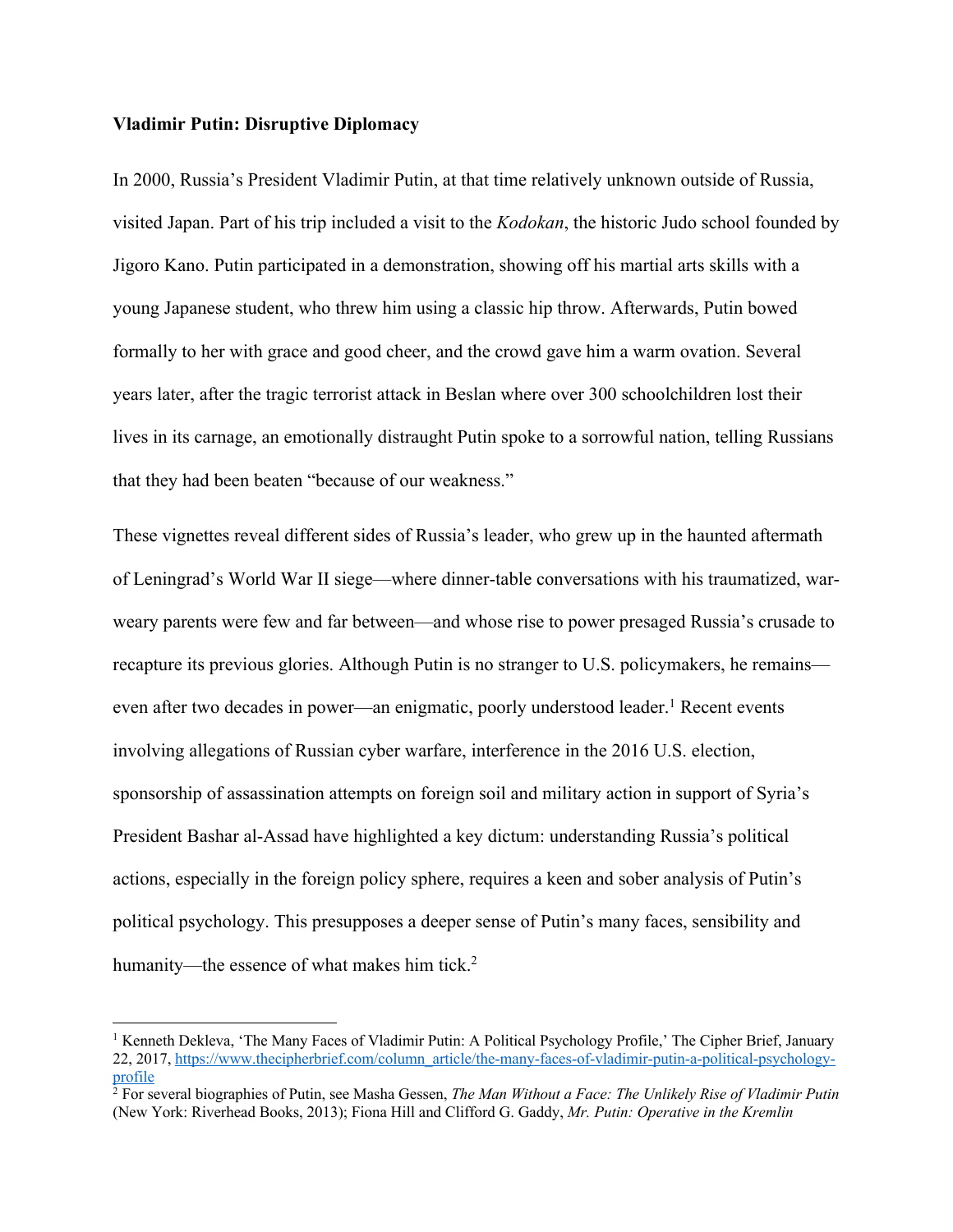#### **Vladimir Putin: Disruptive Diplomacy**

In 2000, Russia's President Vladimir Putin, at that time relatively unknown outside of Russia, visited Japan. Part of his trip included a visit to the *Kodokan*, the historic Judo school founded by Jigoro Kano. Putin participated in a demonstration, showing off his martial arts skills with a young Japanese student, who threw him using a classic hip throw. Afterwards, Putin bowed formally to her with grace and good cheer, and the crowd gave him a warm ovation. Several years later, after the tragic terrorist attack in Beslan where over 300 schoolchildren lost their lives in its carnage, an emotionally distraught Putin spoke to a sorrowful nation, telling Russians that they had been beaten "because of our weakness."

These vignettes reveal different sides of Russia's leader, who grew up in the haunted aftermath of Leningrad's World War II siege—where dinner-table conversations with his traumatized, warweary parents were few and far between—and whose rise to power presaged Russia's crusade to recapture its previous glories. Although Putin is no stranger to U.S. policymakers, he remains even after two decades in power—an enigmatic, poorly understood leader.<sup>1</sup> Recent events involving allegations of Russian cyber warfare, interference in the 2016 U.S. election, sponsorship of assassination attempts on foreign soil and military action in support of Syria's President Bashar al-Assad have highlighted a key dictum: understanding Russia's political actions, especially in the foreign policy sphere, requires a keen and sober analysis of Putin's political psychology. This presupposes a deeper sense of Putin's many faces, sensibility and humanity—the essence of what makes him tick.<sup>2</sup>

<sup>&</sup>lt;sup>1</sup> Kenneth Dekleva, 'The Many Faces of Vladimir Putin: A Political Psychology Profile,' The Cipher Brief, January 22, 2017, https://www.thecipherbrief.com/column\_article/the-many-faces-of-vladimir-putin-a-political-psychologyprofile

<sup>&</sup>lt;sup>2</sup> For several biographies of Putin, see Masha Gessen, *The Man Without a Face: The Unlikely Rise of Vladimir Putin* (New York: Riverhead Books, 2013); Fiona Hill and Clifford G. Gaddy, *Mr. Putin: Operative in the Kremlin*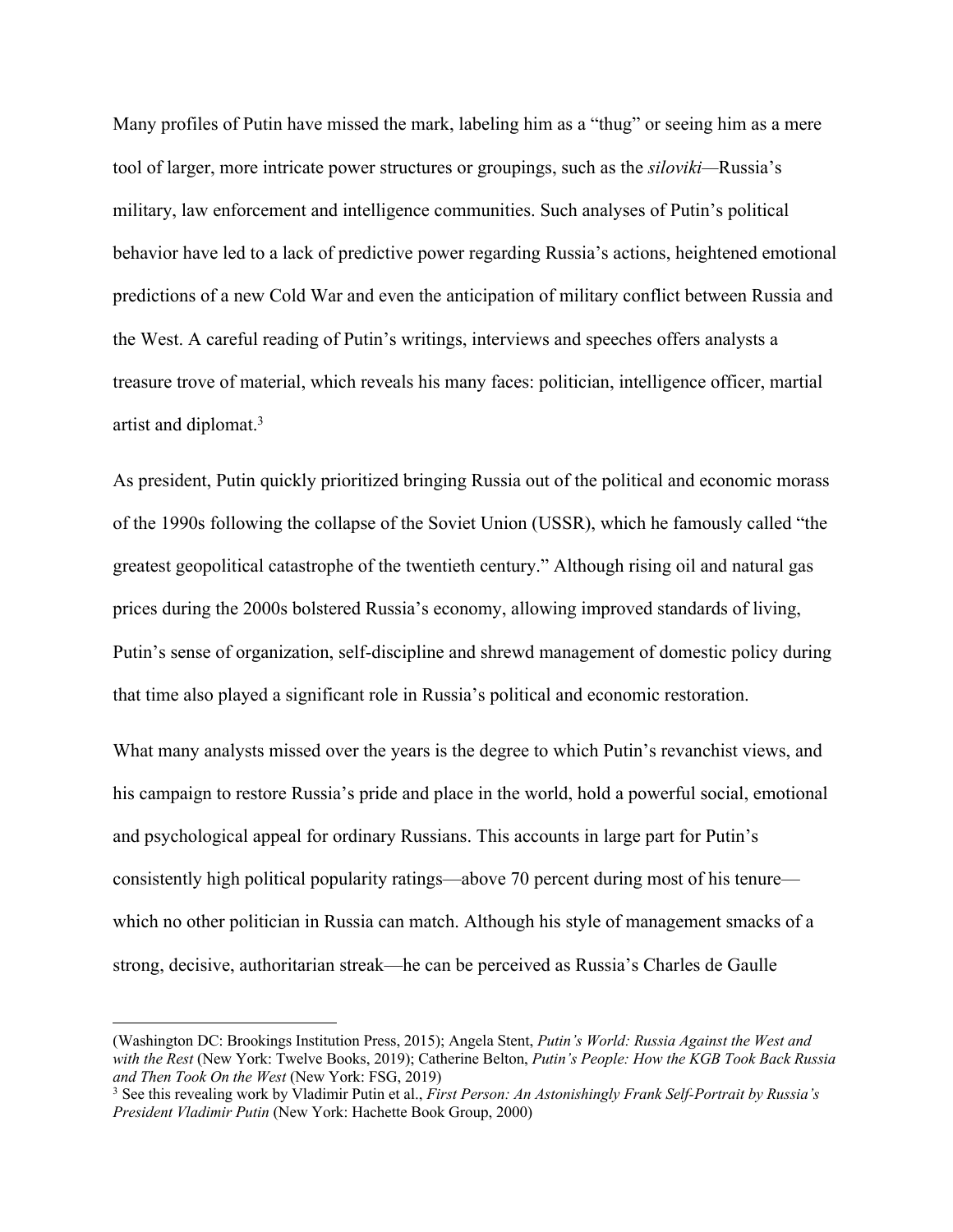Many profiles of Putin have missed the mark, labeling him as a "thug" or seeing him as a mere tool of larger, more intricate power structures or groupings, such as the *siloviki—*Russia's military, law enforcement and intelligence communities. Such analyses of Putin's political behavior have led to a lack of predictive power regarding Russia's actions, heightened emotional predictions of a new Cold War and even the anticipation of military conflict between Russia and the West. A careful reading of Putin's writings, interviews and speeches offers analysts a treasure trove of material, which reveals his many faces: politician, intelligence officer, martial artist and diplomat.3

As president, Putin quickly prioritized bringing Russia out of the political and economic morass of the 1990s following the collapse of the Soviet Union (USSR), which he famously called "the greatest geopolitical catastrophe of the twentieth century." Although rising oil and natural gas prices during the 2000s bolstered Russia's economy, allowing improved standards of living, Putin's sense of organization, self-discipline and shrewd management of domestic policy during that time also played a significant role in Russia's political and economic restoration.

What many analysts missed over the years is the degree to which Putin's revanchist views, and his campaign to restore Russia's pride and place in the world, hold a powerful social, emotional and psychological appeal for ordinary Russians. This accounts in large part for Putin's consistently high political popularity ratings—above 70 percent during most of his tenure which no other politician in Russia can match. Although his style of management smacks of a strong, decisive, authoritarian streak—he can be perceived as Russia's Charles de Gaulle

<sup>(</sup>Washington DC: Brookings Institution Press, 2015); Angela Stent, *Putin's World: Russia Against the West and with the Rest* (New York: Twelve Books, 2019); Catherine Belton, *Putin's People: How the KGB Took Back Russia and Then Took On the West* (New York: FSG, 2019)

<sup>3</sup> See this revealing work by Vladimir Putin et al., *First Person: An Astonishingly Frank Self-Portrait by Russia's President Vladimir Putin* (New York: Hachette Book Group, 2000)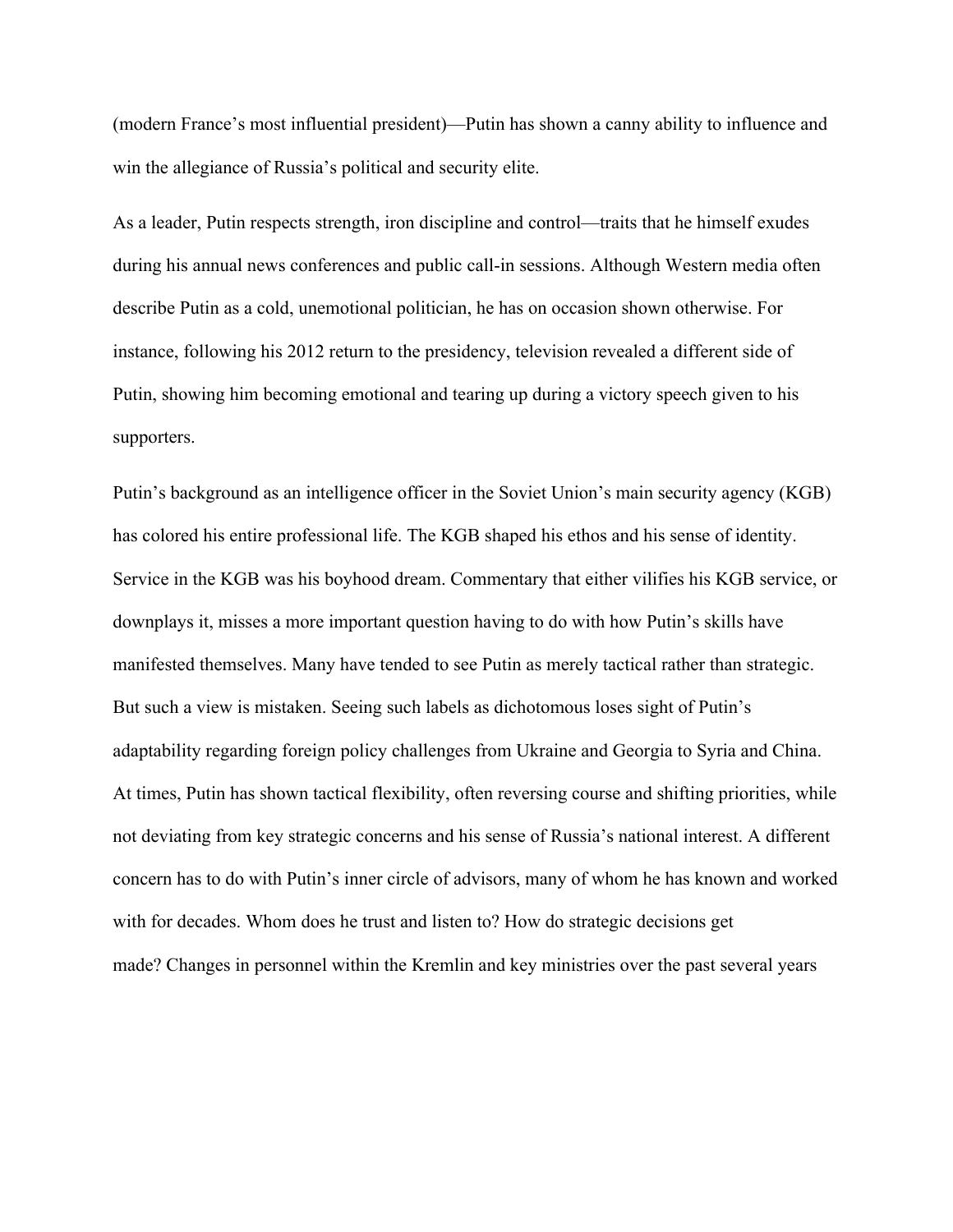(modern France's most influential president)—Putin has shown a canny ability to influence and win the allegiance of Russia's political and security elite.

As a leader, Putin respects strength, iron discipline and control—traits that he himself exudes during his annual news conferences and public call-in sessions. Although Western media often describe Putin as a cold, unemotional politician, he has on occasion shown otherwise. For instance, following his 2012 return to the presidency, television revealed a different side of Putin, showing him becoming emotional and tearing up during a victory speech given to his supporters.

Putin's background as an intelligence officer in the Soviet Union's main security agency (KGB) has colored his entire professional life. The KGB shaped his ethos and his sense of identity. Service in the KGB was his boyhood dream. Commentary that either vilifies his KGB service, or downplays it, misses a more important question having to do with how Putin's skills have manifested themselves. Many have tended to see Putin as merely tactical rather than strategic. But such a view is mistaken. Seeing such labels as dichotomous loses sight of Putin's adaptability regarding foreign policy challenges from Ukraine and Georgia to Syria and China. At times, Putin has shown tactical flexibility, often reversing course and shifting priorities, while not deviating from key strategic concerns and his sense of Russia's national interest. A different concern has to do with Putin's inner circle of advisors, many of whom he has known and worked with for decades. Whom does he trust and listen to? How do strategic decisions get made? Changes in personnel within the Kremlin and key ministries over the past several years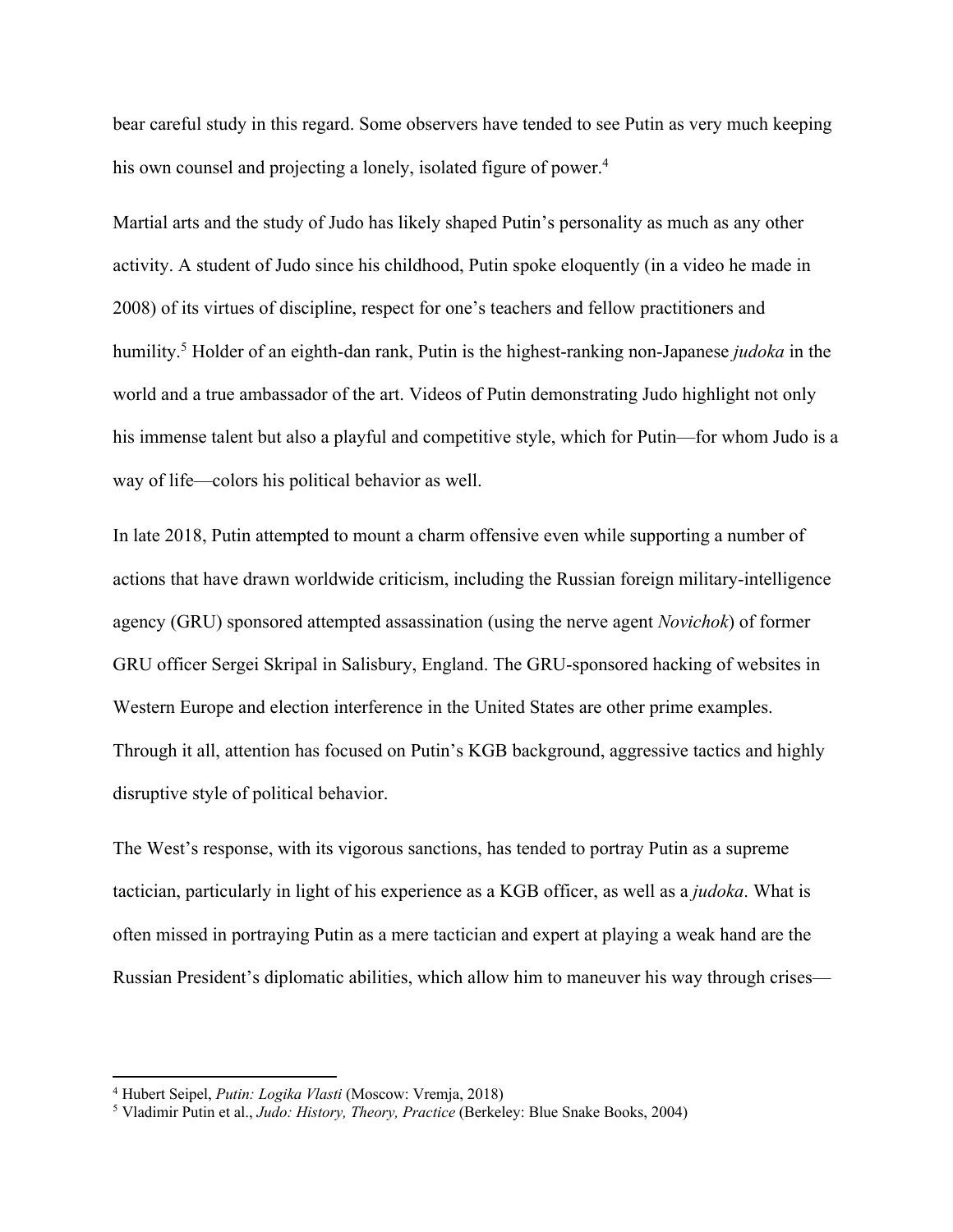bear careful study in this regard. Some observers have tended to see Putin as very much keeping his own counsel and projecting a lonely, isolated figure of power.<sup>4</sup>

Martial arts and the study of Judo has likely shaped Putin's personality as much as any other activity. A student of Judo since his childhood, Putin spoke eloquently (in a video he made in 2008) of its virtues of discipline, respect for one's teachers and fellow practitioners and humility.5 Holder of an eighth-dan rank, Putin is the highest-ranking non-Japanese *judoka* in the world and a true ambassador of the art. Videos of Putin demonstrating Judo highlight not only his immense talent but also a playful and competitive style, which for Putin—for whom Judo is a way of life—colors his political behavior as well.

In late 2018, Putin attempted to mount a charm offensive even while supporting a number of actions that have drawn worldwide criticism, including the Russian foreign military-intelligence agency (GRU) sponsored attempted assassination (using the nerve agent *Novichok*) of former GRU officer Sergei Skripal in Salisbury, England. The GRU-sponsored hacking of websites in Western Europe and election interference in the United States are other prime examples. Through it all, attention has focused on Putin's KGB background, aggressive tactics and highly disruptive style of political behavior.

The West's response, with its vigorous sanctions, has tended to portray Putin as a supreme tactician, particularly in light of his experience as a KGB officer, as well as a *judoka*. What is often missed in portraying Putin as a mere tactician and expert at playing a weak hand are the Russian President's diplomatic abilities, which allow him to maneuver his way through crises—

<sup>4</sup> Hubert Seipel, *Putin: Logika Vlasti* (Moscow: Vremja, 2018)

<sup>5</sup> Vladimir Putin et al., *Judo: History, Theory, Practice* (Berkeley: Blue Snake Books, 2004)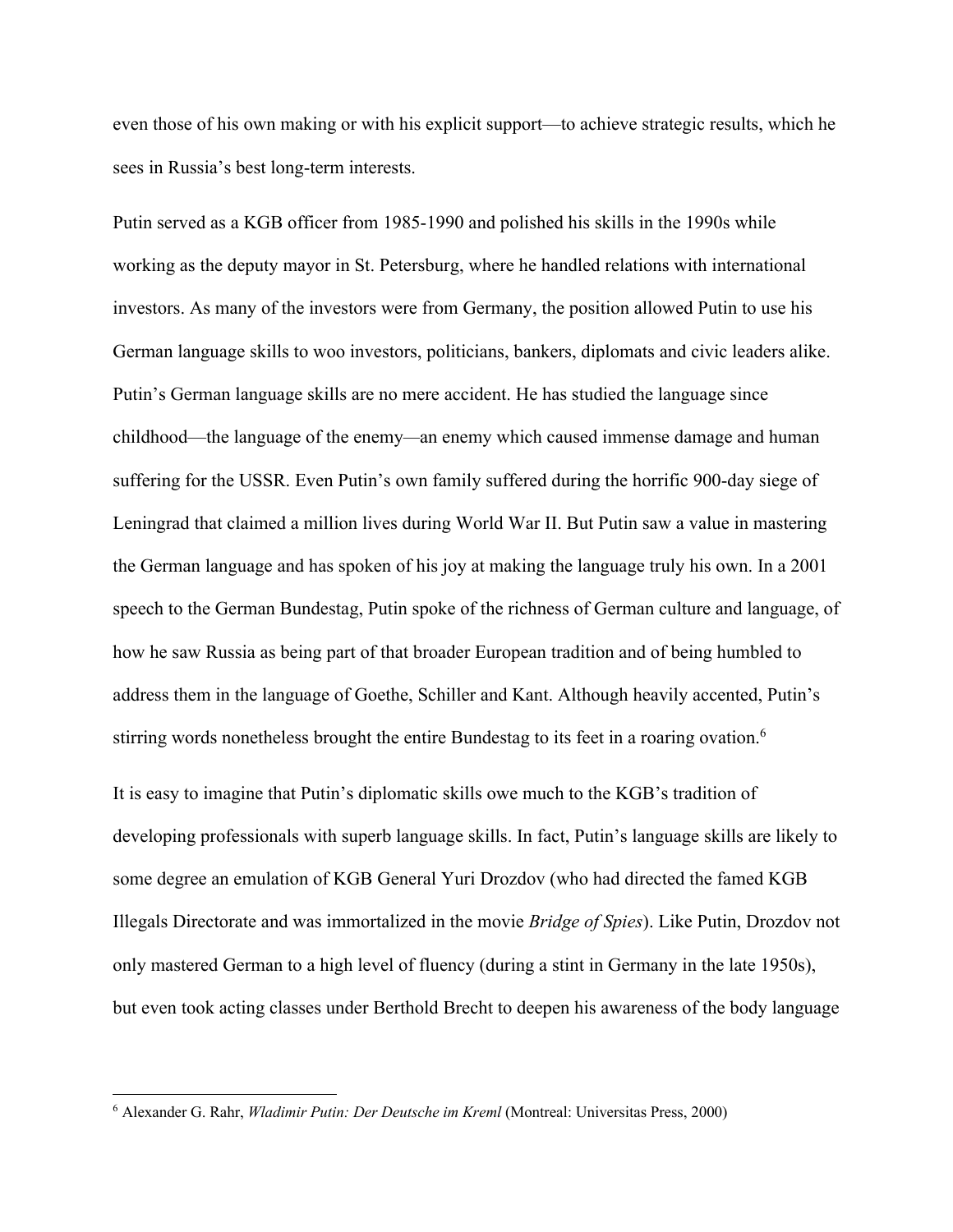even those of his own making or with his explicit support—to achieve strategic results, which he sees in Russia's best long-term interests.

Putin served as a KGB officer from 1985-1990 and polished his skills in the 1990s while working as the deputy mayor in St. Petersburg, where he handled relations with international investors. As many of the investors were from Germany, the position allowed Putin to use his German language skills to woo investors, politicians, bankers, diplomats and civic leaders alike. Putin's German language skills are no mere accident. He has studied the language since childhood—the language of the enemy*—*an enemy which caused immense damage and human suffering for the USSR. Even Putin's own family suffered during the horrific 900-day siege of Leningrad that claimed a million lives during World War II. But Putin saw a value in mastering the German language and has spoken of his joy at making the language truly his own. In a 2001 speech to the German Bundestag, Putin spoke of the richness of German culture and language, of how he saw Russia as being part of that broader European tradition and of being humbled to address them in the language of Goethe, Schiller and Kant. Although heavily accented, Putin's stirring words nonetheless brought the entire Bundestag to its feet in a roaring ovation.<sup>6</sup>

It is easy to imagine that Putin's diplomatic skills owe much to the KGB's tradition of developing professionals with superb language skills. In fact, Putin's language skills are likely to some degree an emulation of KGB General Yuri Drozdov (who had directed the famed KGB Illegals Directorate and was immortalized in the movie *Bridge of Spies*). Like Putin, Drozdov not only mastered German to a high level of fluency (during a stint in Germany in the late 1950s), but even took acting classes under Berthold Brecht to deepen his awareness of the body language

<sup>6</sup> Alexander G. Rahr, *Wladimir Putin: Der Deutsche im Kreml* (Montreal: Universitas Press, 2000)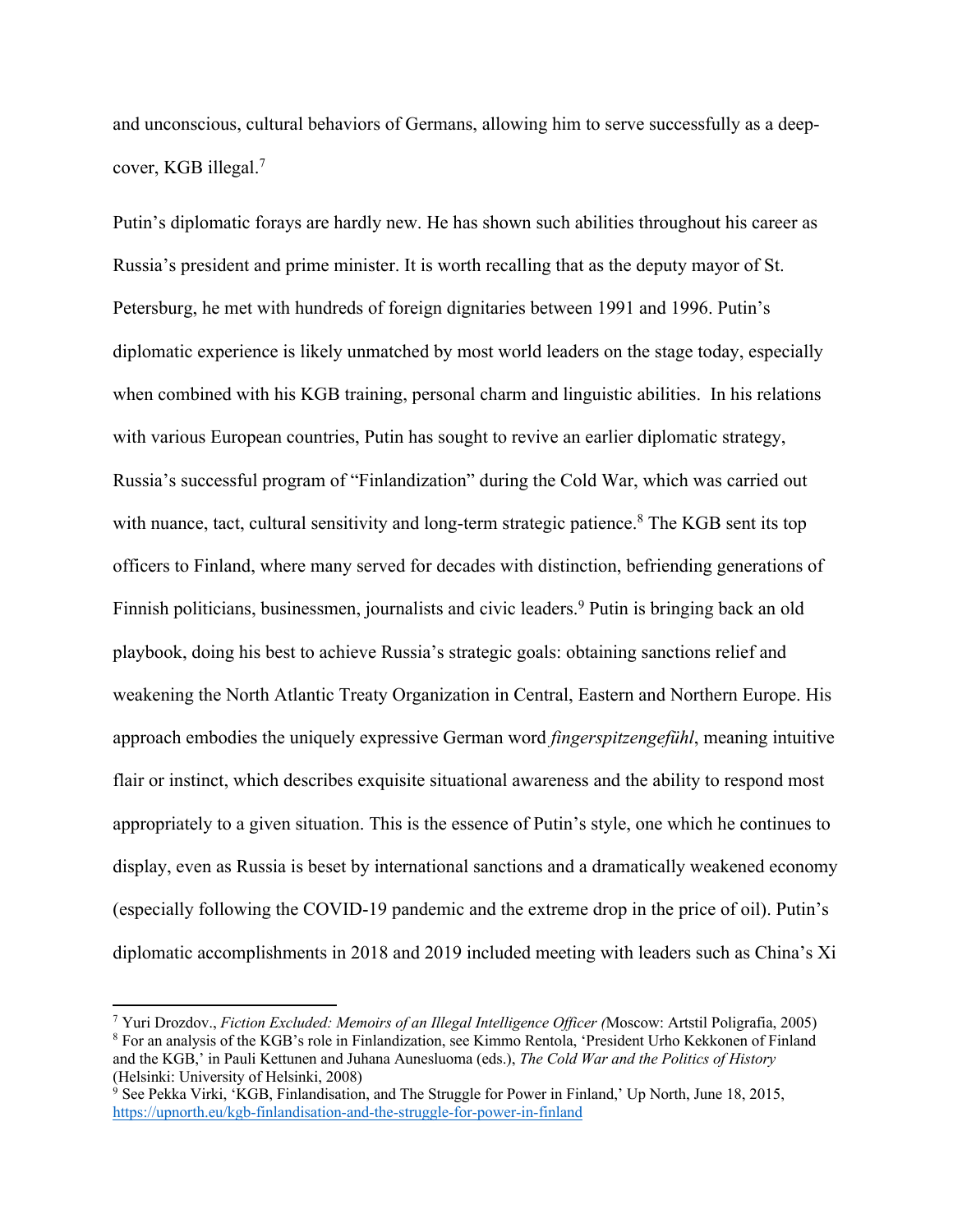and unconscious, cultural behaviors of Germans, allowing him to serve successfully as a deepcover, KGB illegal.7

Putin's diplomatic forays are hardly new. He has shown such abilities throughout his career as Russia's president and prime minister. It is worth recalling that as the deputy mayor of St. Petersburg, he met with hundreds of foreign dignitaries between 1991 and 1996. Putin's diplomatic experience is likely unmatched by most world leaders on the stage today, especially when combined with his KGB training, personal charm and linguistic abilities. In his relations with various European countries, Putin has sought to revive an earlier diplomatic strategy, Russia's successful program of "Finlandization" during the Cold War, which was carried out with nuance, tact, cultural sensitivity and long-term strategic patience.<sup>8</sup> The KGB sent its top officers to Finland, where many served for decades with distinction, befriending generations of Finnish politicians, businessmen, journalists and civic leaders.<sup>9</sup> Putin is bringing back an old playbook, doing his best to achieve Russia's strategic goals: obtaining sanctions relief and weakening the North Atlantic Treaty Organization in Central, Eastern and Northern Europe. His approach embodies the uniquely expressive German word *fingerspitzengefühl*, meaning intuitive flair or instinct, which describes exquisite situational awareness and the ability to respond most appropriately to a given situation. This is the essence of Putin's style, one which he continues to display, even as Russia is beset by international sanctions and a dramatically weakened economy (especially following the COVID-19 pandemic and the extreme drop in the price of oil). Putin's diplomatic accomplishments in 2018 and 2019 included meeting with leaders such as China's Xi

<sup>7</sup> Yuri Drozdov., *Fiction Excluded: Memoirs of an Illegal Intelligence Officer (*Moscow: Artstil Poligrafia, 2005) <sup>8</sup> For an analysis of the KGB's role in Finlandization, see Kimmo Rentola, 'President Urho Kekkonen of Finland and the KGB,' in Pauli Kettunen and Juhana Aunesluoma (eds.), *The Cold War and the Politics of History* (Helsinki: University of Helsinki, 2008)

 $9$  See Pekka Virki, 'KGB, Finlandisation, and The Struggle for Power in Finland,' Up North, June 18, 2015, https://upnorth.eu/kgb-finlandisation-and-the-struggle-for-power-in-finland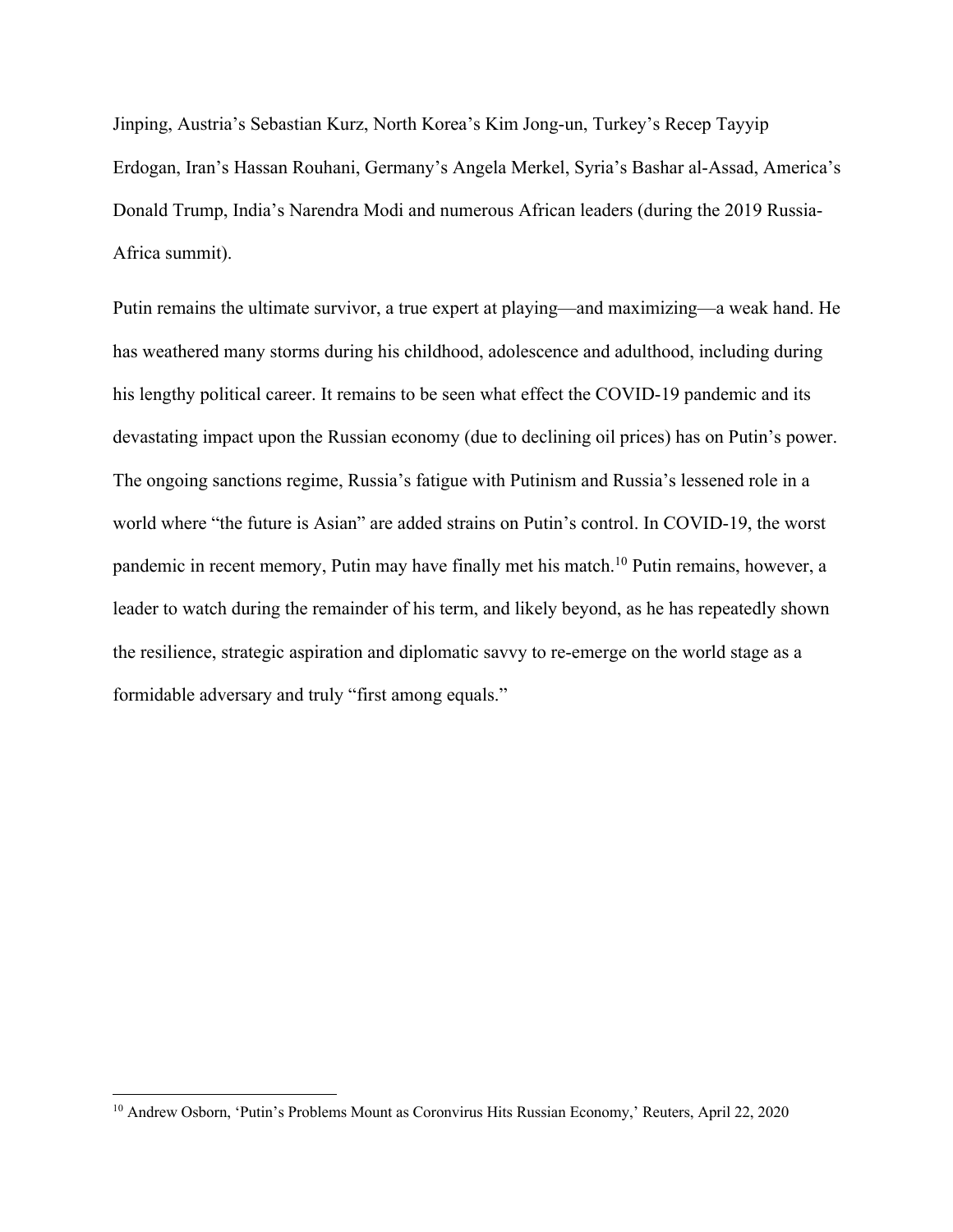Jinping, Austria's Sebastian Kurz, North Korea's Kim Jong-un, Turkey's Recep Tayyip Erdogan, Iran's Hassan Rouhani, Germany's Angela Merkel, Syria's Bashar al-Assad, America's Donald Trump, India's Narendra Modi and numerous African leaders (during the 2019 Russia-Africa summit).

Putin remains the ultimate survivor, a true expert at playing—and maximizing—a weak hand. He has weathered many storms during his childhood, adolescence and adulthood, including during his lengthy political career. It remains to be seen what effect the COVID-19 pandemic and its devastating impact upon the Russian economy (due to declining oil prices) has on Putin's power. The ongoing sanctions regime, Russia's fatigue with Putinism and Russia's lessened role in a world where "the future is Asian" are added strains on Putin's control. In COVID-19, the worst pandemic in recent memory, Putin may have finally met his match.<sup>10</sup> Putin remains, however, a leader to watch during the remainder of his term, and likely beyond, as he has repeatedly shown the resilience, strategic aspiration and diplomatic savvy to re-emerge on the world stage as a formidable adversary and truly "first among equals."

<sup>&</sup>lt;sup>10</sup> Andrew Osborn, 'Putin's Problems Mount as Coronvirus Hits Russian Economy,' Reuters, April 22, 2020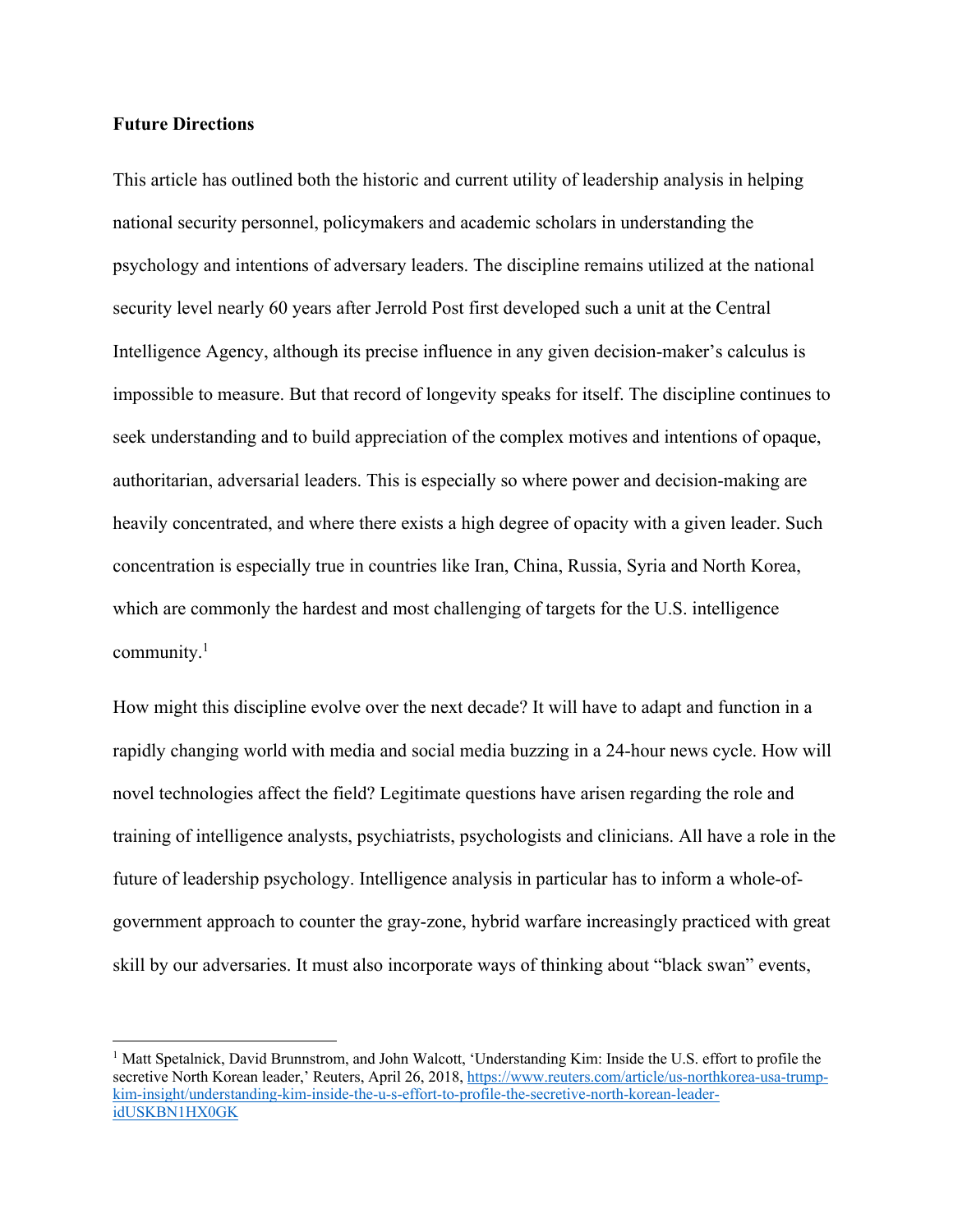## **Future Directions**

This article has outlined both the historic and current utility of leadership analysis in helping national security personnel, policymakers and academic scholars in understanding the psychology and intentions of adversary leaders. The discipline remains utilized at the national security level nearly 60 years after Jerrold Post first developed such a unit at the Central Intelligence Agency, although its precise influence in any given decision-maker's calculus is impossible to measure. But that record of longevity speaks for itself. The discipline continues to seek understanding and to build appreciation of the complex motives and intentions of opaque, authoritarian, adversarial leaders. This is especially so where power and decision-making are heavily concentrated, and where there exists a high degree of opacity with a given leader. Such concentration is especially true in countries like Iran, China, Russia, Syria and North Korea, which are commonly the hardest and most challenging of targets for the U.S. intelligence community. 1

How might this discipline evolve over the next decade? It will have to adapt and function in a rapidly changing world with media and social media buzzing in a 24-hour news cycle. How will novel technologies affect the field? Legitimate questions have arisen regarding the role and training of intelligence analysts, psychiatrists, psychologists and clinicians. All have a role in the future of leadership psychology. Intelligence analysis in particular has to inform a whole-ofgovernment approach to counter the gray-zone, hybrid warfare increasingly practiced with great skill by our adversaries. It must also incorporate ways of thinking about "black swan" events,

<sup>&</sup>lt;sup>1</sup> Matt Spetalnick, David Brunnstrom, and John Walcott, 'Understanding Kim: Inside the U.S. effort to profile the secretive North Korean leader,' Reuters, April 26, 2018, https://www.reuters.com/article/us-northkorea-usa-trumpkim-insight/understanding-kim-inside-the-u-s-effort-to-profile-the-secretive-north-korean-leaderidUSKBN1HX0GK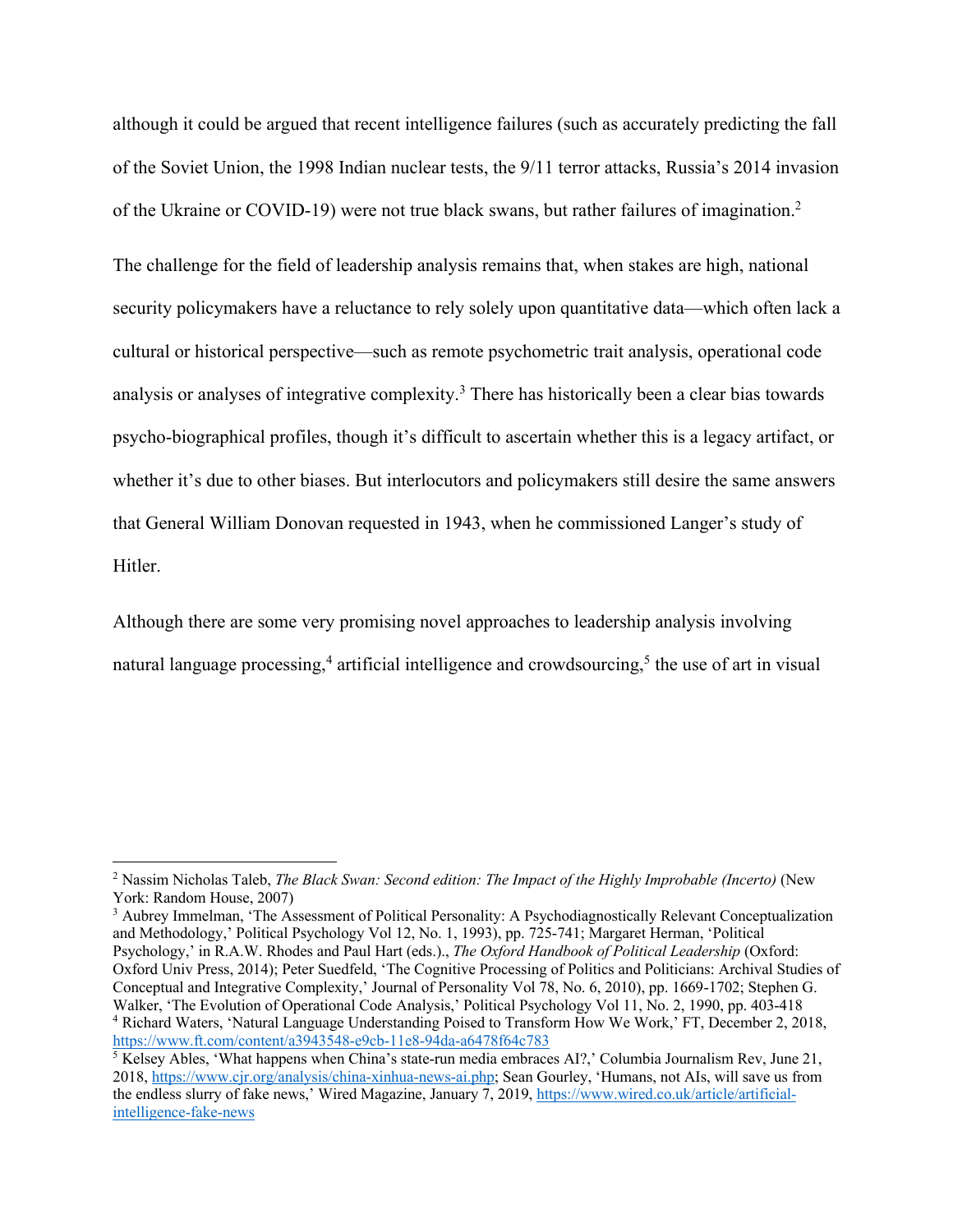although it could be argued that recent intelligence failures (such as accurately predicting the fall of the Soviet Union, the 1998 Indian nuclear tests, the 9/11 terror attacks, Russia's 2014 invasion of the Ukraine or COVID-19) were not true black swans, but rather failures of imagination.2

The challenge for the field of leadership analysis remains that, when stakes are high, national security policymakers have a reluctance to rely solely upon quantitative data—which often lack a cultural or historical perspective—such as remote psychometric trait analysis, operational code analysis or analyses of integrative complexity.<sup>3</sup> There has historically been a clear bias towards psycho-biographical profiles, though it's difficult to ascertain whether this is a legacy artifact, or whether it's due to other biases. But interlocutors and policymakers still desire the same answers that General William Donovan requested in 1943, when he commissioned Langer's study of Hitler.

Although there are some very promising novel approaches to leadership analysis involving natural language processing,<sup>4</sup> artificial intelligence and crowdsourcing,<sup>5</sup> the use of art in visual

<sup>2</sup> Nassim Nicholas Taleb, *The Black Swan: Second edition: The Impact of the Highly Improbable (Incerto)* (New York: Random House, 2007)

<sup>3</sup> Aubrey Immelman, 'The Assessment of Political Personality: A Psychodiagnostically Relevant Conceptualization and Methodology,' Political Psychology Vol 12, No. 1, 1993), pp. 725-741; Margaret Herman, 'Political Psychology,' in R.A.W. Rhodes and Paul Hart (eds.)., *The Oxford Handbook of Political Leadership* (Oxford: Oxford Univ Press, 2014); Peter Suedfeld, 'The Cognitive Processing of Politics and Politicians: Archival Studies of Conceptual and Integrative Complexity,' Journal of Personality Vol 78, No. 6, 2010), pp. 1669-1702; Stephen G. Walker, 'The Evolution of Operational Code Analysis,' Political Psychology Vol 11, No. 2, 1990, pp. 403-418 <sup>4</sup> Richard Waters, 'Natural Language Understanding Poised to Transform How We Work,' FT, December 2, 2018, https://www.ft.com/content/a3943548-e9cb-11e8-94da-a6478f64c783

 $5$  Kelsey Ables, 'What happens when China's state-run media embraces AI?,' Columbia Journalism Rev, June 21, 2018, https://www.cjr.org/analysis/china-xinhua-news-ai.php; Sean Gourley, 'Humans, not AIs, will save us from the endless slurry of fake news,' Wired Magazine, January 7, 2019, https://www.wired.co.uk/article/artificialintelligence-fake-news